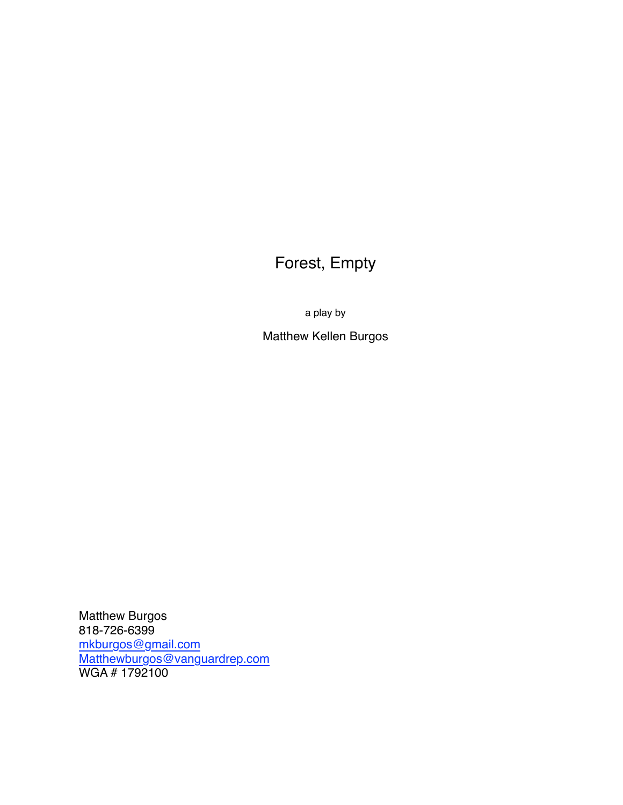# Forest, Empty

a play by

Matthew Kellen Burgos

Matthew Burgos 818-726-6399 [mkburgos@gmail.com](mailto:mkburgos@gmail.com) [Matthewburgos@vanguardrep.com](mailto:Matthewburgos@vanguardrep.com) WGA # 1792100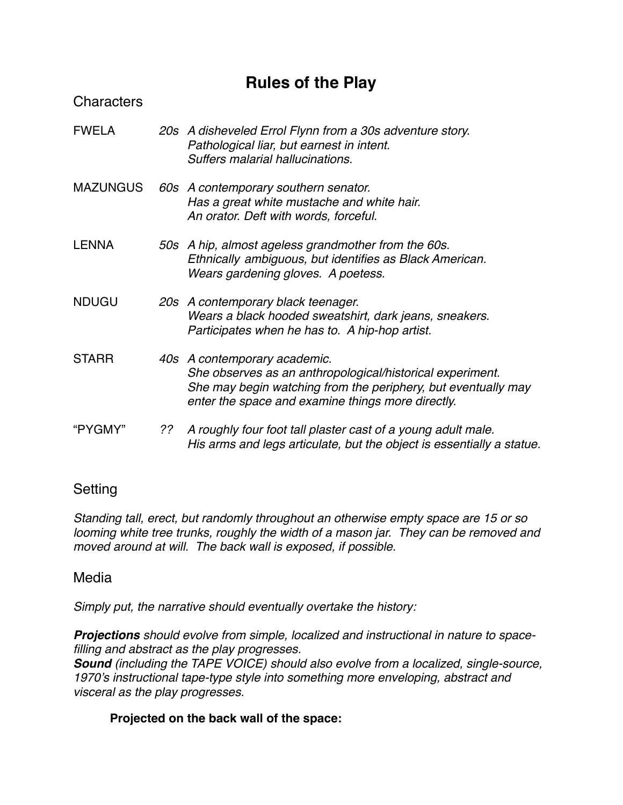# **Rules of the Play**

## **Characters**

| <b>FWELA</b>    | 20s A disheveled Errol Flynn from a 30s adventure story.<br>Pathological liar, but earnest in intent.<br>Suffers malarial hallucinations.                                                                                                                                                                                                                                            |
|-----------------|--------------------------------------------------------------------------------------------------------------------------------------------------------------------------------------------------------------------------------------------------------------------------------------------------------------------------------------------------------------------------------------|
| <b>MATHIAIN</b> | $\overline{a}$ $\overline{a}$ $\overline{a}$ $\overline{a}$ $\overline{a}$ $\overline{a}$ $\overline{a}$ $\overline{a}$ $\overline{a}$ $\overline{a}$ $\overline{a}$ $\overline{a}$ $\overline{a}$ $\overline{a}$ $\overline{a}$ $\overline{a}$ $\overline{a}$ $\overline{a}$ $\overline{a}$ $\overline{a}$ $\overline{a}$ $\overline{a}$ $\overline{a}$ $\overline{a}$ $\overline{$ |

- MAZUNGUS *60s A contemporary southern senator. Has a great white mustache and white hair. An orator. Deft with words, forceful.*
- LENNA *50s A hip, almost ageless grandmother from the 60s. Ethnically ambiguous, but identifies as Black American. Wears gardening gloves. A poetess.*
- NDUGU *20s A contemporary black teenager. Wears a black hooded sweatshirt, dark jeans, sneakers. Participates when he has to. A hip-hop artist.*
- STARR *40s A contemporary academic. She observes as an anthropological/historical experiment. She may begin watching from the periphery, but eventually may enter the space and examine things more directly.*
- "PYGMY" *?? A roughly four foot tall plaster cast of a young adult male. His arms and legs articulate, but the object is essentially a statue.*

## Setting

*Standing tall, erect, but randomly throughout an otherwise empty space are 15 or so looming white tree trunks, roughly the width of a mason jar. They can be removed and moved around at will. The back wall is exposed, if possible.*

## Media

*Simply put, the narrative should eventually overtake the history:*

*Projections should evolve from simple, localized and instructional in nature to spacefilling and abstract as the play progresses.*

*Sound (including the TAPE VOICE) should also evolve from a localized, single-source, 1970's instructional tape-type style into something more enveloping, abstract and visceral as the play progresses.*

## **Projected on the back wall of the space:**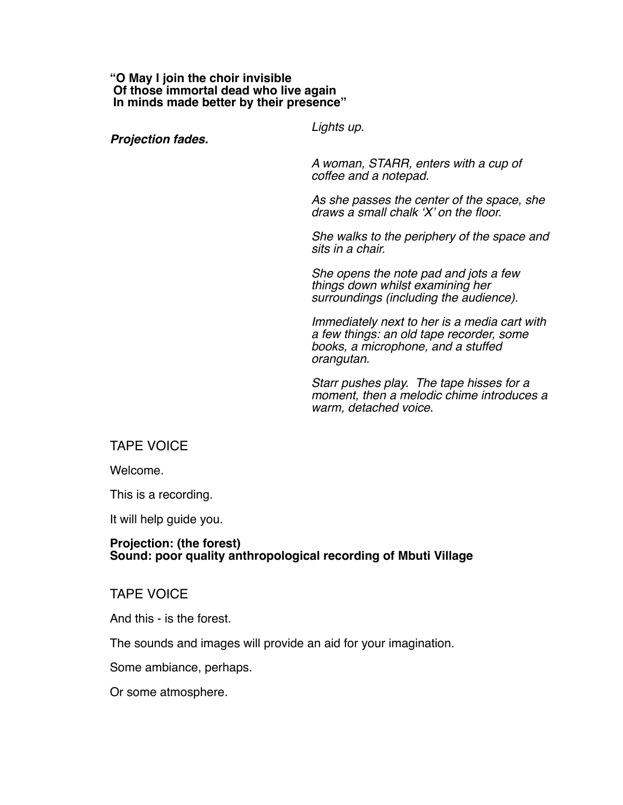#### **"O May I join the choir invisible Of those immortal dead who live again In minds made better by their presence"**

*Lights up.*

*Projection fades.* 

*A woman, STARR, enters with a cup of coffee and a notepad.* 

*As she passes the center of the space, she draws a small chalk 'X' on the floor.* 

*She walks to the periphery of the space and sits in a chair.* 

*She opens the note pad and jots a few things down whilst examining her surroundings (including the audience).*

*Immediately next to her is a media cart with a few things: an old tape recorder, some books, a microphone, and a stuffed orangutan.*

*Starr pushes play. The tape hisses for a moment, then a melodic chime introduces a warm, detached voice.*

#### TAPE VOICE

Welcome.

This is a recording.

It will help guide you.

#### **Projection: (the forest) Sound: poor quality anthropological recording of Mbuti Village**

#### TAPE VOICE

And this - is the forest.

The sounds and images will provide an aid for your imagination.

Some ambiance, perhaps.

Or some atmosphere.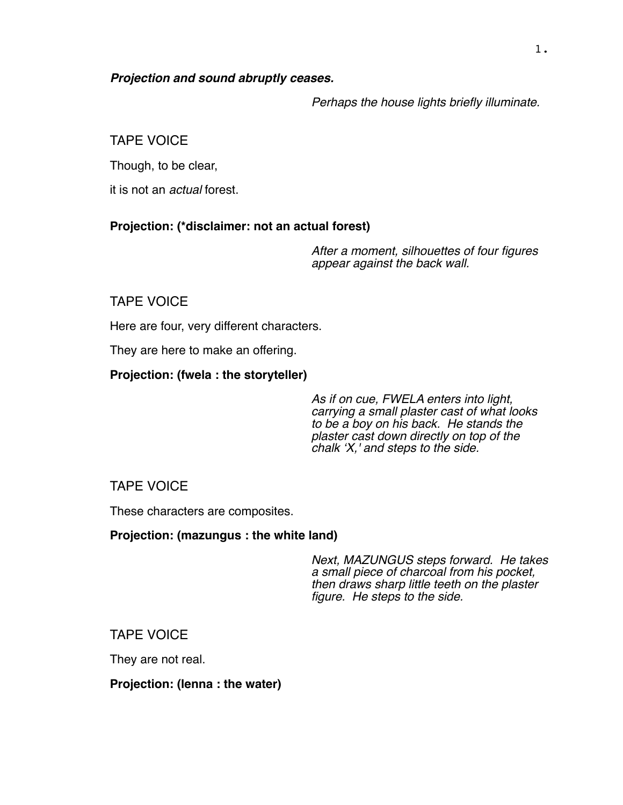#### *Projection and sound abruptly ceases.*

*Perhaps the house lights briefly illuminate.*

## TAPE VOICE

Though, to be clear,

it is not an *actual* forest.

## **Projection: (\*disclaimer: not an actual forest)**

*After a moment, silhouettes of four figures appear against the back wall.*

## TAPE VOICE

Here are four, very different characters.

They are here to make an offering.

## **Projection: (fwela : the storyteller)**

*As if on cue, FWELA enters into light, carrying a small plaster cast of what looks to be a boy on his back. He stands the plaster cast down directly on top of the chalk 'X,' and steps to the side.*

## TAPE VOICE

These characters are composites.

## **Projection: (mazungus : the white land)**

*Next, MAZUNGUS steps forward. He takes a small piece of charcoal from his pocket, then draws sharp little teeth on the plaster figure. He steps to the side.*

## TAPE VOICE

They are not real.

#### **Projection: (lenna : the water)**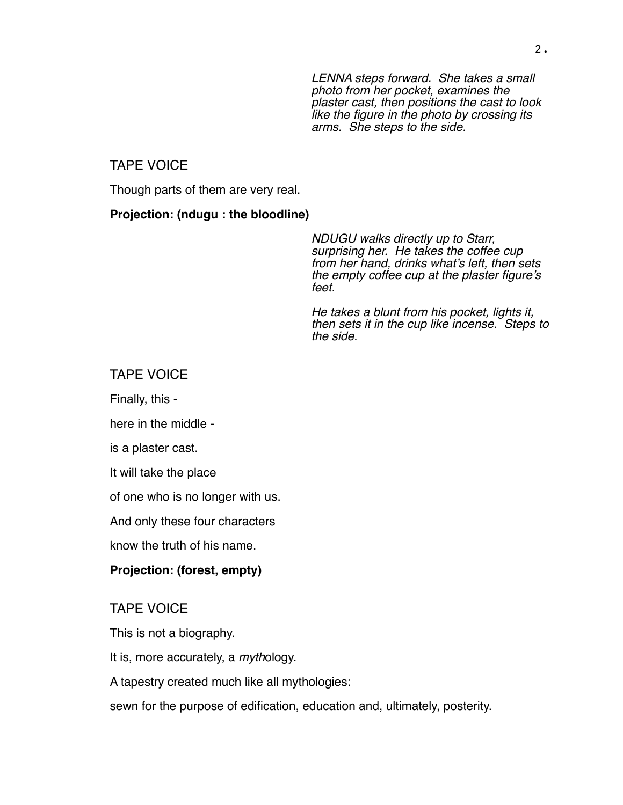*LENNA steps forward. She takes a small photo from her pocket, examines the plaster cast, then positions the cast to look like the figure in the photo by crossing its arms. She steps to the side.*

#### TAPE VOICE

Though parts of them are very real.

#### **Projection: (ndugu : the bloodline)**

*NDUGU walks directly up to Starr, surprising her. He takes the coffee cup from her hand, drinks what's left, then sets the empty coffee cup at the plaster figure's feet.* 

*He takes a blunt from his pocket, lights it, then sets it in the cup like incense. Steps to the side.*

#### TAPE VOICE

Finally, this -

here in the middle -

is a plaster cast.

It will take the place

of one who is no longer with us.

And only these four characters

know the truth of his name.

### **Projection: (forest, empty)**

TAPE VOICE

This is not a biography.

It is, more accurately, a *myth*ology.

A tapestry created much like all mythologies:

sewn for the purpose of edification, education and, ultimately, posterity.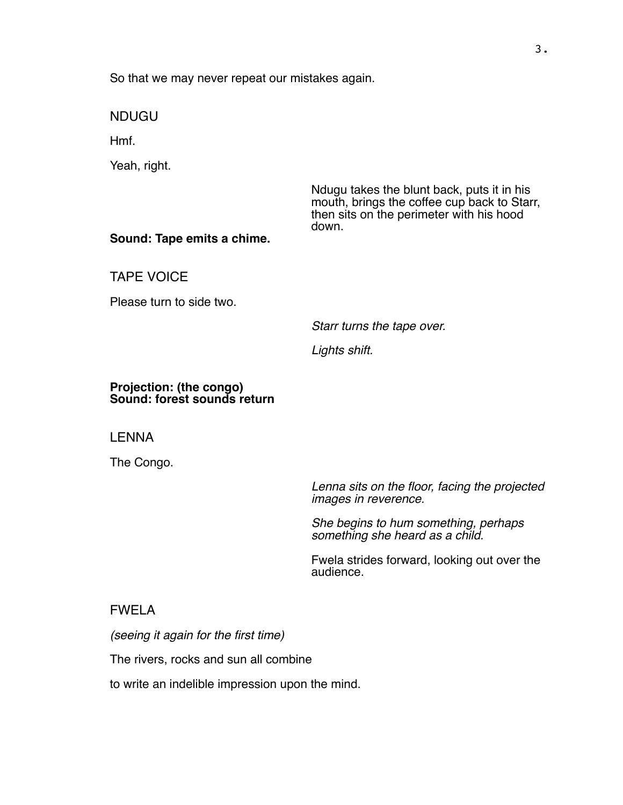So that we may never repeat our mistakes again.

NDUGU

Hmf.

Yeah, right.

Ndugu takes the blunt back, puts it in his mouth, brings the coffee cup back to Starr, then sits on the perimeter with his hood down.

#### **Sound: Tape emits a chime.**

TAPE VOICE

Please turn to side two.

*Starr turns the tape over.* 

*Lights shift.* 

#### **Projection: (the congo) Sound: forest sounds return**

LENNA

The Congo.

*Lenna sits on the floor, facing the projected images in reverence.* 

*She begins to hum something, perhaps something she heard as a child.*

Fwela strides forward, looking out over the audience.

#### FWELA

*(seeing it again for the first time)*

The rivers, rocks and sun all combine

to write an indelible impression upon the mind.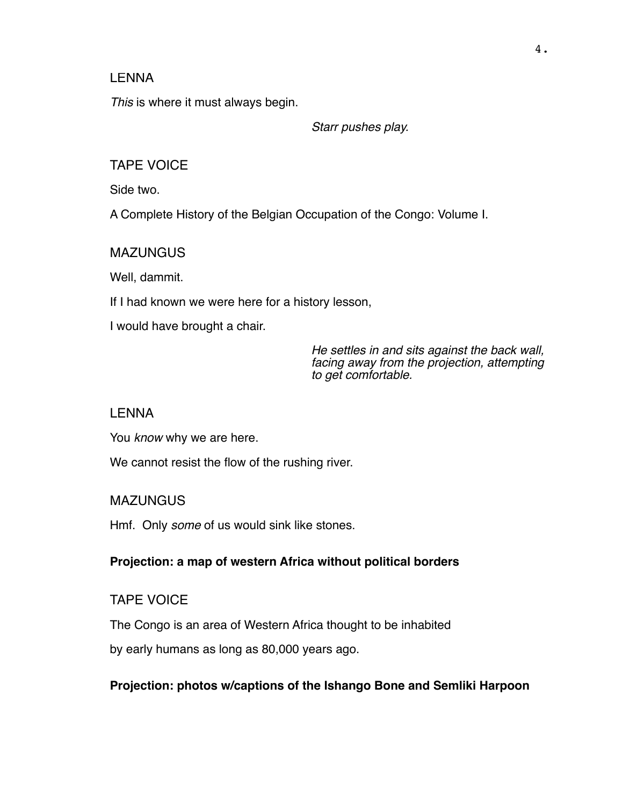#### LENNA

*This* is where it must always begin.

*Starr pushes play.*

TAPE VOICE

Side two.

A Complete History of the Belgian Occupation of the Congo: Volume I.

**MAZUNGUS** 

Well, dammit.

If I had known we were here for a history lesson,

I would have brought a chair.

*He settles in and sits against the back wall, facing away from the projection, attempting to get comfortable.*

#### LENNA

You *know* why we are here.

We cannot resist the flow of the rushing river.

#### **MAZUNGUS**

Hmf. Only *some* of us would sink like stones.

#### **Projection: a map of western Africa without political borders**

#### TAPE VOICE

The Congo is an area of Western Africa thought to be inhabited

by early humans as long as 80,000 years ago.

#### **Projection: photos w/captions of the Ishango Bone and Semliki Harpoon**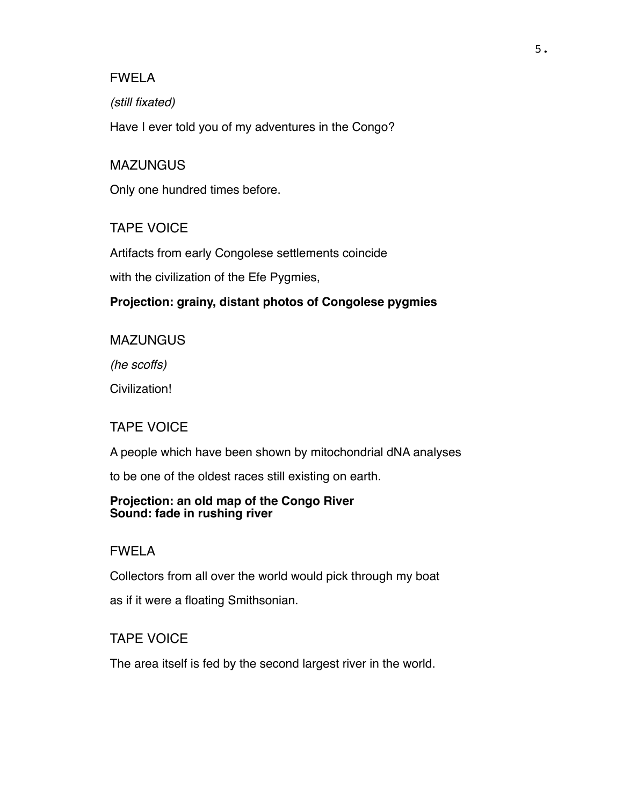*(still fixated)*

Have I ever told you of my adventures in the Congo?

#### **MAZUNGUS**

Only one hundred times before.

#### TAPE VOICE

Artifacts from early Congolese settlements coincide

with the civilization of the Efe Pygmies,

#### **Projection: grainy, distant photos of Congolese pygmies**

**MAZUNGUS** 

*(he scoffs)*

Civilization!

#### TAPE VOICE

A people which have been shown by mitochondrial dNA analyses

to be one of the oldest races still existing on earth.

#### **Projection: an old map of the Congo River Sound: fade in rushing river**

#### FWELA

Collectors from all over the world would pick through my boat

as if it were a floating Smithsonian.

#### TAPE VOICE

The area itself is fed by the second largest river in the world.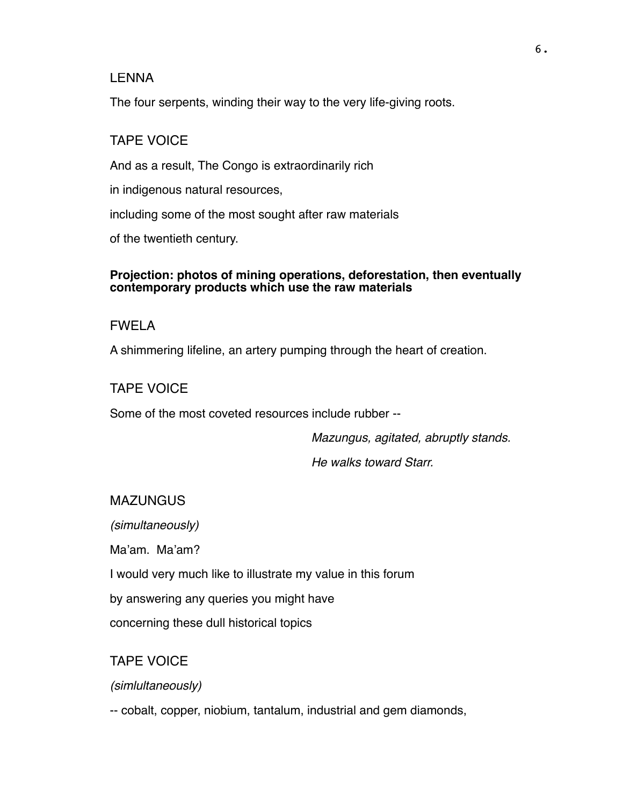#### LENNA

The four serpents, winding their way to the very life-giving roots.

## TAPE VOICE

And as a result, The Congo is extraordinarily rich

in indigenous natural resources,

including some of the most sought after raw materials

of the twentieth century.

#### **Projection: photos of mining operations, deforestation, then eventually contemporary products which use the raw materials**

## FWELA

A shimmering lifeline, an artery pumping through the heart of creation.

## TAPE VOICE

Some of the most coveted resources include rubber --

*Mazungus, agitated, abruptly stands.* 

*He walks toward Starr.*

#### **MAZUNGUS**

*(simultaneously)*

Ma'am. Ma'am?

I would very much like to illustrate my value in this forum

by answering any queries you might have

concerning these dull historical topics

## TAPE VOICE

*(simlultaneously)*

-- cobalt, copper, niobium, tantalum, industrial and gem diamonds,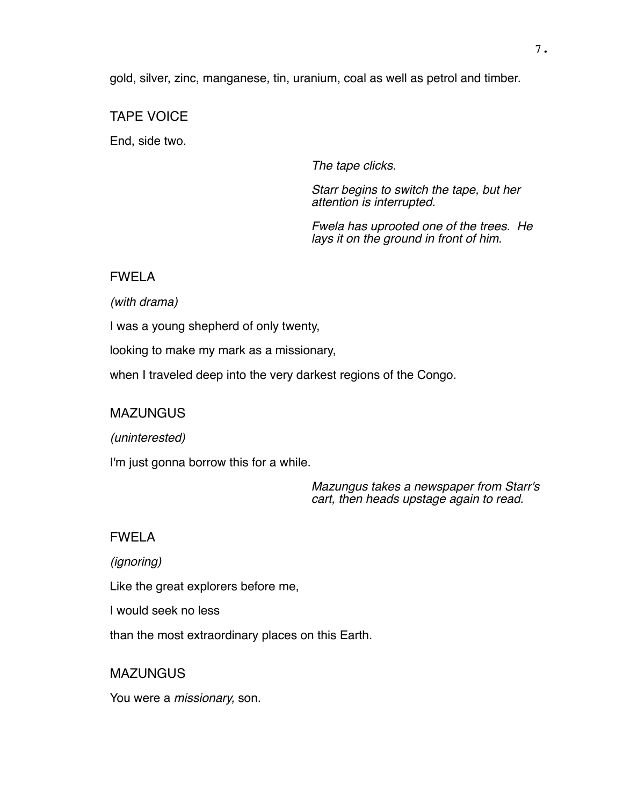gold, silver, zinc, manganese, tin, uranium, coal as well as petrol and timber.

## TAPE VOICE

End, side two.

*The tape clicks.* 

*Starr begins to switch the tape, but her attention is interrupted.*

*Fwela has uprooted one of the trees. He lays it on the ground in front of him.*

## FWELA

*(with drama)*

I was a young shepherd of only twenty,

looking to make my mark as a missionary,

when I traveled deep into the very darkest regions of the Congo.

## **MAZUNGUS**

*(uninterested)*

I'm just gonna borrow this for a while.

*Mazungus takes a newspaper from Starr's cart, then heads upstage again to read.*

## FWELA

*(ignoring)*

Like the great explorers before me,

I would seek no less

than the most extraordinary places on this Earth.

**MAZUNGUS** 

You were a *missionary,* son.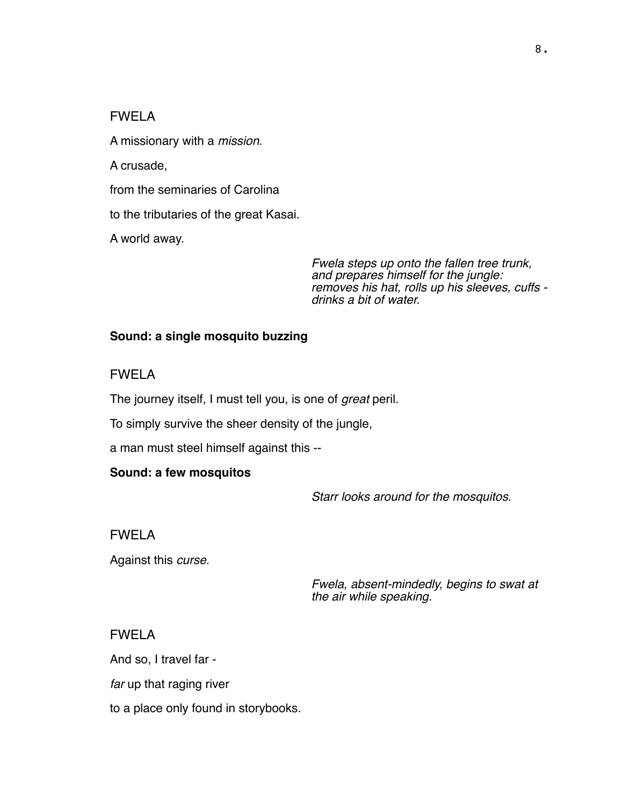A missionary with a *mission*.

A crusade,

from the seminaries of Carolina

to the tributaries of the great Kasai.

A world away.

*Fwela steps up onto the fallen tree trunk, and prepares himself for the jungle: removes his hat, rolls up his sleeves, cuffs drinks a bit of water.* 

#### **Sound: a single mosquito buzzing**

FWELA

The journey itself, I must tell you, is one of *great* peril.

To simply survive the sheer density of the jungle,

a man must steel himself against this --

#### **Sound: a few mosquitos**

*Starr looks around for the mosquitos.*

FWELA

Against this *curse*.

*Fwela, absent-mindedly, begins to swat at the air while speaking.*

#### FWELA

And so, I travel far -

*far* up that raging river

to a place only found in storybooks.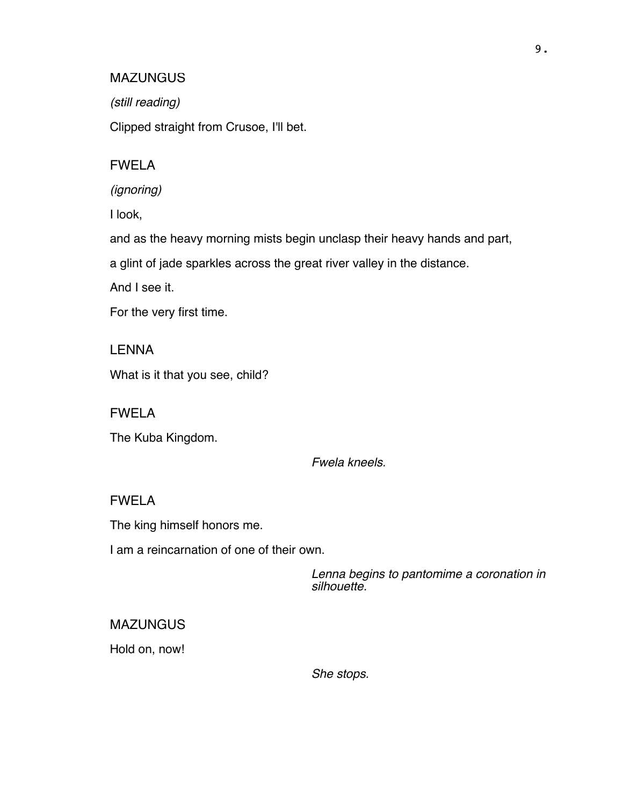#### MAZUNGUS

*(still reading)*

Clipped straight from Crusoe, I'll bet.

#### FWELA

*(ignoring)*

I look,

and as the heavy morning mists begin unclasp their heavy hands and part,

a glint of jade sparkles across the great river valley in the distance.

And I see it.

For the very first time.

LENNA What is it that you see, child?

FWELA

The Kuba Kingdom.

*Fwela kneels.*

#### FWELA

The king himself honors me.

I am a reincarnation of one of their own.

*Lenna begins to pantomime a coronation in silhouette.*

#### **MAZUNGUS**

Hold on, now!

*She stops.*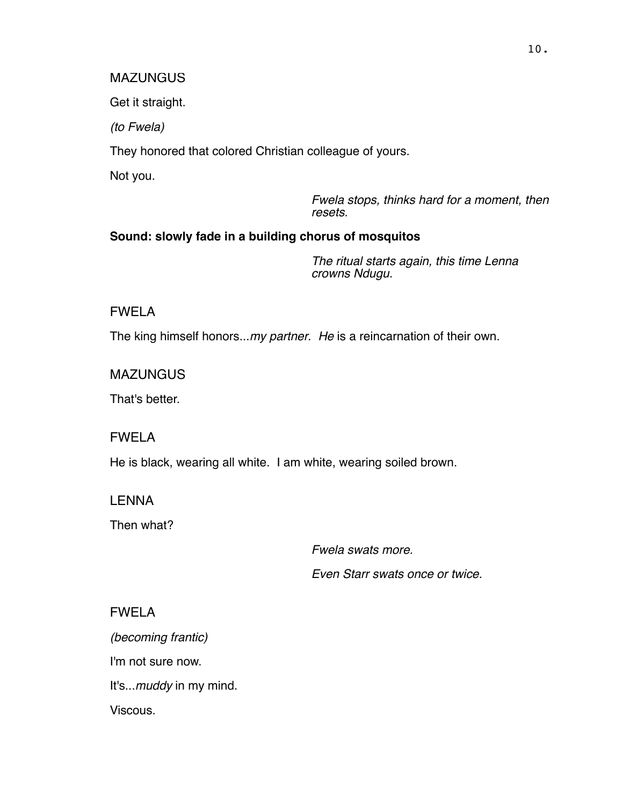#### **MAZUNGUS**

Get it straight.

*(to Fwela)*

They honored that colored Christian colleague of yours.

Not you.

*Fwela stops, thinks hard for a moment, then resets.*

## **Sound: slowly fade in a building chorus of mosquitos**

*The ritual starts again, this time Lenna crowns Ndugu.*

## FWELA

The king himself honors...*my partner*. *He* is a reincarnation of their own.

**MAZUNGUS** 

That's better.

FWELA

He is black, wearing all white. I am white, wearing soiled brown.

LENNA

Then what?

*Fwela swats more.* 

*Even Starr swats once or twice.*

## FWELA

*(becoming frantic)* I'm not sure now. It's...*muddy* in my mind. Viscous.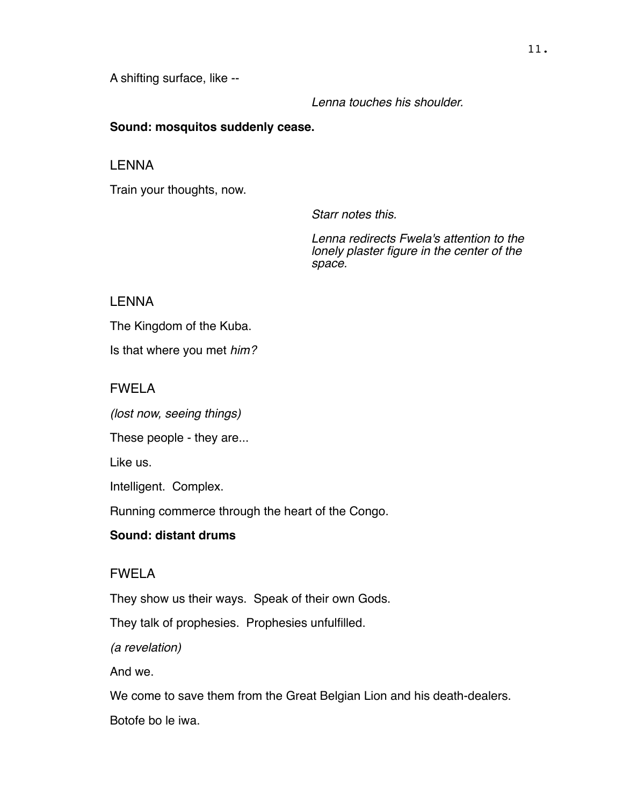A shifting surface, like --

*Lenna touches his shoulder.*

## **Sound: mosquitos suddenly cease.**

LENNA

Train your thoughts, now.

*Starr notes this.*

*Lenna redirects Fwela's attention to the lonely plaster figure in the center of the space.*

## LENNA

The Kingdom of the Kuba.

Is that where you met *him?*

## FWELA

*(lost now, seeing things)*

These people - they are...

Like us.

Intelligent. Complex.

Running commerce through the heart of the Congo.

## **Sound: distant drums**

## FWELA

They show us their ways. Speak of their own Gods.

They talk of prophesies. Prophesies unfulfilled.

*(a revelation)*

And we.

We come to save them from the Great Belgian Lion and his death-dealers.

Botofe bo le iwa.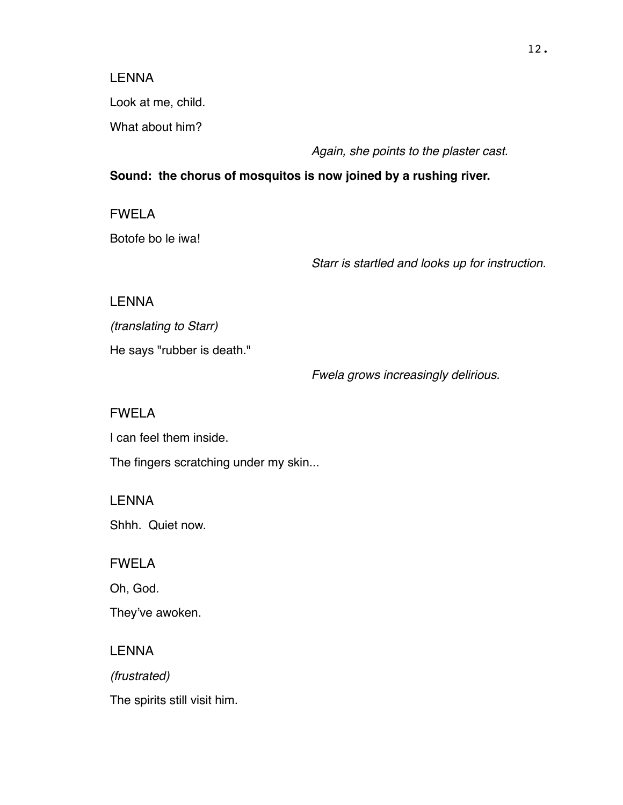#### LENNA

Look at me, child.

What about him?

*Again, she points to the plaster cast.*

## **Sound: the chorus of mosquitos is now joined by a rushing river.**

FWELA

Botofe bo le iwa!

*Starr is startled and looks up for instruction.*

LENNA

*(translating to Starr)*

He says "rubber is death."

*Fwela grows increasingly delirious.*

FWELA

I can feel them inside.

The fingers scratching under my skin...

LENNA

Shhh. Quiet now.

FWELA

Oh, God.

They've awoken.

LENNA

*(frustrated)*

The spirits still visit him.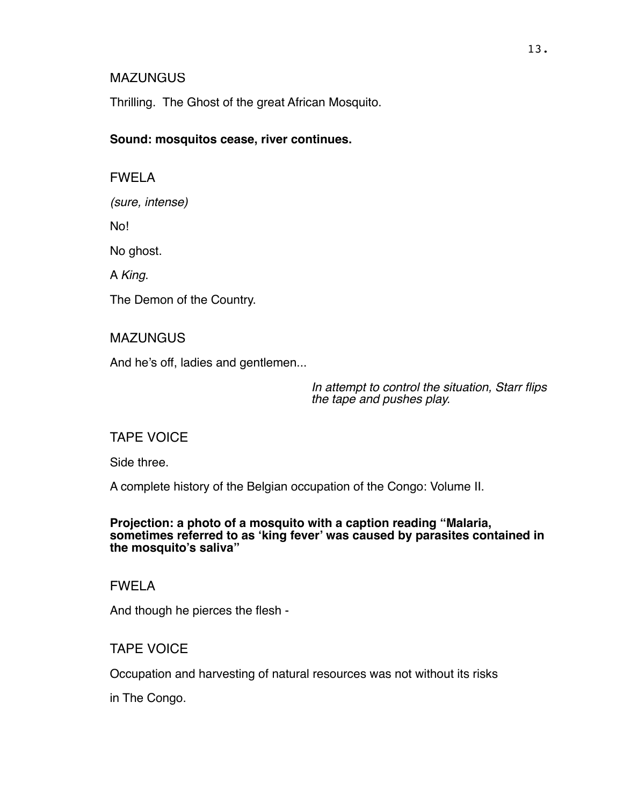#### **MAZUNGUS**

Thrilling. The Ghost of the great African Mosquito.

#### **Sound: mosquitos cease, river continues.**

FWELA

*(sure, intense)*

No!

No ghost.

A *King*.

The Demon of the Country.

**MAZUNGUS** 

And he's off, ladies and gentlemen...

*In attempt to control the situation, Starr flips the tape and pushes play.*

## TAPE VOICE

Side three.

A complete history of the Belgian occupation of the Congo: Volume II.

#### **Projection: a photo of a mosquito with a caption reading "Malaria, sometimes referred to as 'king fever' was caused by parasites contained in the mosquito's saliva"**

FWELA

And though he pierces the flesh -

## TAPE VOICE

Occupation and harvesting of natural resources was not without its risks

in The Congo.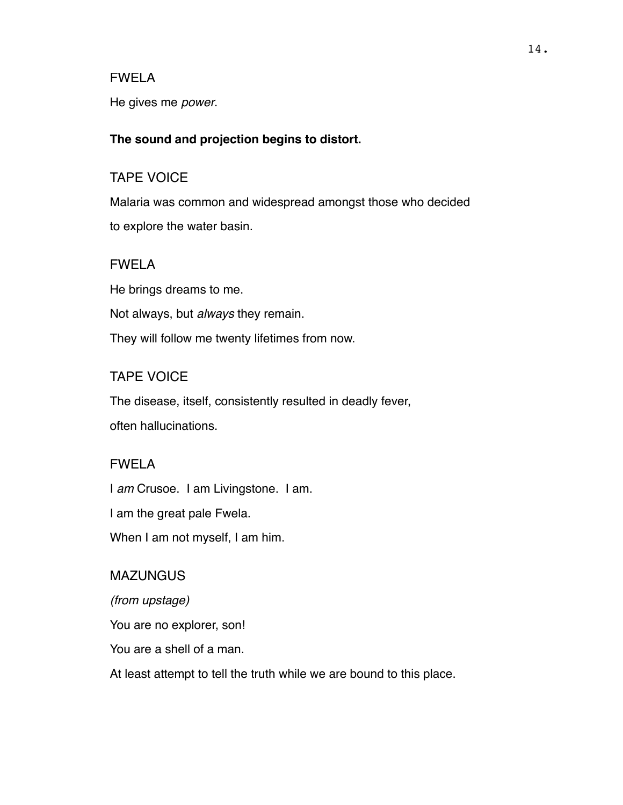He gives me *power*.

#### **The sound and projection begins to distort.**

#### TAPE VOICE

Malaria was common and widespread amongst those who decided to explore the water basin.

#### FWELA

He brings dreams to me. Not always, but *always* they remain. They will follow me twenty lifetimes from now.

#### TAPE VOICE

The disease, itself, consistently resulted in deadly fever, often hallucinations.

## FWELA

I *am* Crusoe. I am Livingstone. I am. I am the great pale Fwela. When I am not myself, I am him.

#### **MAZUNGUS**

*(from upstage)* You are no explorer, son! You are a shell of a man. At least attempt to tell the truth while we are bound to this place.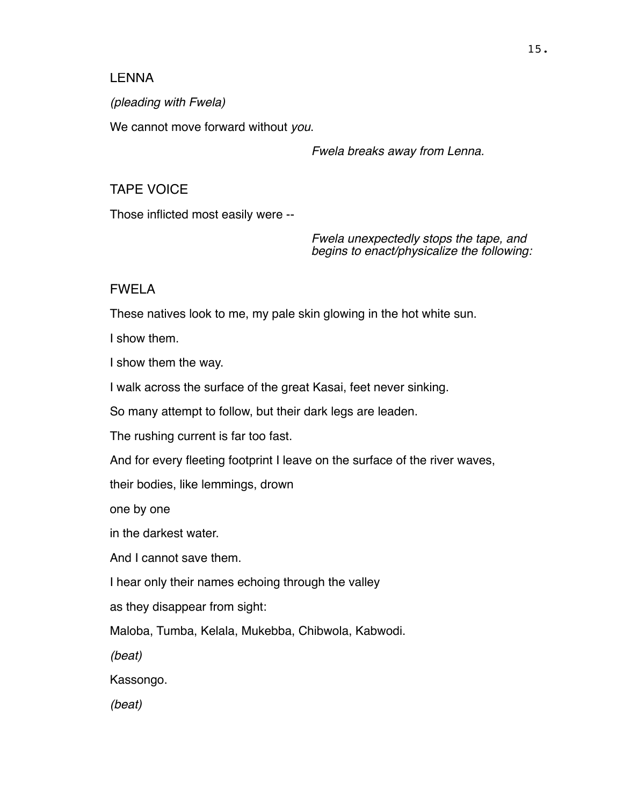### LENNA

*(pleading with Fwela)*

We cannot move forward without *you*.

## *Fwela breaks away from Lenna.*

## TAPE VOICE

Those inflicted most easily were --

*Fwela unexpectedly stops the tape, and begins to enact/physicalize the following:*

## FWELA

These natives look to me, my pale skin glowing in the hot white sun.

I show them.

I show them the way.

I walk across the surface of the great Kasai, feet never sinking.

So many attempt to follow, but their dark legs are leaden.

The rushing current is far too fast.

And for every fleeting footprint I leave on the surface of the river waves,

their bodies, like lemmings, drown

one by one

in the darkest water.

And I cannot save them.

I hear only their names echoing through the valley

as they disappear from sight:

Maloba, Tumba, Kelala, Mukebba, Chibwola, Kabwodi.

*(beat)*

Kassongo.

*(beat)*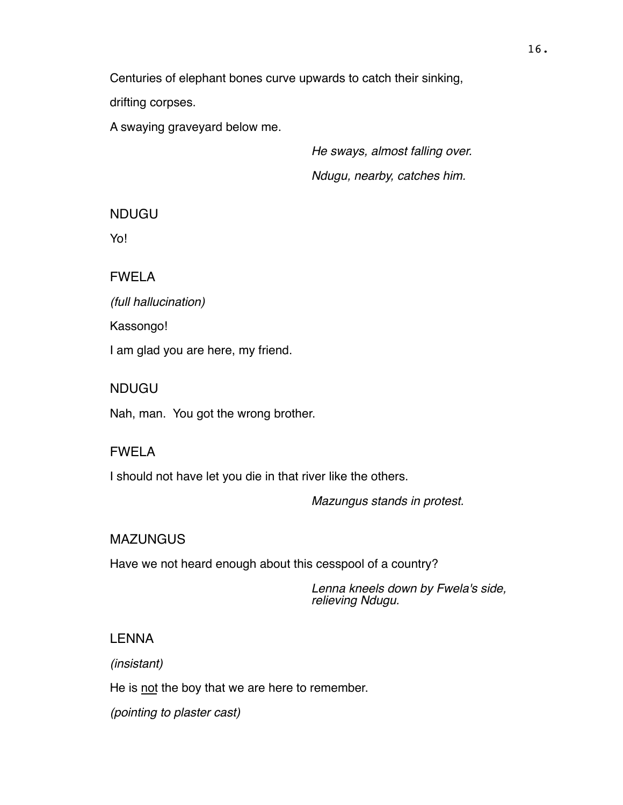Centuries of elephant bones curve upwards to catch their sinking,

drifting corpses.

A swaying graveyard below me.

*He sways, almost falling over. Ndugu, nearby, catches him.*

NDUGU

Yo!

FWELA

*(full hallucination)*

Kassongo!

I am glad you are here, my friend.

NDUGU

Nah, man. You got the wrong brother.

## FWELA

I should not have let you die in that river like the others.

*Mazungus stands in protest.*

**MAZUNGUS** 

Have we not heard enough about this cesspool of a country?

*Lenna kneels down by Fwela's side, relieving Ndugu.*

## LENNA

*(insistant)*

He is not the boy that we are here to remember.

*(pointing to plaster cast)*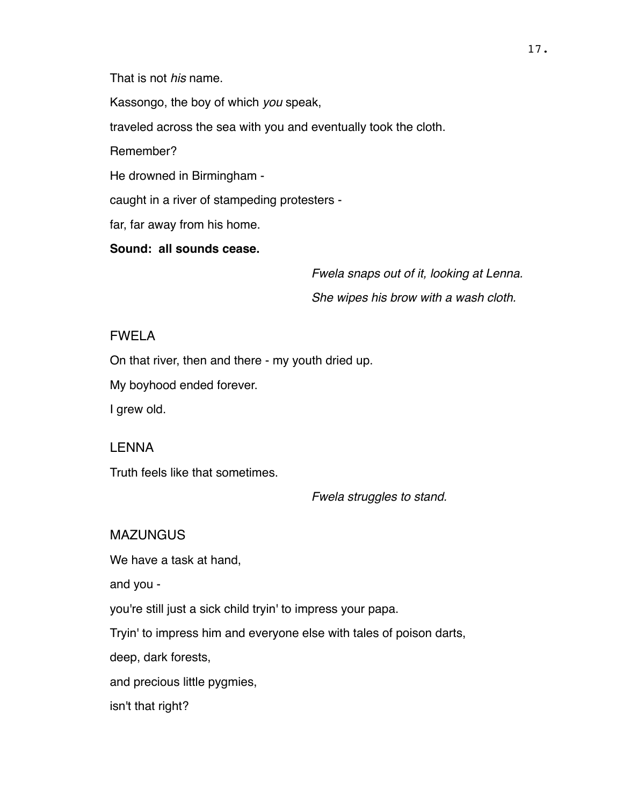That is not *his* name.

Kassongo, the boy of which *you* speak,

traveled across the sea with you and eventually took the cloth.

Remember?

He drowned in Birmingham -

caught in a river of stampeding protesters -

far, far away from his home.

**Sound: all sounds cease.**

*Fwela snaps out of it, looking at Lenna. She wipes his brow with a wash cloth.*

## FWELA

On that river, then and there - my youth dried up.

My boyhood ended forever.

I grew old.

#### LENNA

Truth feels like that sometimes.

*Fwela struggles to stand.*

**MAZUNGUS** 

We have a task at hand,

and you -

you're still just a sick child tryin' to impress your papa.

Tryin' to impress him and everyone else with tales of poison darts,

deep, dark forests,

and precious little pygmies,

isn't that right?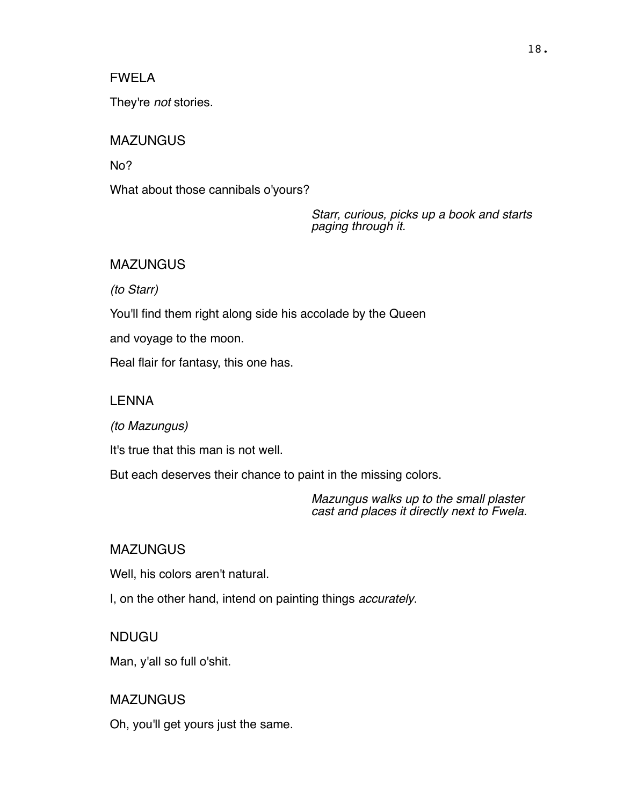They're *not* stories.

## **MAZUNGUS**

No?

What about those cannibals o'yours?

*Starr, curious, picks up a book and starts paging through it.*

## MAZUNGUS

*(to Starr)*

You'll find them right along side his accolade by the Queen

and voyage to the moon.

Real flair for fantasy, this one has.

## LENNA

*(to Mazungus)*

It's true that this man is not well.

But each deserves their chance to paint in the missing colors.

*Mazungus walks up to the small plaster cast and places it directly next to Fwela.*

## MAZUNGUS

Well, his colors aren't natural.

I, on the other hand, intend on painting things *accurately*.

## NDUGU

Man, y'all so full o'shit.

## MAZUNGUS

Oh, you'll get yours just the same.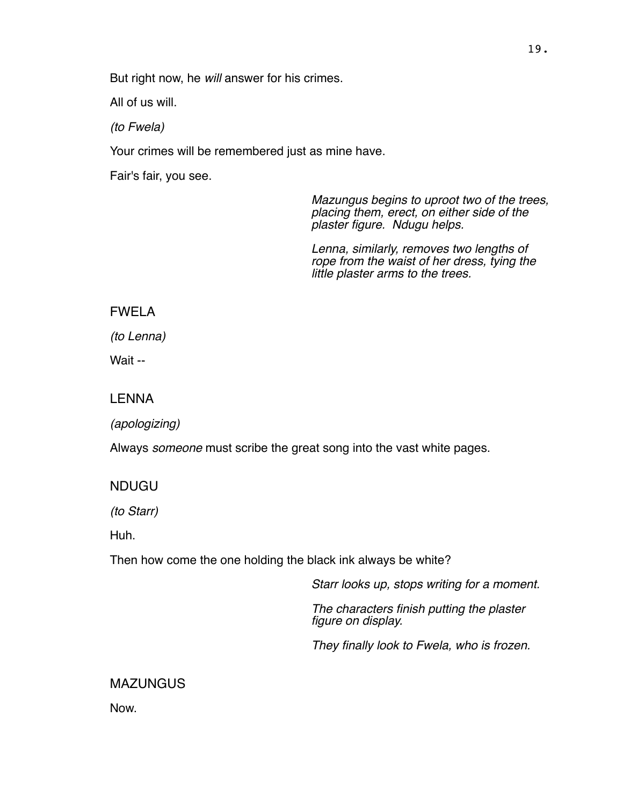But right now, he *will* answer for his crimes.

All of us will.

*(to Fwela)*

Your crimes will be remembered just as mine have.

Fair's fair, you see.

*Mazungus begins to uproot two of the trees, placing them, erect, on either side of the plaster figure. Ndugu helps.* 

*Lenna, similarly, removes two lengths of rope from the waist of her dress, tying the little plaster arms to the trees.*

FWELA

*(to Lenna)*

Wait --

LENNA

*(apologizing)*

Always *someone* must scribe the great song into the vast white pages.

NDUGU

*(to Starr)*

Huh.

Then how come the one holding the black ink always be white?

*Starr looks up, stops writing for a moment.* 

*The characters finish putting the plaster figure on display.* 

*They finally look to Fwela, who is frozen.*

MAZUNGUS

Now.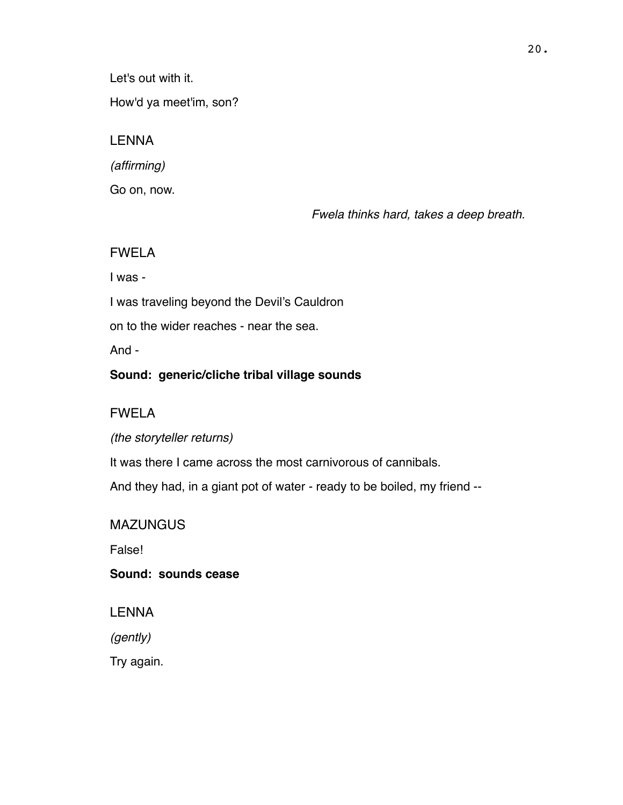Let's out with it.

How'd ya meet'im, son?

## LENNA

*(affirming)*

Go on, now.

*Fwela thinks hard, takes a deep breath.*

## FWELA

I was -

I was traveling beyond the Devil's Cauldron

on to the wider reaches - near the sea.

And -

## **Sound: generic/cliche tribal village sounds**

## FWELA

*(the storyteller returns)*

It was there I came across the most carnivorous of cannibals.

And they had, in a giant pot of water - ready to be boiled, my friend --

## **MAZUNGUS**

False!

**Sound: sounds cease**

LENNA

*(gently)*

Try again.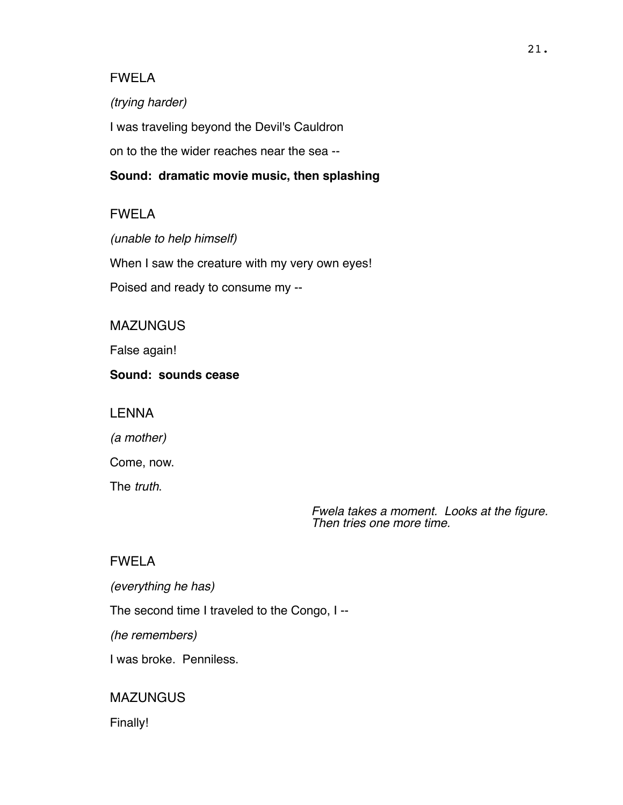*(trying harder)*

I was traveling beyond the Devil's Cauldron

on to the the wider reaches near the sea --

## **Sound: dramatic movie music, then splashing**

## FWELA

*(unable to help himself)* When I saw the creature with my very own eyes! Poised and ready to consume my --

## **MAZUNGUS**

False again!

#### **Sound: sounds cease**

LENNA

*(a mother)*

Come, now.

The *truth*.

*Fwela takes a moment. Looks at the figure. Then tries one more time.*

## FWELA

*(everything he has)*

The second time I traveled to the Congo, I --

*(he remembers)*

I was broke. Penniless.

## **MAZUNGUS**

Finally!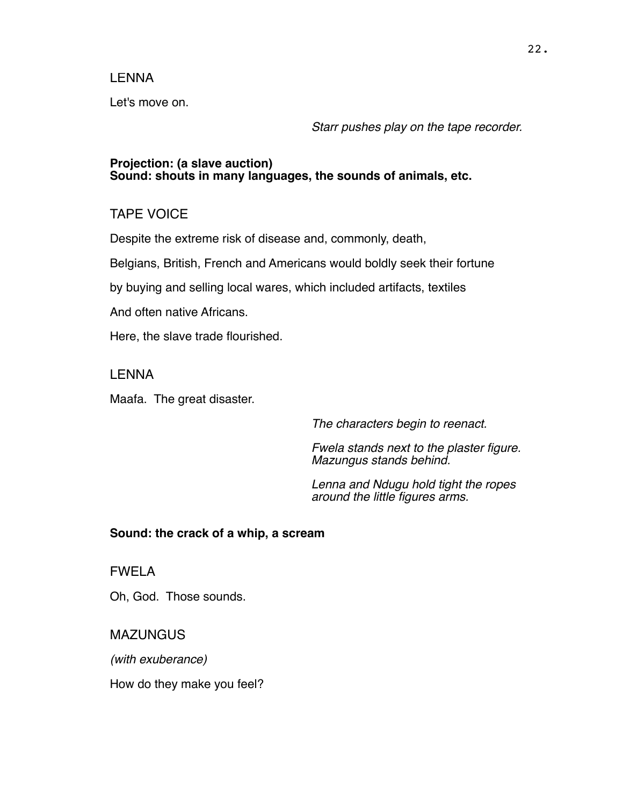#### LENNA

Let's move on.

*Starr pushes play on the tape recorder.*

#### **Projection: (a slave auction) Sound: shouts in many languages, the sounds of animals, etc.**

## TAPE VOICE

Despite the extreme risk of disease and, commonly, death,

Belgians, British, French and Americans would boldly seek their fortune

by buying and selling local wares, which included artifacts, textiles

And often native Africans.

Here, the slave trade flourished.

LENNA

Maafa. The great disaster.

*The characters begin to reenact.* 

*Fwela stands next to the plaster figure. Mazungus stands behind.* 

*Lenna and Ndugu hold tight the ropes around the little figures arms.*

#### **Sound: the crack of a whip, a scream**

FWELA

Oh, God. Those sounds.

MAZUNGUS

*(with exuberance)*

How do they make you feel?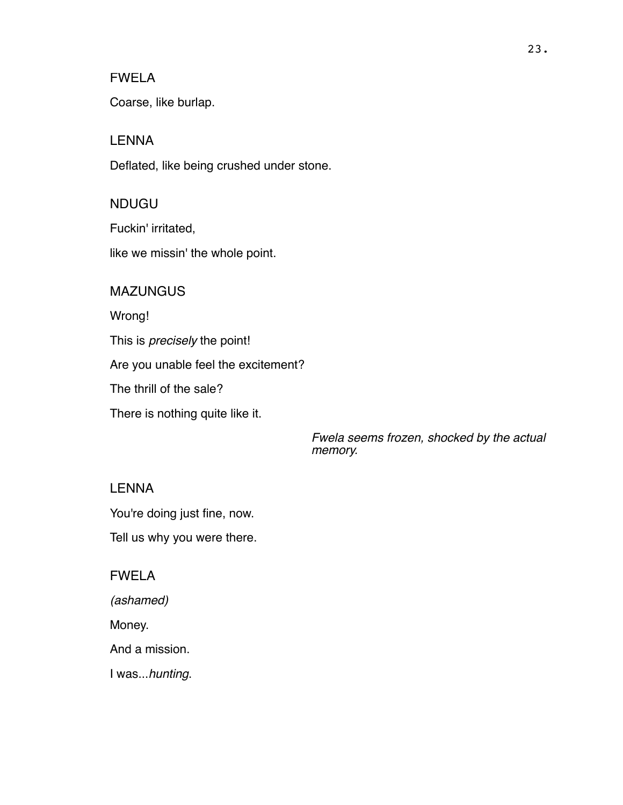Coarse, like burlap.

## LENNA

Deflated, like being crushed under stone.

## NDUGU

Fuckin' irritated,

like we missin' the whole point.

#### **MAZUNGUS**

Wrong!

This is *precisely* the point!

Are you unable feel the excitement?

The thrill of the sale?

There is nothing quite like it.

*Fwela seems frozen, shocked by the actual memory.*

## LENNA

You're doing just fine, now.

Tell us why you were there.

#### FWELA

*(ashamed)*

Money.

And a mission.

I was...*hunting*.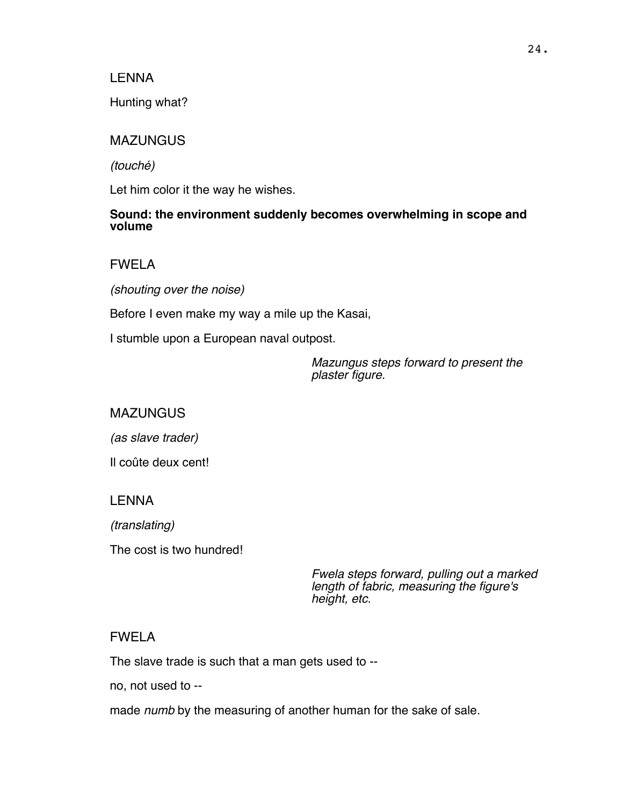#### LENNA

Hunting what?

#### **MAZUNGUS**

*(touché)*

Let him color it the way he wishes.

#### **Sound: the environment suddenly becomes overwhelming in scope and volume**

FWELA

*(shouting over the noise)*

Before I even make my way a mile up the Kasai,

I stumble upon a European naval outpost.

*Mazungus steps forward to present the plaster figure.*

#### **MAZUNGUS**

*(as slave trader)*

Il coûte deux cent!

#### LENNA

*(translating)*

The cost is two hundred!

*Fwela steps forward, pulling out a marked length of fabric, measuring the figure's height, etc.*

#### FWELA

The slave trade is such that a man gets used to --

no, not used to --

made *numb* by the measuring of another human for the sake of sale.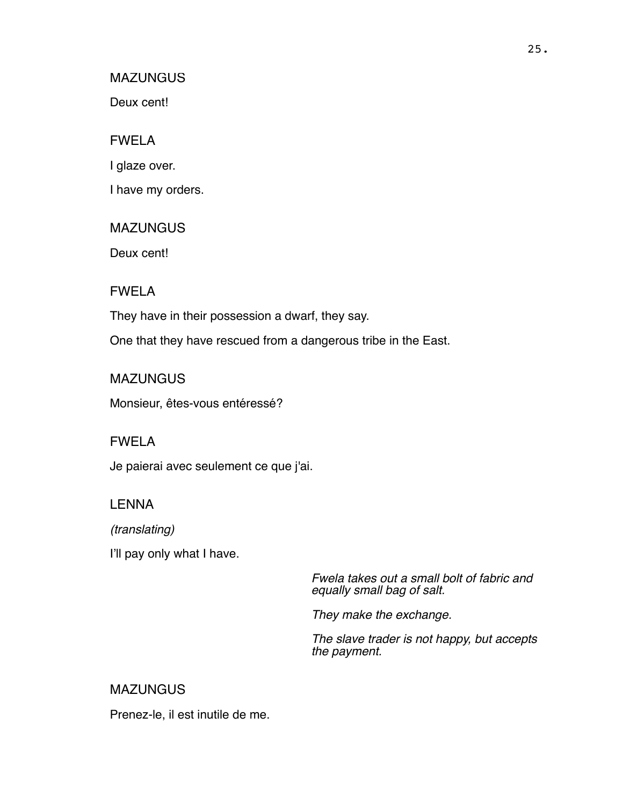#### **MAZUNGUS**

Deux cent!

## FWELA

I glaze over.

I have my orders.

#### **MAZUNGUS**

Deux cent!

FWELA

They have in their possession a dwarf, they say.

One that they have rescued from a dangerous tribe in the East.

**MAZUNGUS** 

Monsieur, êtes-vous entéressé?

#### FWELA

Je paierai avec seulement ce que j'ai.

## LENNA

*(translating)*

I'll pay only what I have.

*Fwela takes out a small bolt of fabric and equally small bag of salt.* 

*They make the exchange.* 

*The slave trader is not happy, but accepts the payment.*

## **MAZUNGUS**

Prenez-le, il est inutile de me.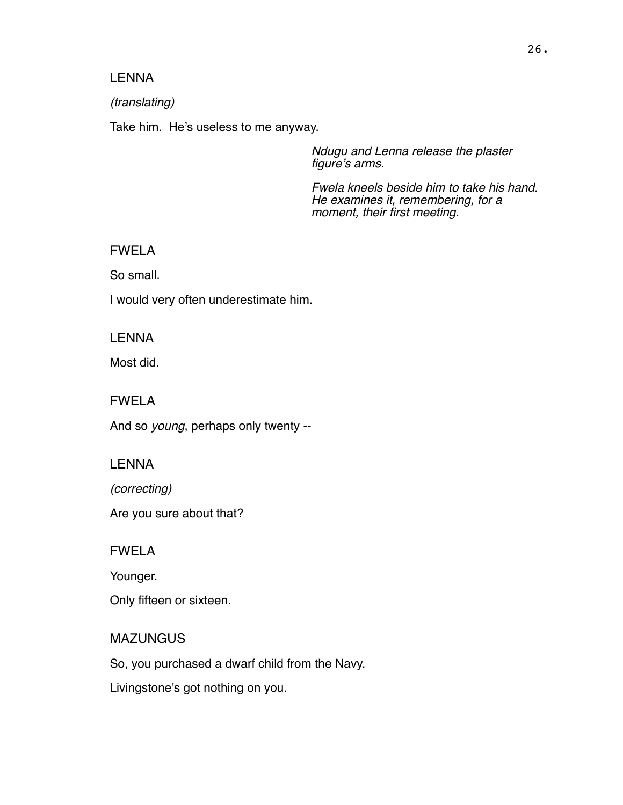#### LENNA

#### *(translating)*

Take him. He's useless to me anyway.

*Ndugu and Lenna release the plaster figure's arms.* 

*Fwela kneels beside him to take his hand. He examines it, remembering, for a moment, their first meeting.*

### FWELA

So small.

I would very often underestimate him.

## **LENNA**

Most did.

#### FWELA

And so *young*, perhaps only twenty --

#### LENNA

*(correcting)*

Are you sure about that?

#### FWELA

Younger.

Only fifteen or sixteen.

## **MAZUNGUS**

So, you purchased a dwarf child from the Navy.

Livingstone's got nothing on you.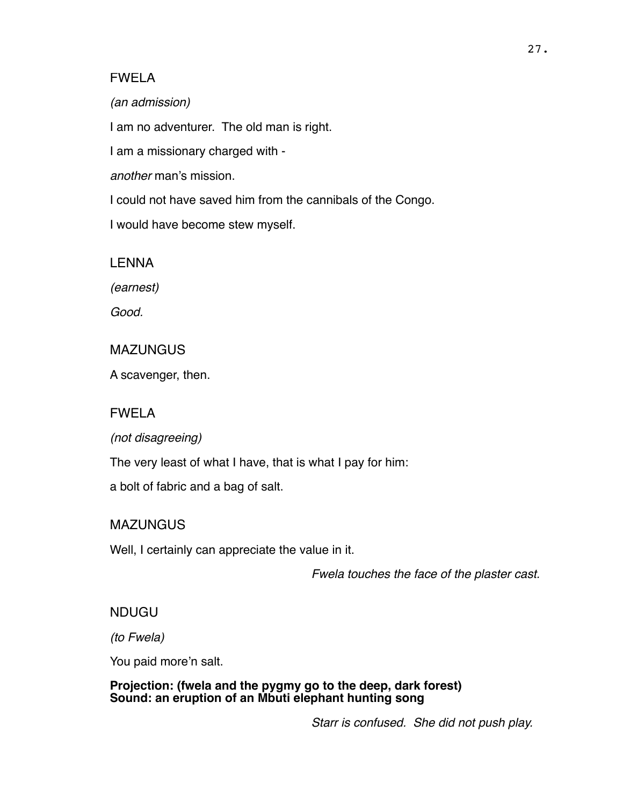*(an admission)*

I am no adventurer. The old man is right.

I am a missionary charged with -

*another* man's mission.

I could not have saved him from the cannibals of the Congo.

I would have become stew myself.

LENNA

*(earnest)*

*Good.*

## **MAZUNGUS**

A scavenger, then.

## FWELA

*(not disagreeing)*

The very least of what I have, that is what I pay for him:

a bolt of fabric and a bag of salt.

## MAZUNGUS

Well, I certainly can appreciate the value in it.

*Fwela touches the face of the plaster cast.*

## NDUGU

*(to Fwela)*

You paid more'n salt.

**Projection: (fwela and the pygmy go to the deep, dark forest) Sound: an eruption of an Mbuti elephant hunting song**

*Starr is confused. She did not push play.*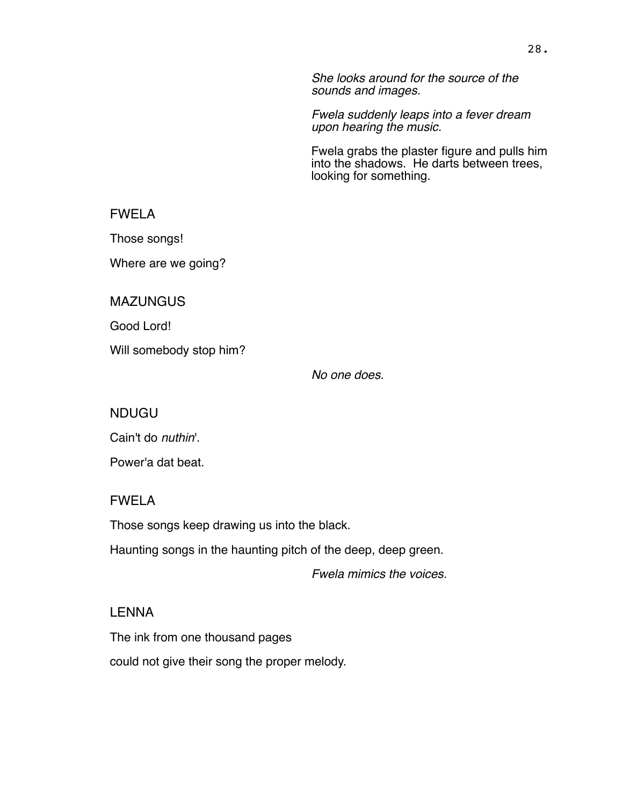*She looks around for the source of the sounds and images.*

*Fwela suddenly leaps into a fever dream upon hearing the music.* 

Fwela grabs the plaster figure and pulls him into the shadows. He darts between trees, looking for something.

FWELA

Those songs!

Where are we going?

**MAZUNGUS** 

Good Lord!

Will somebody stop him?

*No one does.*

NDUGU

Cain't do *nuthin*'.

Power'a dat beat.

#### FWELA

Those songs keep drawing us into the black.

Haunting songs in the haunting pitch of the deep, deep green.

*Fwela mimics the voices.* 

#### LENNA

The ink from one thousand pages

could not give their song the proper melody.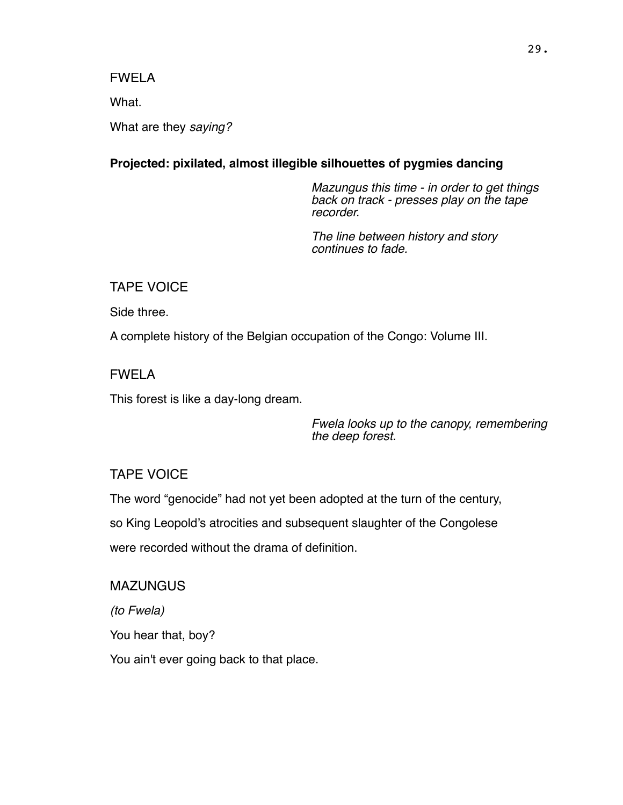What.

What are they *saying?*

## **Projected: pixilated, almost illegible silhouettes of pygmies dancing**

*Mazungus this time - in order to get things back on track - presses play on the tape recorder.*

*The line between history and story continues to fade.*

TAPE VOICE

Side three.

A complete history of the Belgian occupation of the Congo: Volume III.

FWELA

This forest is like a day-long dream.

*Fwela looks up to the canopy, remembering the deep forest.*

## TAPE VOICE

The word "genocide" had not yet been adopted at the turn of the century,

so King Leopold's atrocities and subsequent slaughter of the Congolese

were recorded without the drama of definition.

MAZUNGUS

*(to Fwela)*

You hear that, boy?

You ain't ever going back to that place.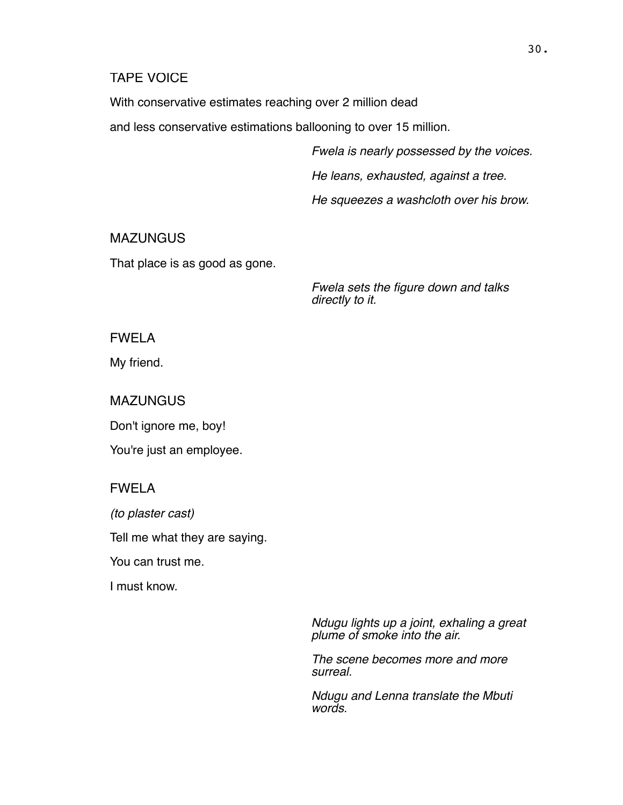#### TAPE VOICE

With conservative estimates reaching over 2 million dead

and less conservative estimations ballooning to over 15 million.

*Fwela is nearly possessed by the voices.*

*He leans, exhausted, against a tree.* 

*He squeezes a washcloth over his brow.*

## **MAZUNGUS**

That place is as good as gone.

*Fwela sets the figure down and talks directly to it.*

## FWELA

My friend.

MAZUNGUS

Don't ignore me, boy!

You're just an employee.

## FWELA

*(to plaster cast)*

Tell me what they are saying.

You can trust me.

I must know.

*Ndugu lights up a joint, exhaling a great plume of smoke into the air.* 

*The scene becomes more and more surreal.* 

*Ndugu and Lenna translate the Mbuti words.*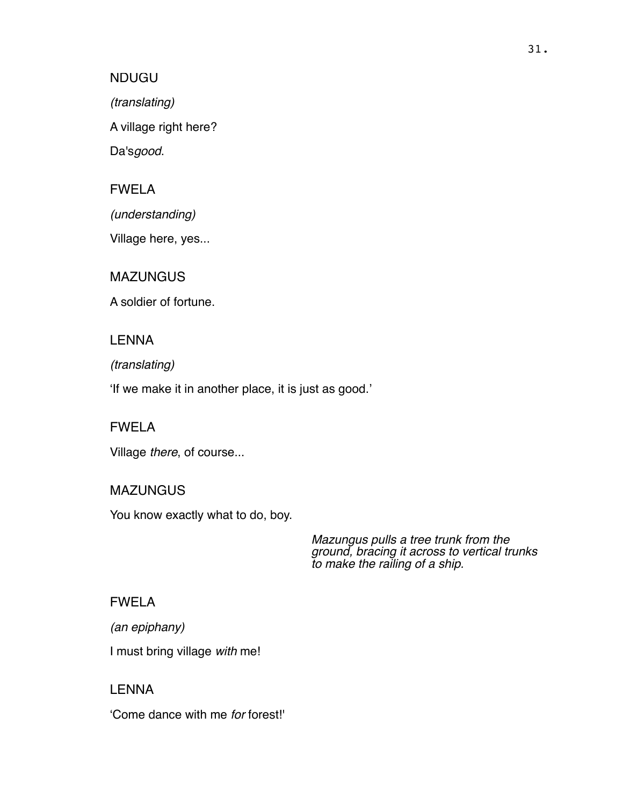#### NDUGU

*(translating)*

A village right here?

Da's*good*.

## FWELA

*(understanding)*

Village here, yes...

## MAZUNGUS

A soldier of fortune.

## LENNA

## *(translating)*

'If we make it in another place, it is just as good.'

## FWELA

Village *there*, of course...

## MAZUNGUS

You know exactly what to do, boy.

*Mazungus pulls a tree trunk from the ground, bracing it across to vertical trunks to make the railing of a ship.*

## FWELA

*(an epiphany)*

I must bring village *with* me!

# LENNA 'Come dance with me *for* forest!'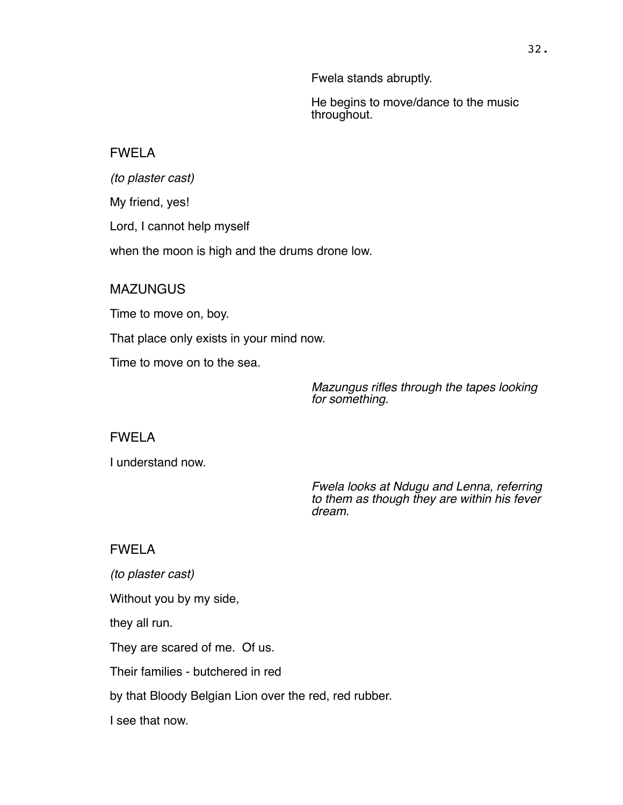Fwela stands abruptly.

He begins to move/dance to the music throughout.

## FWELA

*(to plaster cast)* My friend, yes! Lord, I cannot help myself when the moon is high and the drums drone low.

## **MAZUNGUS**

Time to move on, boy.

That place only exists in your mind now.

Time to move on to the sea.

*Mazungus rifles through the tapes looking for something.*

## FWELA

I understand now.

*Fwela looks at Ndugu and Lenna, referring to them as though they are within his fever dream.*

## FWELA

*(to plaster cast)* Without you by my side, they all run. They are scared of me. Of us. Their families - butchered in red by that Bloody Belgian Lion over the red, red rubber. I see that now.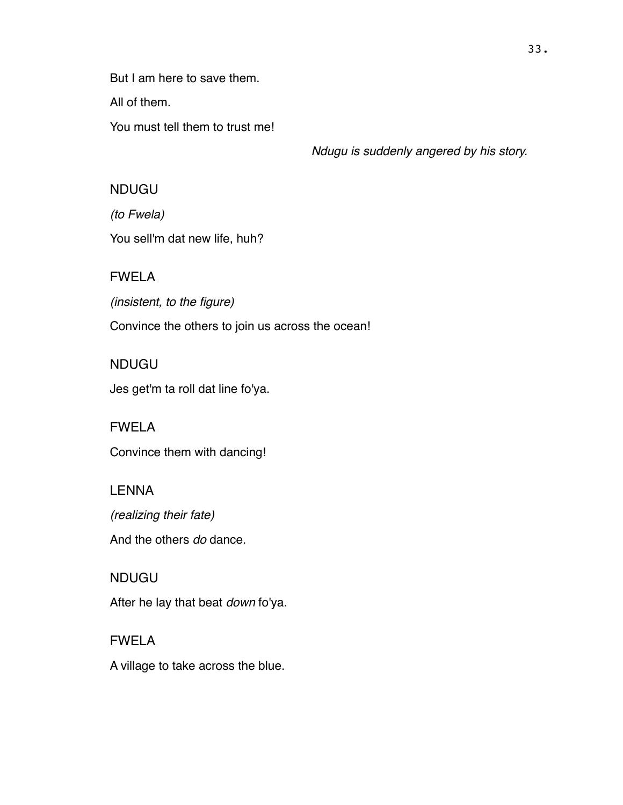But I am here to save them.

All of them.

You must tell them to trust me!

*Ndugu is suddenly angered by his story.*

## NDUGU

*(to Fwela)*

You sell'm dat new life, huh?

# FWELA

*(insistent, to the figure)* Convince the others to join us across the ocean!

## NDUGU

Jes get'm ta roll dat line fo'ya.

# FWELA Convince them with dancing!

# LENNA

*(realizing their fate)* And the others *do* dance.

# NDUGU

After he lay that beat *down* fo'ya.

# FWELA A village to take across the blue.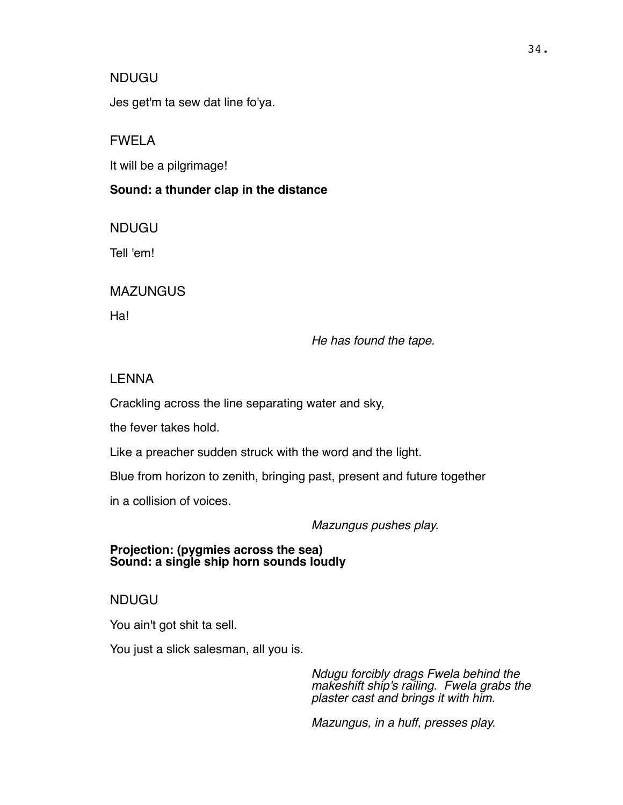#### NDUGU

Jes get'm ta sew dat line fo'ya.

#### FWELA

It will be a pilgrimage!

#### **Sound: a thunder clap in the distance**

NDUGU

Tell 'em!

### **MAZUNGUS**

Ha!

*He has found the tape.*

#### LENNA

Crackling across the line separating water and sky,

the fever takes hold.

Like a preacher sudden struck with the word and the light.

Blue from horizon to zenith, bringing past, present and future together

in a collision of voices.

*Mazungus pushes play.*

#### **Projection: (pygmies across the sea) Sound: a single ship horn sounds loudly**

#### NDUGU

You ain't got shit ta sell.

You just a slick salesman, all you is.

*Ndugu forcibly drags Fwela behind the makeshift ship's railing. Fwela grabs the plaster cast and brings it with him.*

*Mazungus, in a huff, presses play.*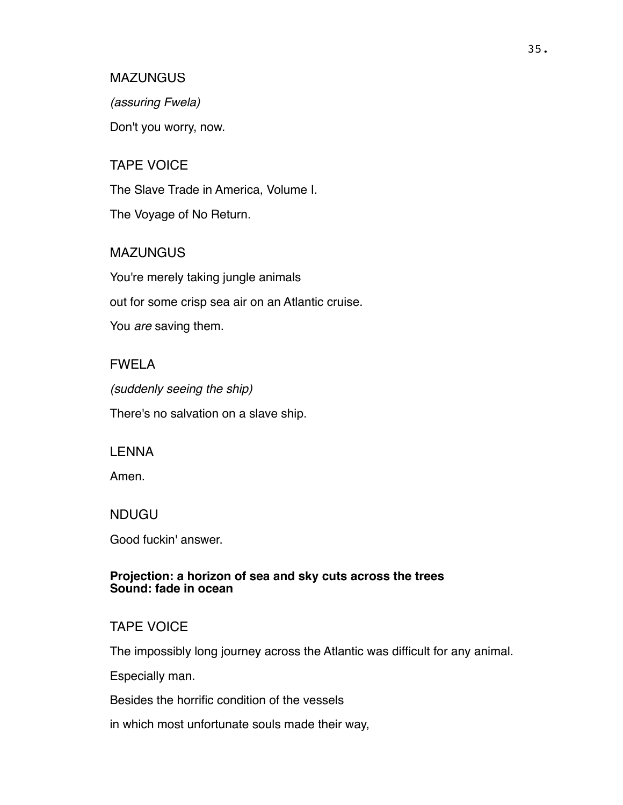*(assuring Fwela)*

Don't you worry, now.

#### TAPE VOICE

The Slave Trade in America, Volume I.

The Voyage of No Return.

# **MAZUNGUS**

You're merely taking jungle animals out for some crisp sea air on an Atlantic cruise. You *are* saving them.

#### FWELA

*(suddenly seeing the ship)* There's no salvation on a slave ship.

#### LENNA

Amen.

NDUGU

Good fuckin' answer.

#### **Projection: a horizon of sea and sky cuts across the trees Sound: fade in ocean**

#### TAPE VOICE

The impossibly long journey across the Atlantic was difficult for any animal.

Especially man.

Besides the horrific condition of the vessels

in which most unfortunate souls made their way,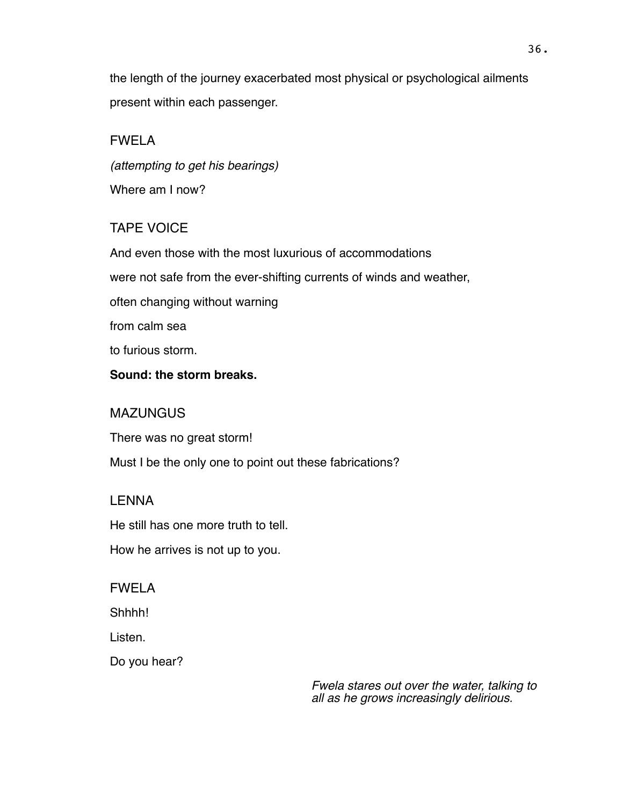the length of the journey exacerbated most physical or psychological ailments present within each passenger.

# FWELA

*(attempting to get his bearings)* Where am I now?

# TAPE VOICE

And even those with the most luxurious of accommodations were not safe from the ever-shifting currents of winds and weather, often changing without warning from calm sea to furious storm. **Sound: the storm breaks.**

# **MAZUNGUS**

There was no great storm! Must I be the only one to point out these fabrications?

# LENNA

He still has one more truth to tell.

How he arrives is not up to you.

# FWELA

Shhhh!

Listen.

Do you hear?

*Fwela stares out over the water, talking to all as he grows increasingly delirious.*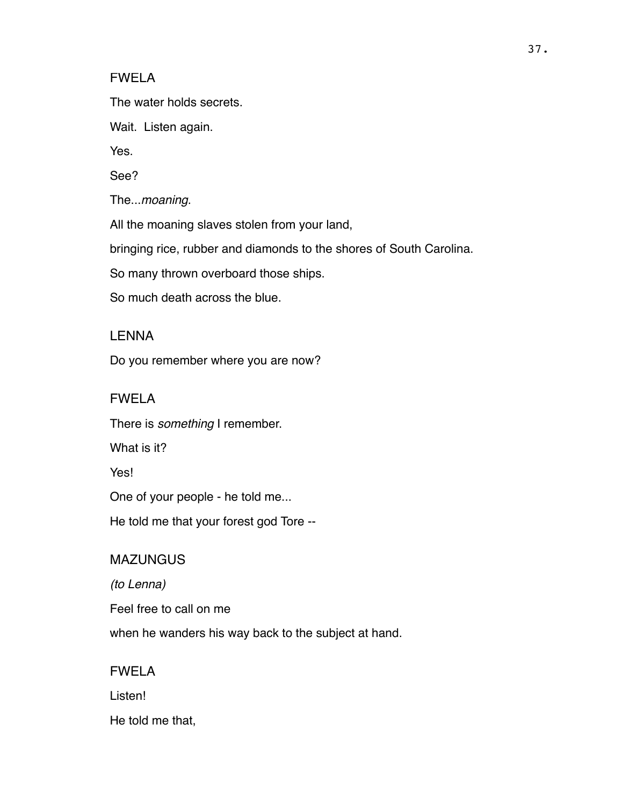#### FWELA

The water holds secrets.

Wait. Listen again.

Yes.

See?

The...*moaning*.

All the moaning slaves stolen from your land,

bringing rice, rubber and diamonds to the shores of South Carolina.

So many thrown overboard those ships.

So much death across the blue.

### LENNA

Do you remember where you are now?

#### FWELA

There is *something* I remember.

What is it?

**Yes!** 

One of your people - he told me...

He told me that your forest god Tore --

#### **MAZUNGUS**

*(to Lenna)*

Feel free to call on me

when he wanders his way back to the subject at hand.

# FWELA

Listen!

He told me that,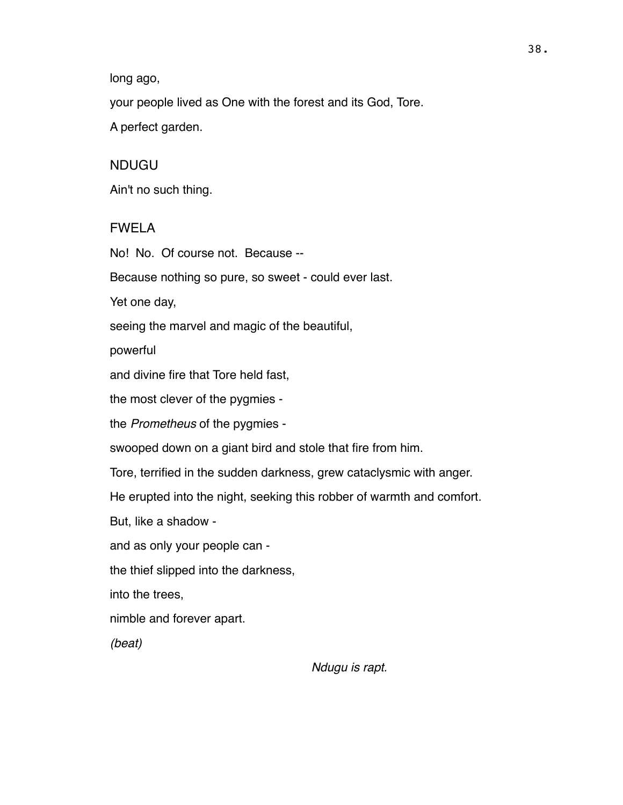long ago,

your people lived as One with the forest and its God, Tore.

A perfect garden.

# NDUGU

Ain't no such thing.

# FWELA

No! No. Of course not. Because --

Because nothing so pure, so sweet - could ever last.

Yet one day,

seeing the marvel and magic of the beautiful,

powerful

and divine fire that Tore held fast,

the most clever of the pygmies -

the *Prometheus* of the pygmies -

swooped down on a giant bird and stole that fire from him.

Tore, terrified in the sudden darkness, grew cataclysmic with anger.

He erupted into the night, seeking this robber of warmth and comfort.

But, like a shadow -

and as only your people can -

the thief slipped into the darkness,

into the trees,

nimble and forever apart.

*(beat)*

*Ndugu is rapt.*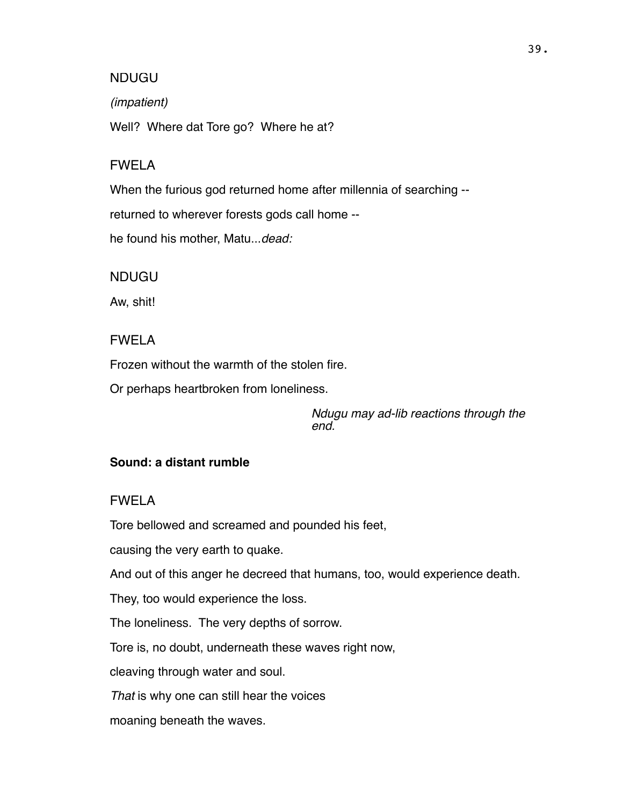#### NDUGU

#### *(impatient)*

Well? Where dat Tore go? Where he at?

#### FWELA

When the furious god returned home after millennia of searching --

returned to wherever forests gods call home --

he found his mother, Matu...*dead:*

NDUGU

Aw, shit!

### FWELA

Frozen without the warmth of the stolen fire.

Or perhaps heartbroken from loneliness.

*Ndugu may ad-lib reactions through the end.*

#### **Sound: a distant rumble**

#### FWELA

Tore bellowed and screamed and pounded his feet,

causing the very earth to quake.

And out of this anger he decreed that humans, too, would experience death.

They, too would experience the loss.

The loneliness. The very depths of sorrow.

Tore is, no doubt, underneath these waves right now,

cleaving through water and soul.

*That* is why one can still hear the voices

moaning beneath the waves.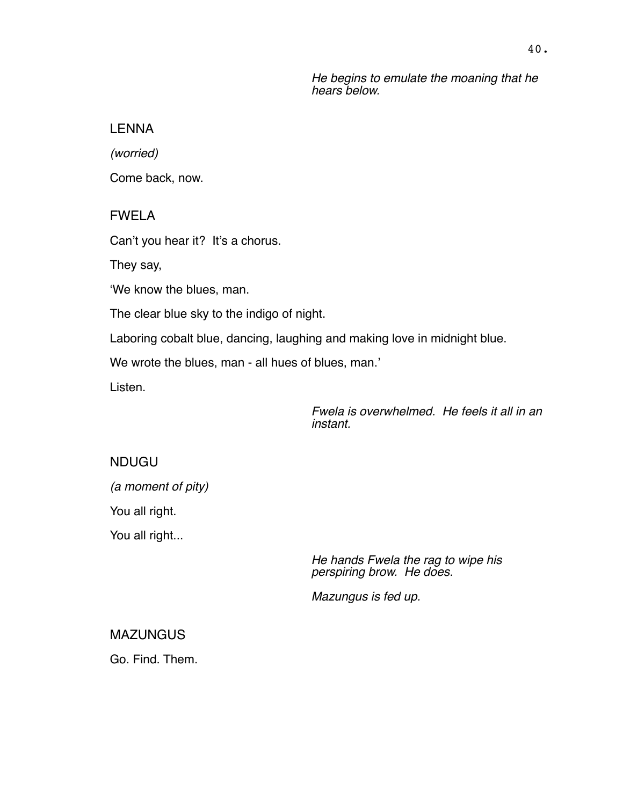*He begins to emulate the moaning that he hears below.*

#### LENNA

*(worried)*

Come back, now.

FWELA

Can't you hear it? It's a chorus.

They say,

'We know the blues, man.

The clear blue sky to the indigo of night.

Laboring cobalt blue, dancing, laughing and making love in midnight blue.

We wrote the blues, man - all hues of blues, man.'

Listen.

*Fwela is overwhelmed. He feels it all in an instant.*

NDUGU *(a moment of pity)* You all right. You all right...

> *He hands Fwela the rag to wipe his perspiring brow. He does.*

*Mazungus is fed up.*

MAZUNGUS

Go. Find. Them.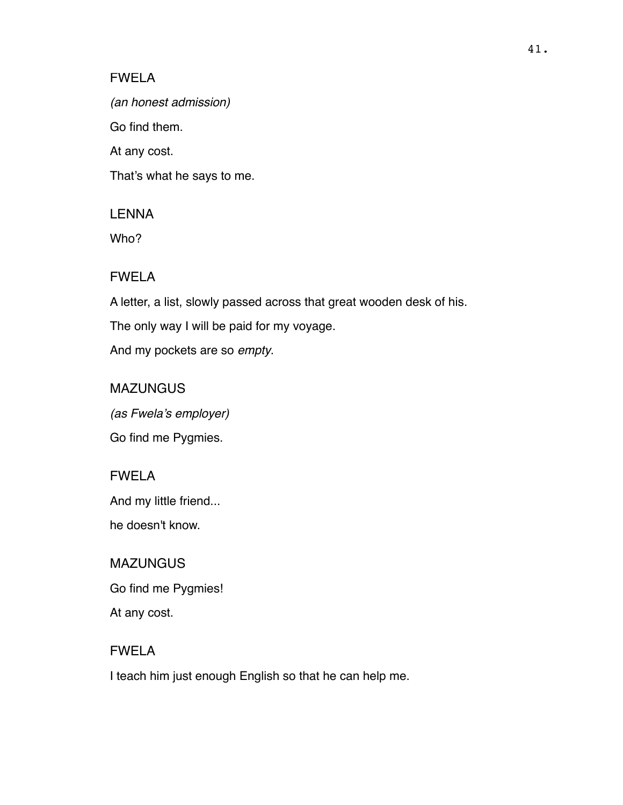# FWELA

*(an honest admission)*

Go find them.

At any cost.

That's what he says to me.

# LENNA

Who?

# FWELA

A letter, a list, slowly passed across that great wooden desk of his.

The only way I will be paid for my voyage.

And my pockets are so *empty*.

# **MAZUNGUS**

*(as Fwela's employer)* Go find me Pygmies.

# FWELA

And my little friend...

he doesn't know.

# **MAZUNGUS** Go find me Pygmies! At any cost.

# FWELA

I teach him just enough English so that he can help me.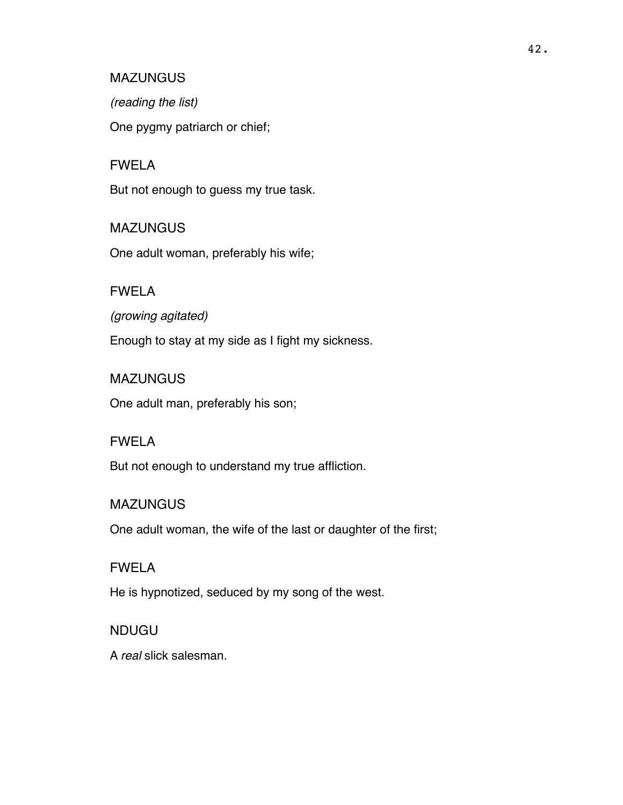*(reading the list)*

One pygmy patriarch or chief;

#### FWELA

But not enough to guess my true task.

#### **MAZUNGUS**

One adult woman, preferably his wife;

#### FWELA

*(growing agitated)* Enough to stay at my side as I fight my sickness.

#### MAZUNGUS

One adult man, preferably his son;

#### FWELA

But not enough to understand my true affliction.

#### **MAZUNGUS**

One adult woman, the wife of the last or daughter of the first;

# FWELA

He is hypnotized, seduced by my song of the west.

### NDUGU

A *real* slick salesman.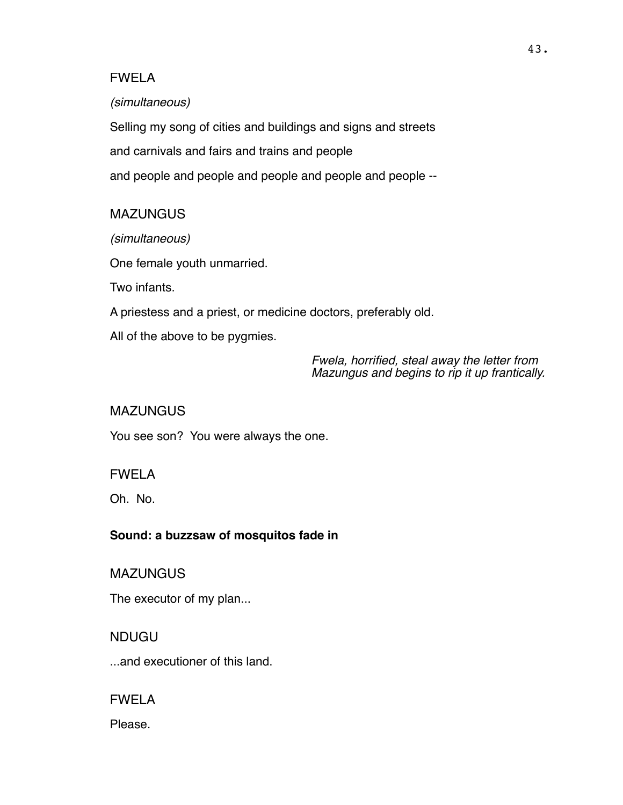## FWELA

#### *(simultaneous)*

Selling my song of cities and buildings and signs and streets and carnivals and fairs and trains and people and people and people and people and people and people --

# MAZUNGUS

*(simultaneous)*

One female youth unmarried.

Two infants.

A priestess and a priest, or medicine doctors, preferably old.

All of the above to be pygmies.

*Fwela, horrified, steal away the letter from Mazungus and begins to rip it up frantically.*

# **MAZUNGUS**

You see son? You were always the one.

# FWELA

Oh. No.

# **Sound: a buzzsaw of mosquitos fade in**

**MAZUNGUS** 

The executor of my plan...

# NDUGU

...and executioner of this land.

# FWELA

Please.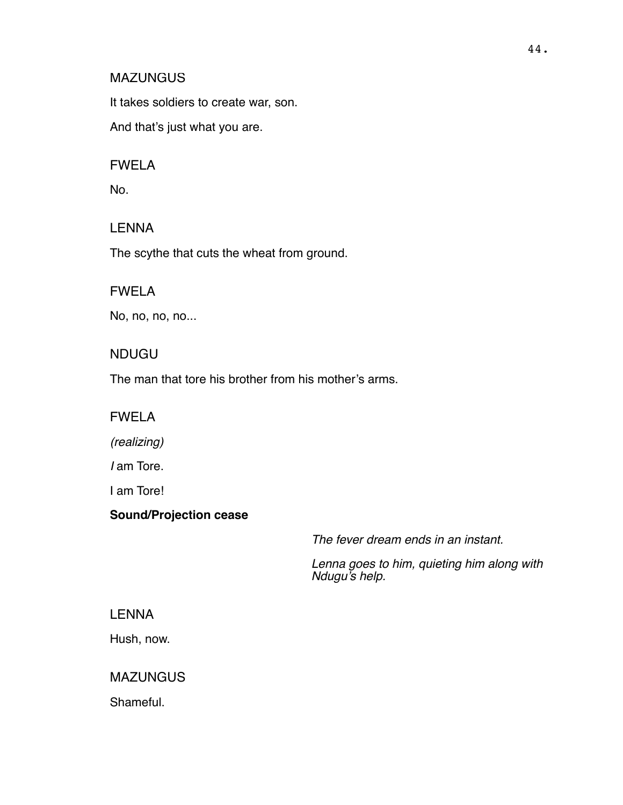It takes soldiers to create war, son.

And that's just what you are.

# FWELA

No.

# LENNA

The scythe that cuts the wheat from ground.

# FWELA

No, no, no, no...

# NDUGU

The man that tore his brother from his mother's arms.

# FWELA

*(realizing)*

*I* am Tore.

I am Tore!

# **Sound/Projection cease**

*The fever dream ends in an instant.* 

*Lenna goes to him, quieting him along with Ndugu's help.*

# LENNA

Hush, now.

# MAZUNGUS

Shameful.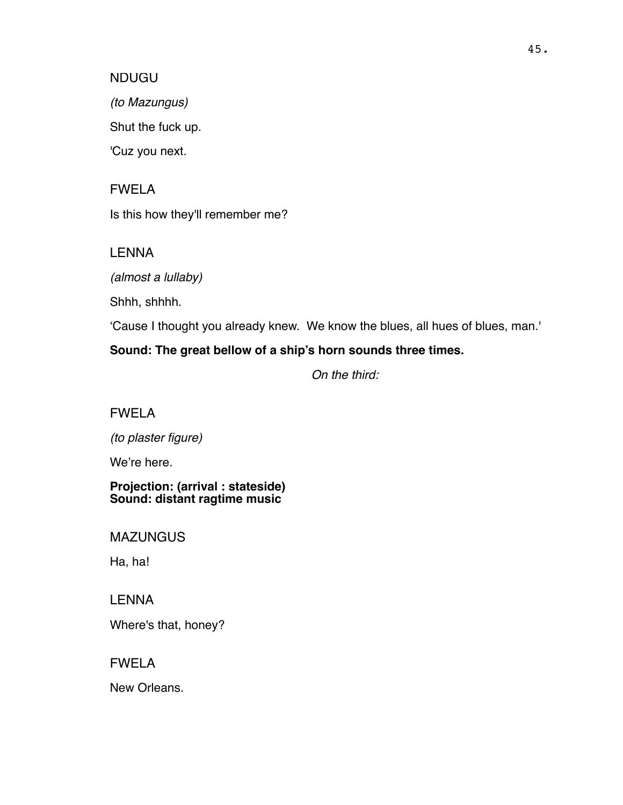#### NDUGU

*(to Mazungus)*

Shut the fuck up.

'Cuz you next.

FWELA

Is this how they'll remember me?

**LENNA** 

*(almost a lullaby)*

Shhh, shhhh.

'Cause I thought you already knew. We know the blues, all hues of blues, man.'

# **Sound: The great bellow of a ship's horn sounds three times.**

*On the third:*

FWELA

*(to plaster figure)*

We're here.

**Projection: (arrival : stateside) Sound: distant ragtime music**

MAZUNGUS

Ha, ha!

LENNA

Where's that, honey?

FWELA

New Orleans.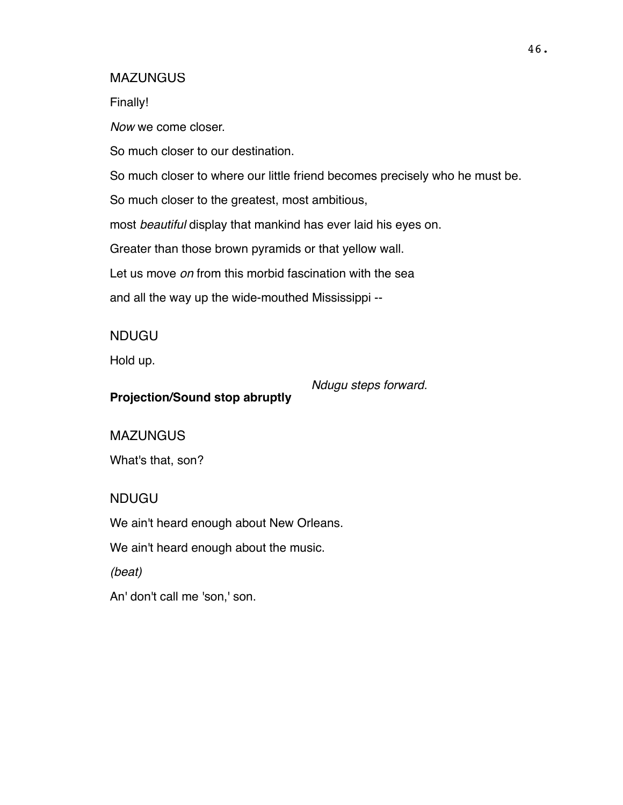Finally!

*Now* we come closer.

So much closer to our destination.

So much closer to where our little friend becomes precisely who he must be.

So much closer to the greatest, most ambitious,

most *beautiful* display that mankind has ever laid his eyes on.

Greater than those brown pyramids or that yellow wall.

Let us move *on* from this morbid fascination with the sea

and all the way up the wide-mouthed Mississippi --

NDUGU

Hold up.

**Projection/Sound stop abruptly**

*Ndugu steps forward.* 

**MAZUNGUS** 

What's that, son?

# NDUGU

We ain't heard enough about New Orleans.

We ain't heard enough about the music.

*(beat)*

An' don't call me 'son,' son.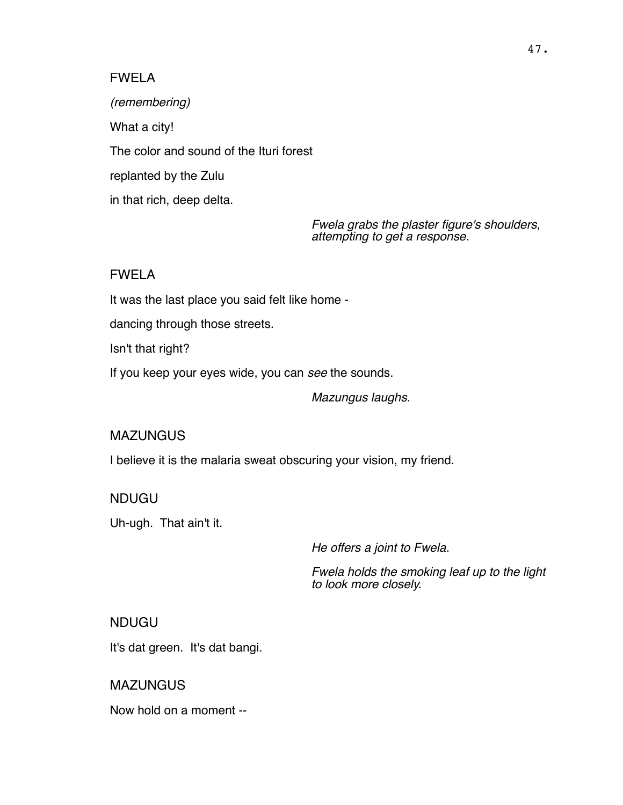### FWELA

*(remembering)* What a city! The color and sound of the Ituri forest replanted by the Zulu in that rich, deep delta.

> *Fwela grabs the plaster figure's shoulders, attempting to get a response.*

## FWELA

It was the last place you said felt like home -

dancing through those streets.

Isn't that right?

If you keep your eyes wide, you can *see* the sounds.

*Mazungus laughs.*

#### **MAZUNGUS**

I believe it is the malaria sweat obscuring your vision, my friend.

#### NDUGU

Uh-ugh. That ain't it.

*He offers a joint to Fwela.* 

*Fwela holds the smoking leaf up to the light to look more closely.*

### NDUGU

It's dat green. It's dat bangi.

**MAZUNGUS** 

Now hold on a moment --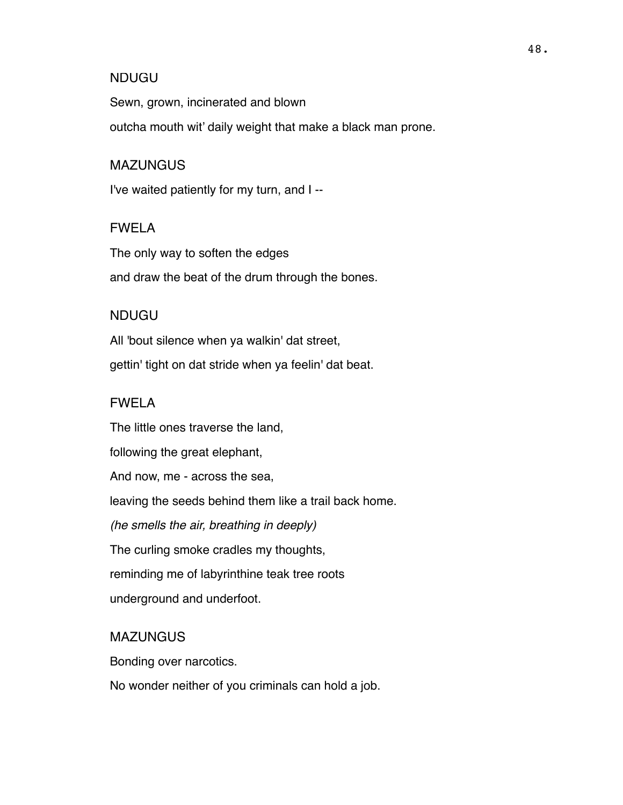#### NDUGU

Sewn, grown, incinerated and blown outcha mouth wit' daily weight that make a black man prone.

#### MAZUNGUS

I've waited patiently for my turn, and I --

#### FWELA

The only way to soften the edges and draw the beat of the drum through the bones.

#### NDUGU

All 'bout silence when ya walkin' dat street, gettin' tight on dat stride when ya feelin' dat beat.

### FWELA

The little ones traverse the land, following the great elephant, And now, me - across the sea, leaving the seeds behind them like a trail back home. *(he smells the air, breathing in deeply)* The curling smoke cradles my thoughts, reminding me of labyrinthine teak tree roots underground and underfoot.

#### **MAZUNGUS**

Bonding over narcotics.

No wonder neither of you criminals can hold a job.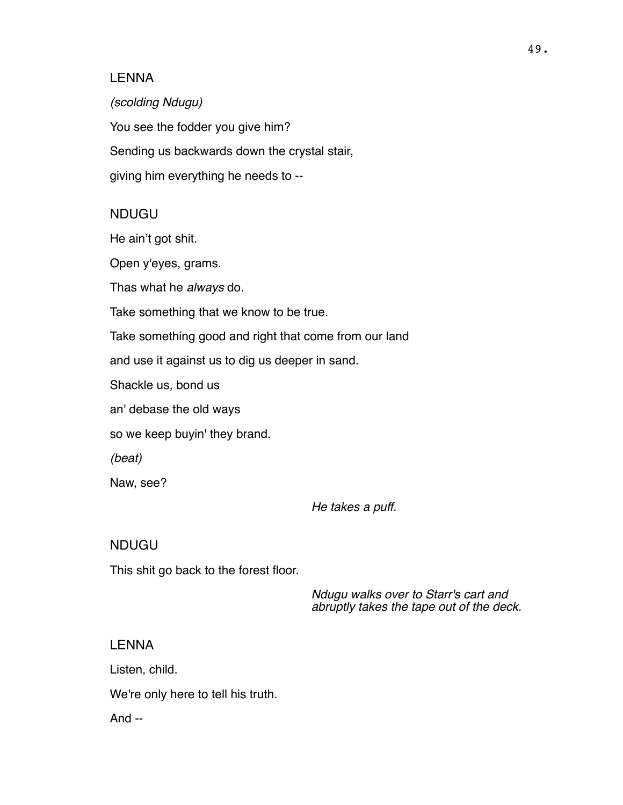#### LENNA

*(scolding Ndugu)* You see the fodder you give him? Sending us backwards down the crystal stair, giving him everything he needs to --

#### NDUGU

He ain't got shit.

Open y'eyes, grams.

Thas what he *always* do.

Take something that we know to be true.

Take something good and right that come from our land

and use it against us to dig us deeper in sand.

Shackle us, bond us

an' debase the old ways

so we keep buyin' they brand.

*(beat)*

Naw, see?

*He takes a puff.*

#### NDUGU

This shit go back to the forest floor.

*Ndugu walks over to Starr's cart and abruptly takes the tape out of the deck.*

#### LENNA

Listen, child.

We're only here to tell his truth.

And --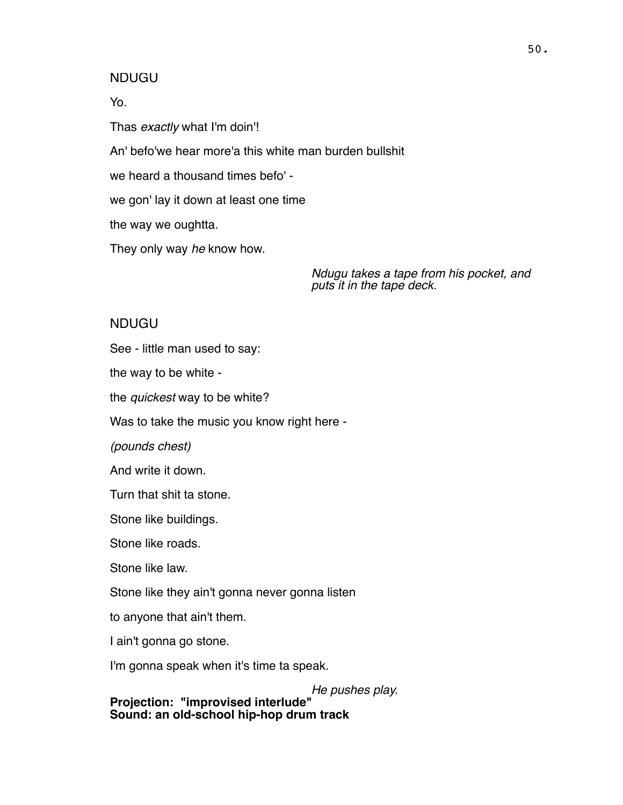#### NDUGU

Yo.

Thas *exactly* what I'm doin'!

An' befo'we hear more'a this white man burden bullshit

we heard a thousand times befo' -

we gon' lay it down at least one time

the way we oughtta.

They only way *he* know how.

*Ndugu takes a tape from his pocket, and puts it in the tape deck.*

#### NDUGU

See - little man used to say:

the way to be white -

the *quickest* way to be white?

Was to take the music you know right here -

*(pounds chest)*

And write it down.

Turn that shit ta stone.

Stone like buildings.

Stone like roads.

Stone like law.

Stone like they ain't gonna never gonna listen

to anyone that ain't them.

I ain't gonna go stone.

I'm gonna speak when it's time ta speak.

*He pushes play.* **Projection: "improvised interlude" Sound: an old-school hip-hop drum track**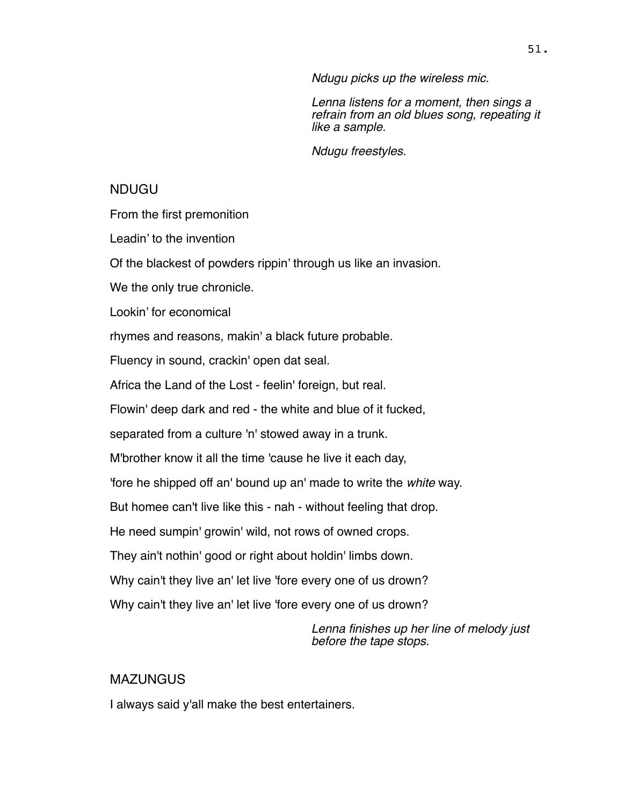*Ndugu picks up the wireless mic.*

*Lenna listens for a moment, then sings a refrain from an old blues song, repeating it like a sample.* 

*Ndugu freestyles.*

### NDUGU

From the first premonition

Leadin' to the invention

Of the blackest of powders rippin' through us like an invasion.

We the only true chronicle.

Lookin' for economical

rhymes and reasons, makin' a black future probable.

Fluency in sound, crackin' open dat seal.

Africa the Land of the Lost - feelin' foreign, but real.

Flowin' deep dark and red - the white and blue of it fucked,

separated from a culture 'n' stowed away in a trunk.

M'brother know it all the time 'cause he live it each day,

'fore he shipped off an' bound up an' made to write the *white* way.

But homee can't live like this - nah - without feeling that drop.

He need sumpin' growin' wild, not rows of owned crops.

They ain't nothin' good or right about holdin' limbs down.

Why cain't they live an' let live 'fore every one of us drown?

Why cain't they live an' let live 'fore every one of us drown?

*Lenna finishes up her line of melody just before the tape stops.*

# **MAZUNGUS**

I always said y'all make the best entertainers.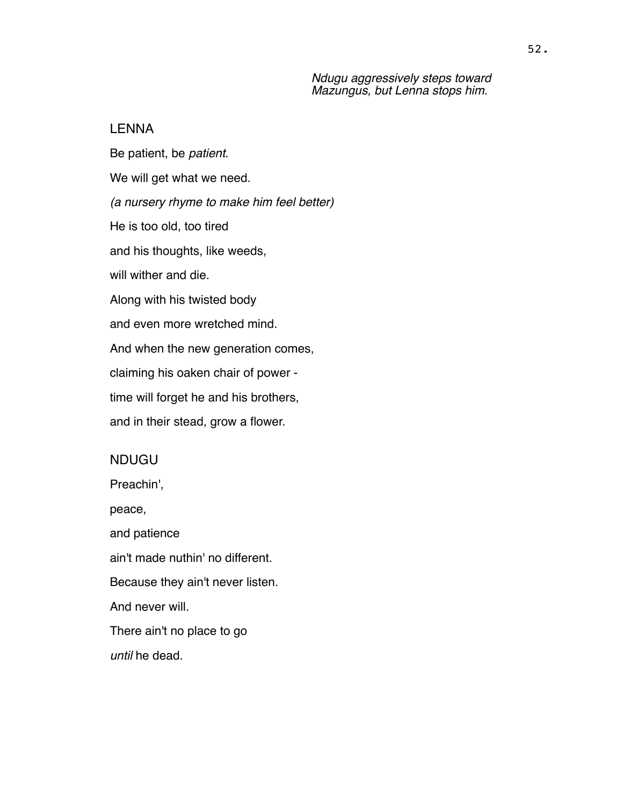*Ndugu aggressively steps toward Mazungus, but Lenna stops him.*

#### LENNA

Be patient, be *patient*. We will get what we need. *(a nursery rhyme to make him feel better)* He is too old, too tired and his thoughts, like weeds, will wither and die. Along with his twisted body and even more wretched mind. And when the new generation comes, claiming his oaken chair of power time will forget he and his brothers, and in their stead, grow a flower.

#### NDUGU

Preachin', peace, and patience ain't made nuthin' no different. Because they ain't never listen. And never will. There ain't no place to go *until* he dead.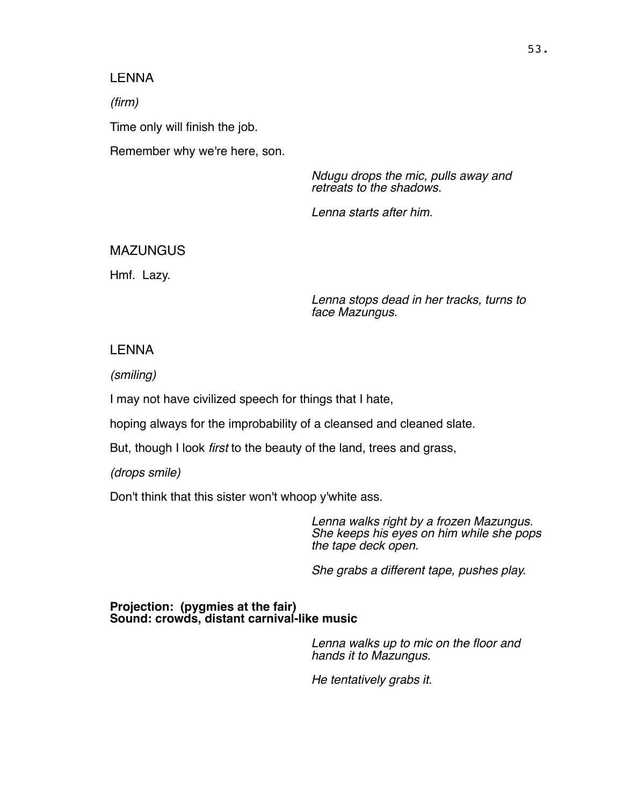#### LENNA

*(firm)*

Time only will finish the job.

Remember why we're here, son.

*Ndugu drops the mic, pulls away and retreats to the shadows.* 

*Lenna starts after him.*

#### MAZUNGUS

Hmf. Lazy.

*Lenna stops dead in her tracks, turns to face Mazungus.*

#### LENNA

*(smiling)*

I may not have civilized speech for things that I hate,

hoping always for the improbability of a cleansed and cleaned slate.

But, though I look *first* to the beauty of the land, trees and grass,

*(drops smile)*

Don't think that this sister won't whoop y'white ass.

*Lenna walks right by a frozen Mazungus. She keeps his eyes on him while she pops the tape deck open.* 

*She grabs a different tape, pushes play.*

**Projection: (pygmies at the fair) Sound: crowds, distant carnival-like music**

> *Lenna walks up to mic on the floor and hands it to Mazungus.*

*He tentatively grabs it.*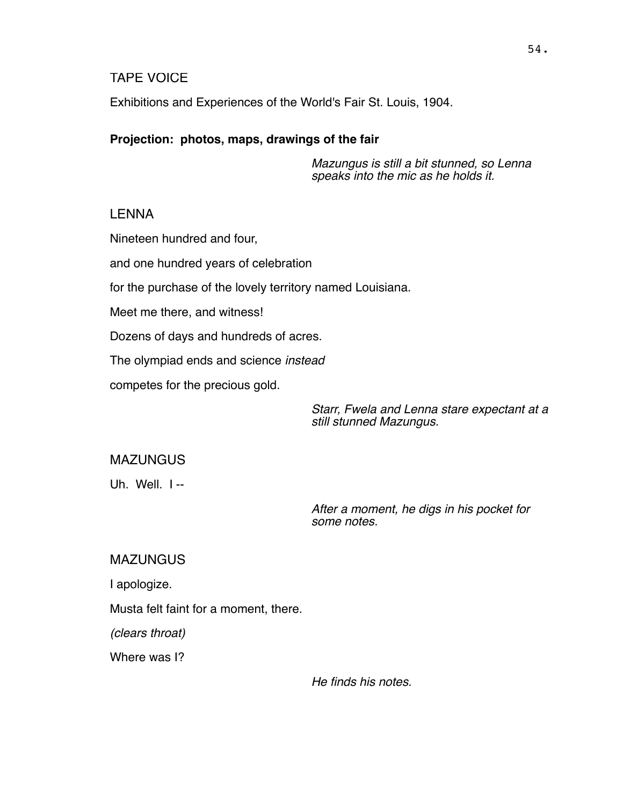### TAPE VOICE

Exhibitions and Experiences of the World's Fair St. Louis, 1904.

#### **Projection: photos, maps, drawings of the fair**

*Mazungus is still a bit stunned, so Lenna speaks into the mic as he holds it.*

#### LENNA

Nineteen hundred and four,

and one hundred years of celebration

for the purchase of the lovely territory named Louisiana.

Meet me there, and witness!

Dozens of days and hundreds of acres.

The olympiad ends and science *instead*

competes for the precious gold.

*Starr, Fwela and Lenna stare expectant at a still stunned Mazungus.*

**MAZUNGUS** 

Uh. Well. I --

*After a moment, he digs in his pocket for some notes.* 

**MAZUNGUS** 

I apologize.

Musta felt faint for a moment, there.

*(clears throat)*

Where was I?

*He finds his notes.*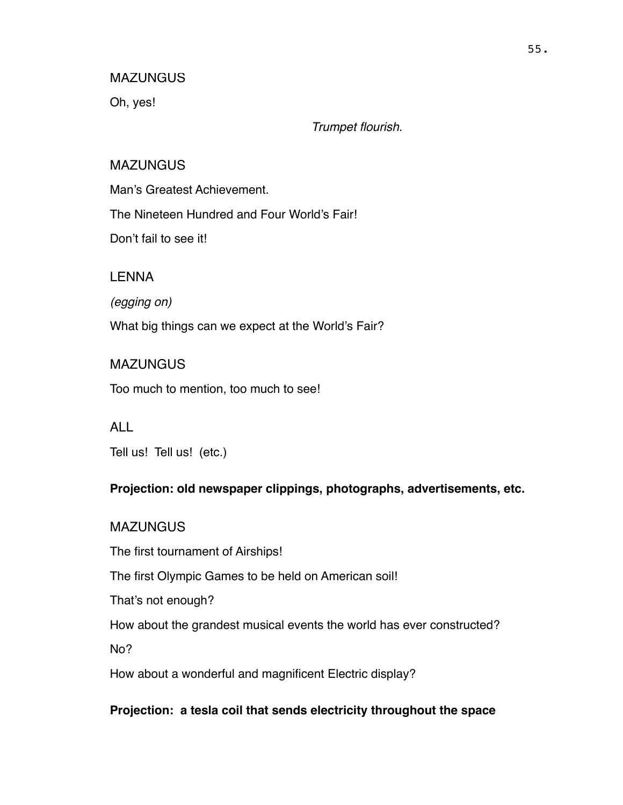Oh, yes!

*Trumpet flourish.*

### MAZUNGUS

Man's Greatest Achievement.

The Nineteen Hundred and Four World's Fair!

Don't fail to see it!

LENNA

*(egging on)*

What big things can we expect at the World's Fair?

# **MAZUNGUS**

Too much to mention, too much to see!

ALL

Tell us! Tell us! (etc.)

# **Projection: old newspaper clippings, photographs, advertisements, etc.**

# **MAZUNGUS**

The first tournament of Airships!

The first Olympic Games to be held on American soil!

That's not enough?

How about the grandest musical events the world has ever constructed?

No?

How about a wonderful and magnificent Electric display?

# **Projection: a tesla coil that sends electricity throughout the space**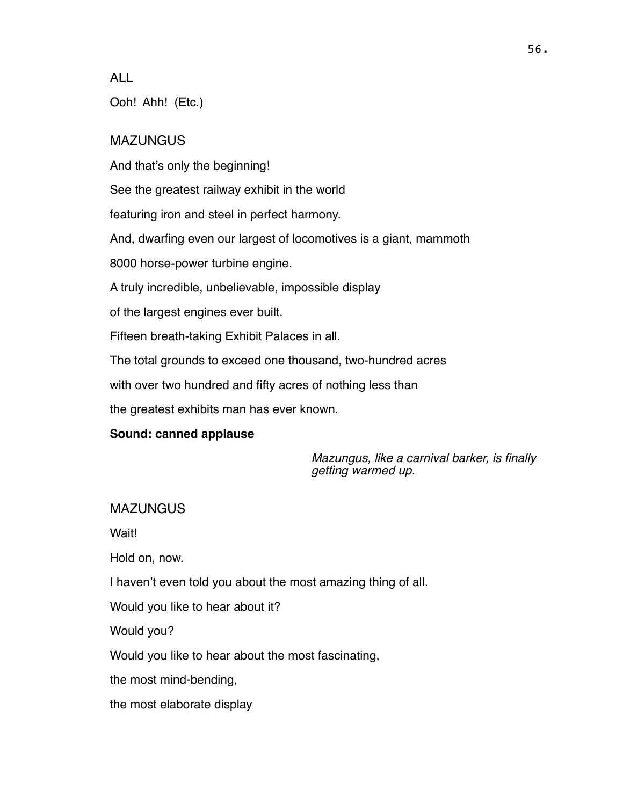ALL

Ooh! Ahh! (Etc.)

# **MAZUNGUS**

And that's only the beginning!

See the greatest railway exhibit in the world

featuring iron and steel in perfect harmony.

And, dwarfing even our largest of locomotives is a giant, mammoth

8000 horse-power turbine engine.

A truly incredible, unbelievable, impossible display

of the largest engines ever built.

Fifteen breath-taking Exhibit Palaces in all.

The total grounds to exceed one thousand, two-hundred acres

with over two hundred and fifty acres of nothing less than

the greatest exhibits man has ever known.

# **Sound: canned applause**

*Mazungus, like a carnival barker, is finally getting warmed up.*

# MAZUNGUS

Wait!

Hold on, now.

I haven't even told you about the most amazing thing of all.

Would you like to hear about it?

Would you?

Would you like to hear about the most fascinating,

the most mind-bending,

the most elaborate display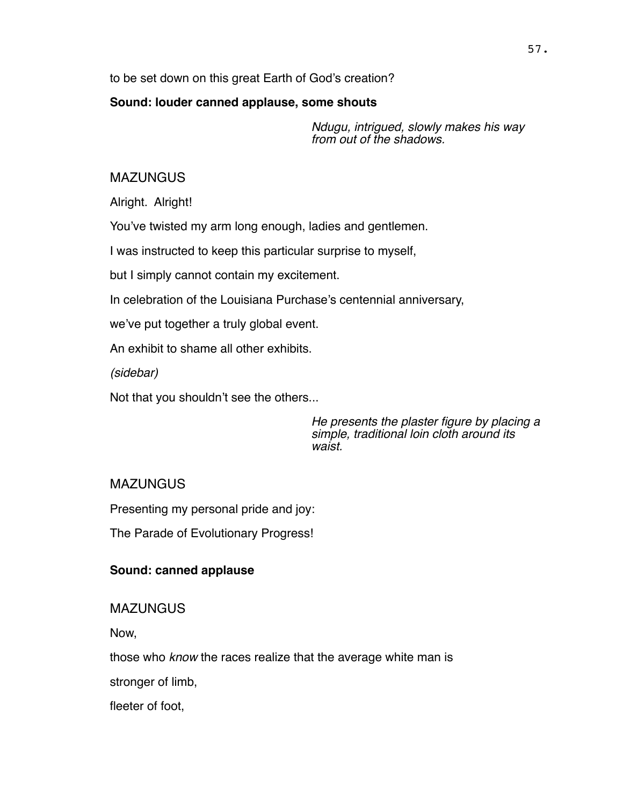to be set down on this great Earth of God's creation?

#### **Sound: louder canned applause, some shouts**

*Ndugu, intrigued, slowly makes his way from out of the shadows.*

# MAZUNGUS

Alright. Alright!

You've twisted my arm long enough, ladies and gentlemen.

I was instructed to keep this particular surprise to myself,

but I simply cannot contain my excitement.

In celebration of the Louisiana Purchase's centennial anniversary,

we've put together a truly global event.

An exhibit to shame all other exhibits.

*(sidebar)*

Not that you shouldn't see the others...

*He presents the plaster figure by placing a simple, traditional loin cloth around its waist.*

# **MAZUNGUS**

Presenting my personal pride and joy:

The Parade of Evolutionary Progress!

# **Sound: canned applause**

**MAZUNGUS** 

Now,

those who *know* the races realize that the average white man is

stronger of limb,

fleeter of foot,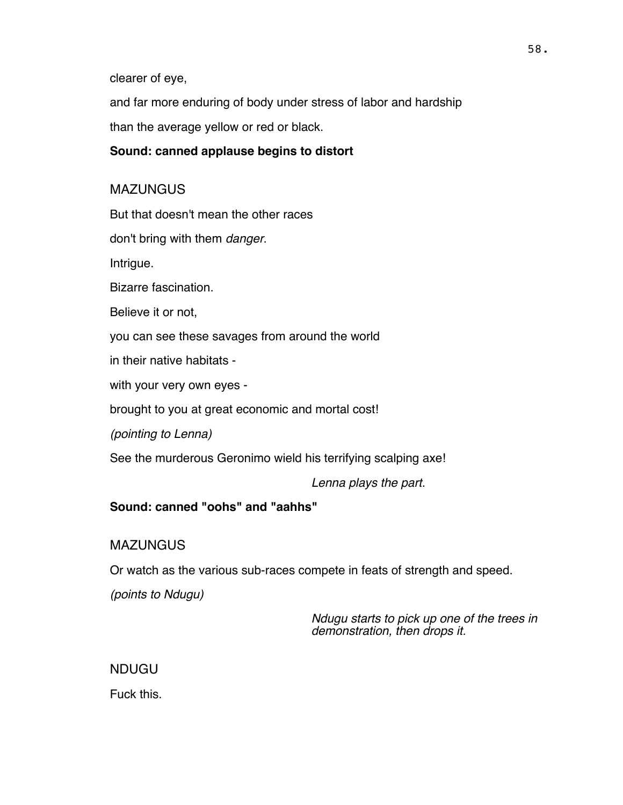clearer of eye,

and far more enduring of body under stress of labor and hardship than the average yellow or red or black.

### **Sound: canned applause begins to distort**

# MAZUNGUS

But that doesn't mean the other races

don't bring with them *danger*.

Intrigue.

Bizarre fascination.

Believe it or not,

you can see these savages from around the world

in their native habitats -

with your very own eyes -

brought to you at great economic and mortal cost!

*(pointing to Lenna)*

See the murderous Geronimo wield his terrifying scalping axe!

*Lenna plays the part.* 

# **Sound: canned "oohs" and "aahhs"**

# **MAZUNGUS**

Or watch as the various sub-races compete in feats of strength and speed.

*(points to Ndugu)*

*Ndugu starts to pick up one of the trees in demonstration, then drops it.*

# NDUGU

Fuck this.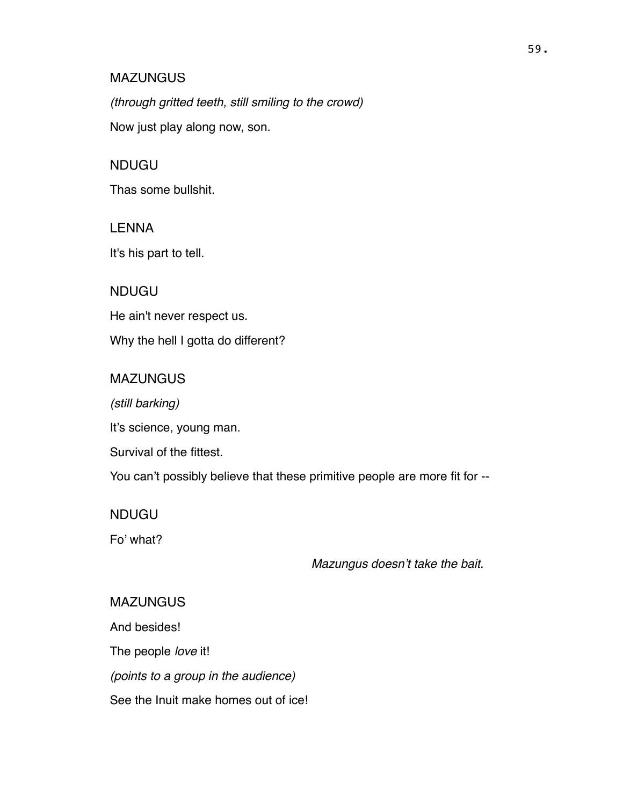*(through gritted teeth, still smiling to the crowd)*

Now just play along now, son.

# NDUGU

Thas some bullshit.

# LENNA

It's his part to tell.

# NDUGU

He ain't never respect us.

Why the hell I gotta do different?

# MAZUNGUS

*(still barking)*

It's science, young man.

Survival of the fittest.

You can't possibly believe that these primitive people are more fit for --

# NDUGU

Fo' what?

# *Mazungus doesn't take the bait.*

# MAZUNGUS

And besides!

The people *love* it!

*(points to a group in the audience)*

See the Inuit make homes out of ice!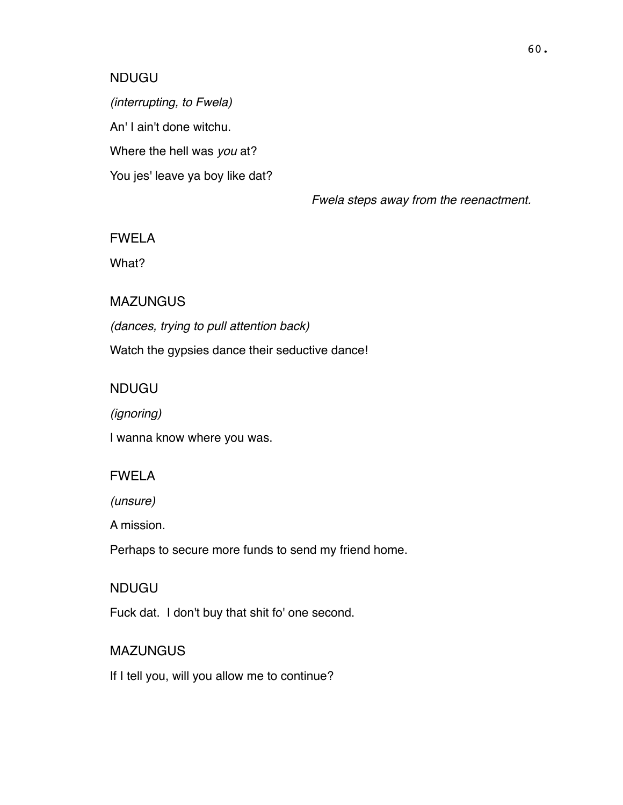#### NDUGU

*(interrupting, to Fwela)* An' I ain't done witchu. Where the hell was *you* at? You jes' leave ya boy like dat?

*Fwela steps away from the reenactment.*

### FWELA

What?

#### MAZUNGUS

*(dances, trying to pull attention back)* Watch the gypsies dance their seductive dance!

# NDUGU

*(ignoring)*

I wanna know where you was.

#### FWELA

*(unsure)*

A mission.

Perhaps to secure more funds to send my friend home.

### NDUGU

Fuck dat. I don't buy that shit fo' one second.

#### **MAZUNGUS**

If I tell you, will you allow me to continue?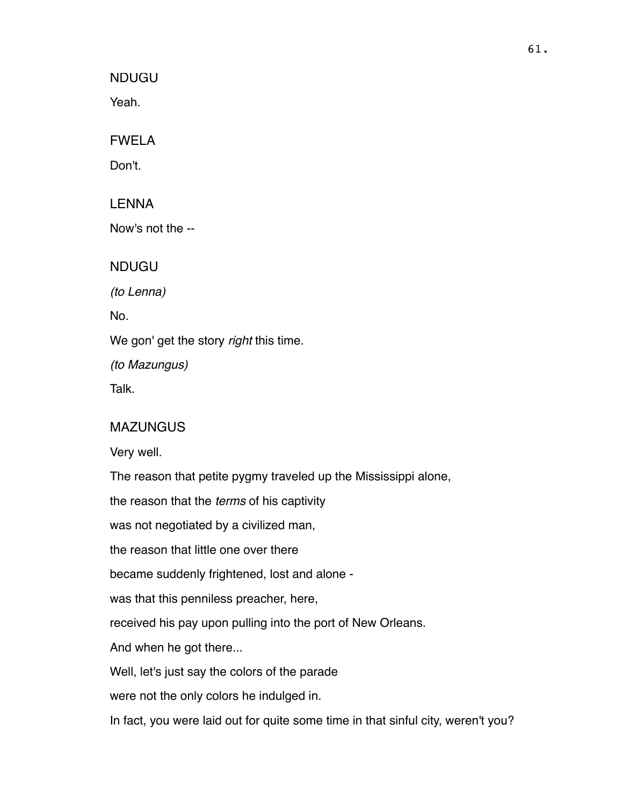NDUGU

Yeah.

FWELA

Don't.

LENNA

Now's not the --

NDUGU

*(to Lenna)*

No.

We gon' get the story *right* this time.

*(to Mazungus)*

Talk.

# MAZUNGUS

Very well.

The reason that petite pygmy traveled up the Mississippi alone,

the reason that the *terms* of his captivity

was not negotiated by a civilized man,

the reason that little one over there

became suddenly frightened, lost and alone -

was that this penniless preacher, here,

received his pay upon pulling into the port of New Orleans.

And when he got there...

Well, let's just say the colors of the parade

were not the only colors he indulged in.

In fact, you were laid out for quite some time in that sinful city, weren't you?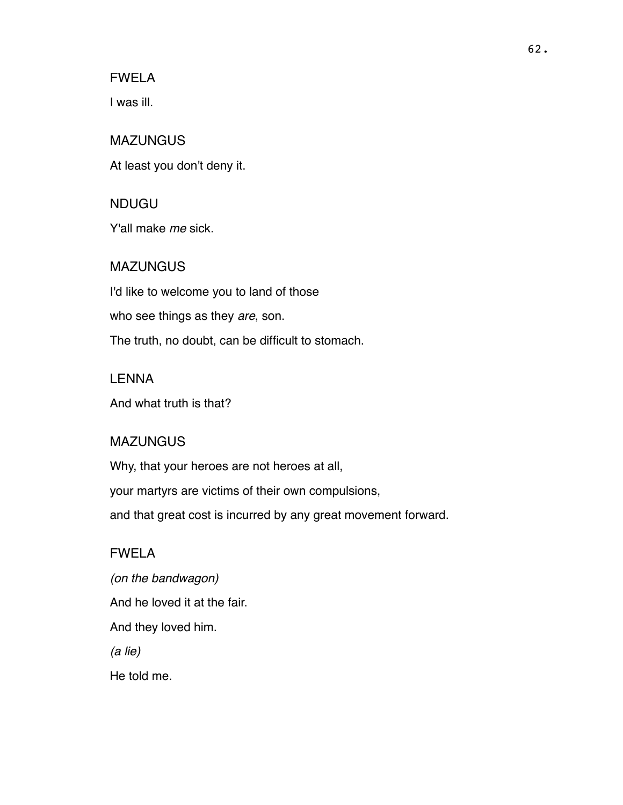FWELA

I was ill.

NDUGU

MAZUNGUS At least you don't deny it.

Y'all make *me* sick.

MAZUNGUS I'd like to welcome you to land of those who see things as they *are*, son. The truth, no doubt, can be difficult to stomach.

LENNA And what truth is that?

#### MAZUNGUS

Why, that your heroes are not heroes at all, your martyrs are victims of their own compulsions, and that great cost is incurred by any great movement forward.

# FWELA

*(on the bandwagon)* And he loved it at the fair. And they loved him. *(a lie)* He told me.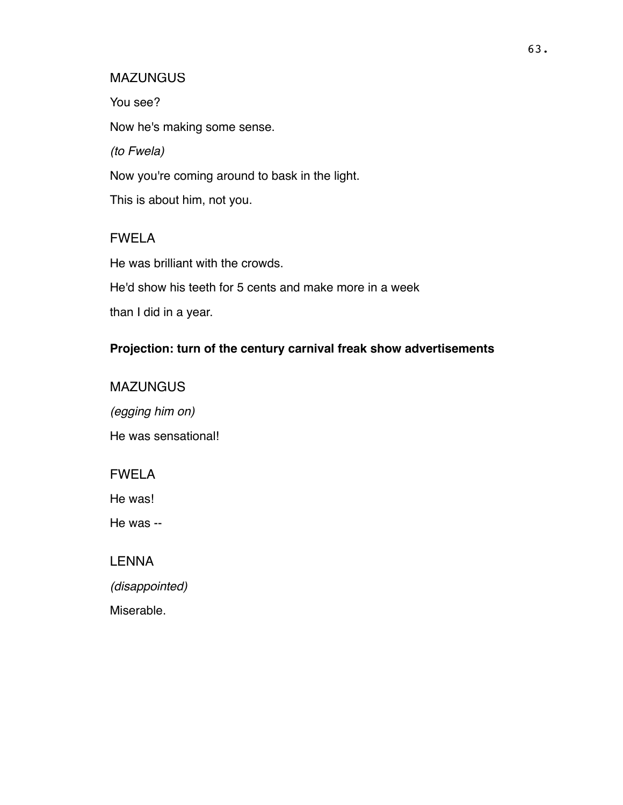You see? Now he's making some sense. *(to Fwela)* Now you're coming around to bask in the light. This is about him, not you.

# FWELA

He was brilliant with the crowds. He'd show his teeth for 5 cents and make more in a week than I did in a year.

# **Projection: turn of the century carnival freak show advertisements**

**MAZUNGUS** *(egging him on)* He was sensational!

FWELA

He was!

He was --

LENNA

*(disappointed)*

Miserable.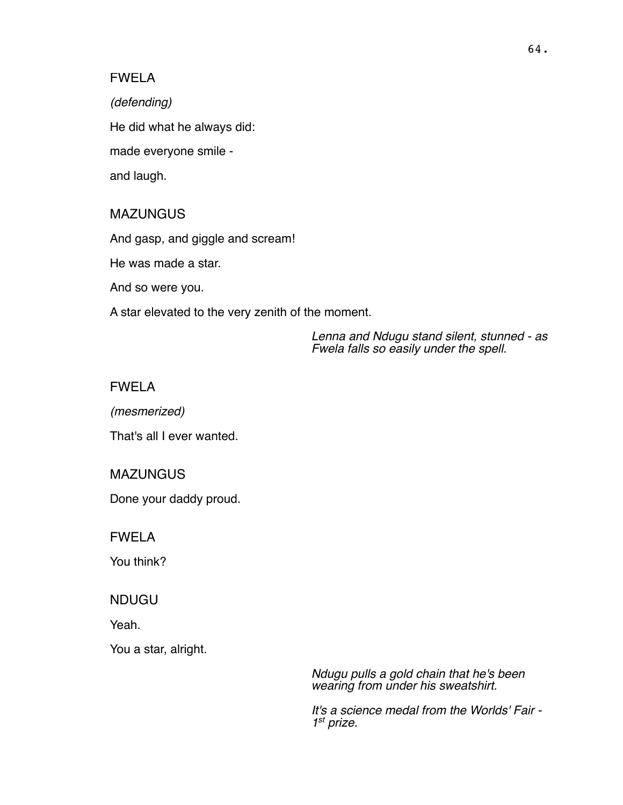#### FWELA

*(defending)* He did what he always did: made everyone smile and laugh.

#### MAZUNGUS

And gasp, and giggle and scream!

He was made a star.

And so were you.

A star elevated to the very zenith of the moment.

*Lenna and Ndugu stand silent, stunned - as Fwela falls so easily under the spell.*

### FWELA

*(mesmerized)*

That's all I ever wanted.

#### **MAZUNGUS**

Done your daddy proud.

FWELA

You think?

#### NDUGU

Yeah.

You a star, alright.

*Ndugu pulls a gold chain that he's been wearing from under his sweatshirt.* 

*It's a science medal from the Worlds' Fair - 1st prize.*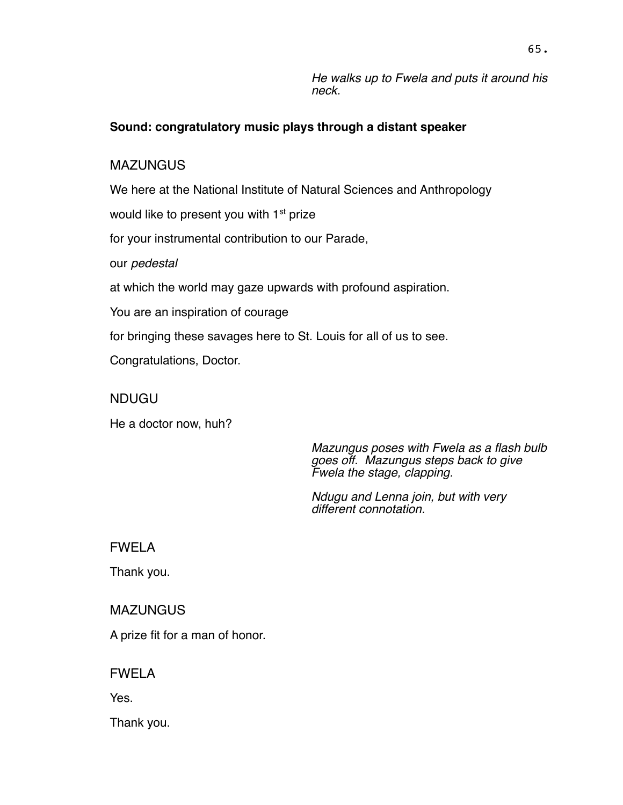*He walks up to Fwela and puts it around his neck.*

### **Sound: congratulatory music plays through a distant speaker**

### **MAZUNGUS**

We here at the National Institute of Natural Sciences and Anthropology

would like to present you with 1<sup>st</sup> prize

for your instrumental contribution to our Parade,

our *pedestal*

at which the world may gaze upwards with profound aspiration.

You are an inspiration of courage

for bringing these savages here to St. Louis for all of us to see.

Congratulations, Doctor.

NDUGU

He a doctor now, huh?

*Mazungus poses with Fwela as a flash bulb goes off. Mazungus steps back to give Fwela the stage, clapping.* 

*Ndugu and Lenna join, but with very different connotation.*

FWELA

Thank you.

**MAZUNGUS** 

A prize fit for a man of honor.

FWELA

Yes.

Thank you.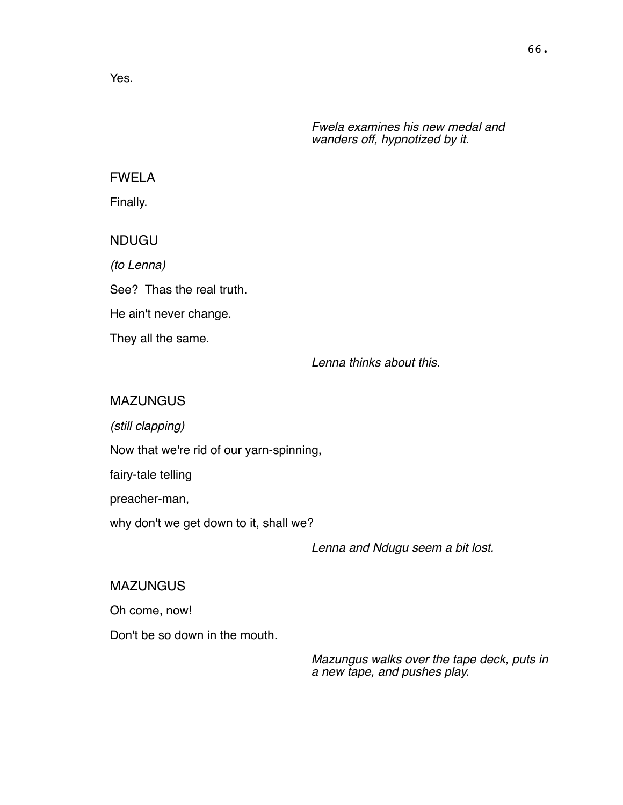Yes.

*Fwela examines his new medal and wanders off, hypnotized by it.*

# FWELA

Finally.

NDUGU

*(to Lenna)* See? Thas the real truth. He ain't never change. They all the same.

*Lenna thinks about this.*

### **MAZUNGUS**

*(still clapping)*

Now that we're rid of our yarn-spinning,

fairy-tale telling

preacher-man,

why don't we get down to it, shall we?

*Lenna and Ndugu seem a bit lost.*

MAZUNGUS

Oh come, now!

Don't be so down in the mouth.

*Mazungus walks over the tape deck, puts in a new tape, and pushes play.*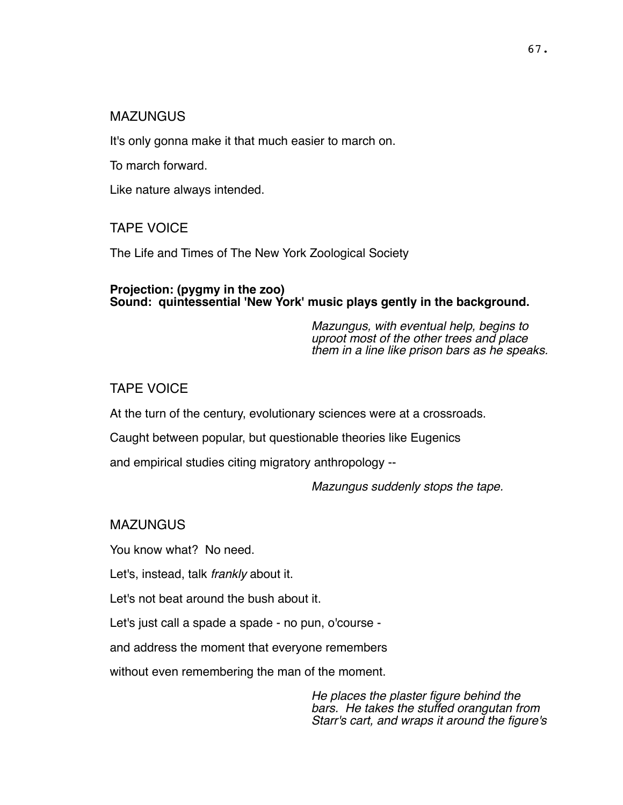It's only gonna make it that much easier to march on.

To march forward.

Like nature always intended.

TAPE VOICE

The Life and Times of The New York Zoological Society

#### **Projection: (pygmy in the zoo) Sound: quintessential 'New York' music plays gently in the background.**

*Mazungus, with eventual help, begins to uproot most of the other trees and place them in a line like prison bars as he speaks.*

# TAPE VOICE

At the turn of the century, evolutionary sciences were at a crossroads.

Caught between popular, but questionable theories like Eugenics

and empirical studies citing migratory anthropology --

*Mazungus suddenly stops the tape.*

MAZUNGUS

You know what? No need.

Let's, instead, talk *frankly* about it.

Let's not beat around the bush about it.

Let's just call a spade a spade - no pun, o'course -

and address the moment that everyone remembers

without even remembering the man of the moment.

*He places the plaster figure behind the bars. He takes the stuffed orangutan from Starr's cart, and wraps it around the figure's*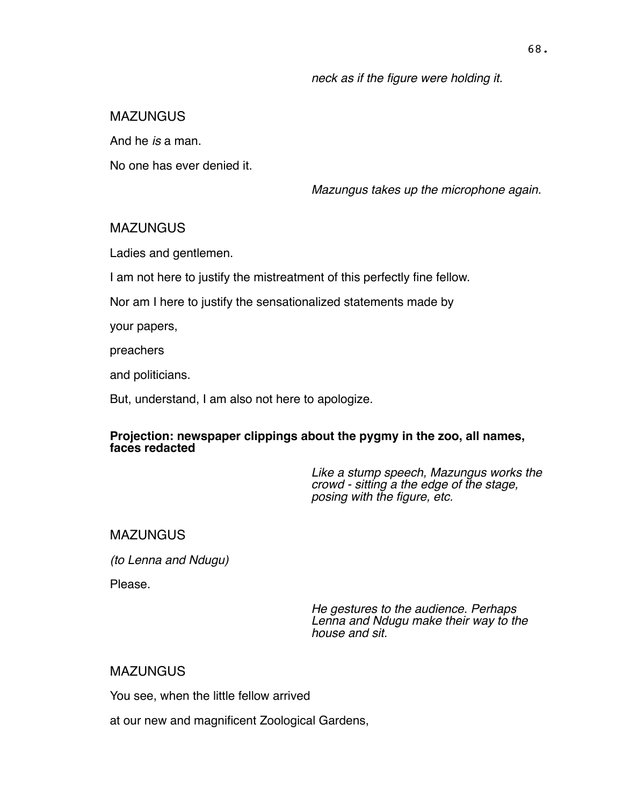*neck as if the figure were holding it.*

# MAZUNGUS

And he *is* a man.

No one has ever denied it.

*Mazungus takes up the microphone again.*

# **MAZUNGUS**

Ladies and gentlemen.

I am not here to justify the mistreatment of this perfectly fine fellow.

Nor am I here to justify the sensationalized statements made by

your papers,

preachers

and politicians.

But, understand, I am also not here to apologize.

#### **Projection: newspaper clippings about the pygmy in the zoo, all names, faces redacted**

*Like a stump speech, Mazungus works the crowd - sitting a the edge of the stage, posing with the figure, etc.*

# **MAZUNGUS**

*(to Lenna and Ndugu)*

Please.

*He gestures to the audience. Perhaps Lenna and Ndugu make their way to the house and sit.*

# **MAZUNGUS**

You see, when the little fellow arrived

at our new and magnificent Zoological Gardens,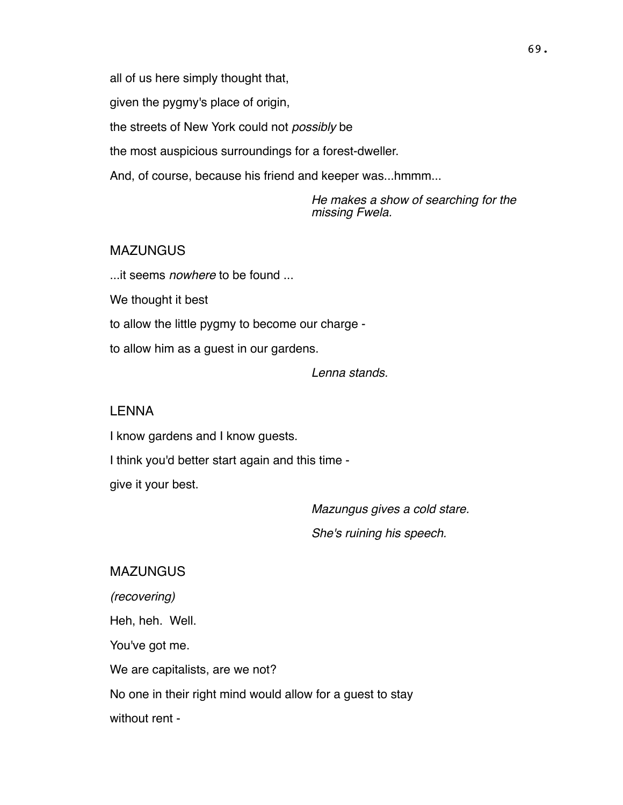all of us here simply thought that,

given the pygmy's place of origin,

the streets of New York could not *possibly* be

the most auspicious surroundings for a forest-dweller.

And, of course, because his friend and keeper was...hmmm...

*He makes a show of searching for the missing Fwela.*

#### MAZUNGUS

...it seems *nowhere* to be found ...

We thought it best

to allow the little pygmy to become our charge -

to allow him as a guest in our gardens.

*Lenna stands.*

#### LENNA

I know gardens and I know guests.

I think you'd better start again and this time -

give it your best.

*Mazungus gives a cold stare.* 

*She's ruining his speech.*

**MAZUNGUS** *(recovering)* Heh, heh. Well. You've got me. We are capitalists, are we not? No one in their right mind would allow for a guest to stay without rent -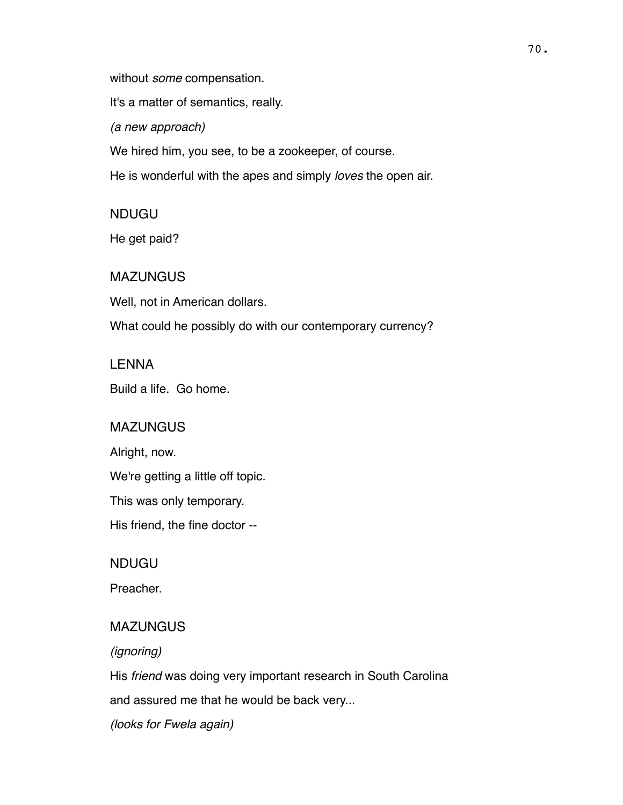without *some* compensation.

It's a matter of semantics, really.

*(a new approach)*

We hired him, you see, to be a zookeeper, of course.

He is wonderful with the apes and simply *loves* the open air.

NDUGU

He get paid?

**MAZUNGUS** 

Well, not in American dollars.

What could he possibly do with our contemporary currency?

### LENNA

Build a life. Go home.

### **MAZUNGUS**

Alright, now.

We're getting a little off topic.

This was only temporary.

His friend, the fine doctor --

NDUGU

Preacher.

### **MAZUNGUS**

*(ignoring)*

His *friend* was doing very important research in South Carolina

and assured me that he would be back very...

*(looks for Fwela again)*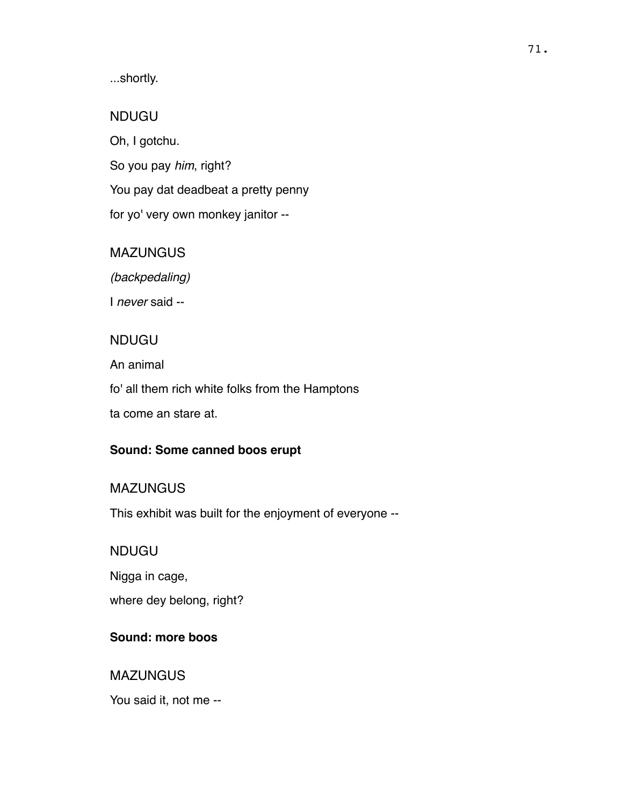...shortly.

## NDUGU

Oh, I gotchu. So you pay *him*, right? You pay dat deadbeat a pretty penny for yo' very own monkey janitor --

## **MAZUNGUS**

*(backpedaling)*

I *never* said --

# NDUGU

An animal

fo' all them rich white folks from the Hamptons

ta come an stare at.

# **Sound: Some canned boos erupt**

# **MAZUNGUS**

This exhibit was built for the enjoyment of everyone --

# NDUGU

Nigga in cage,

where dey belong, right?

# **Sound: more boos**

# **MAZUNGUS**

You said it, not me --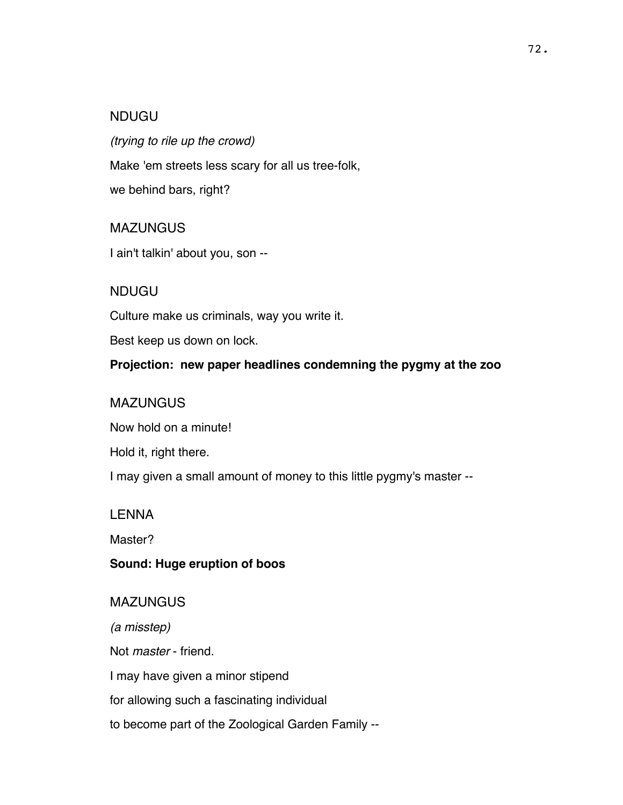### NDUGU

*(trying to rile up the crowd)* Make 'em streets less scary for all us tree-folk, we behind bars, right?

### **MAZUNGUS**

I ain't talkin' about you, son --

### NDUGU

Culture make us criminals, way you write it.

Best keep us down on lock.

**Projection: new paper headlines condemning the pygmy at the zoo**

### **MAZUNGUS**

Now hold on a minute!

Hold it, right there.

I may given a small amount of money to this little pygmy's master --

### LENNA

Master?

### **Sound: Huge eruption of boos**

**MAZUNGUS** *(a misstep)* Not *master* - friend. I may have given a minor stipend for allowing such a fascinating individual to become part of the Zoological Garden Family --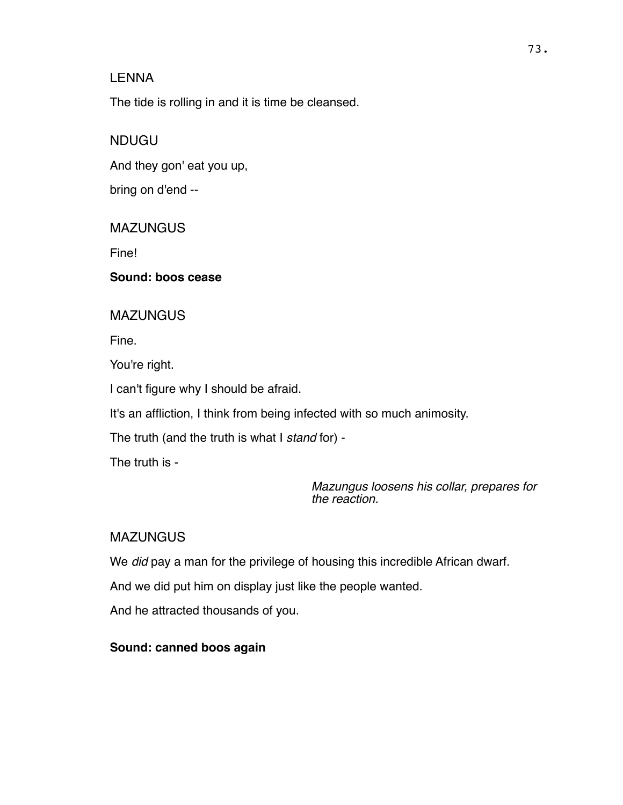The tide is rolling in and it is time be cleansed.

## NDUGU

And they gon' eat you up,

bring on d'end --

## **MAZUNGUS**

Fine!

### **Sound: boos cease**

## **MAZUNGUS**

Fine.

You're right.

I can't figure why I should be afraid.

It's an affliction, I think from being infected with so much animosity.

The truth (and the truth is what I *stand* for) -

The truth is -

*Mazungus loosens his collar, prepares for the reaction.*

# **MAZUNGUS**

We *did* pay a man for the privilege of housing this incredible African dwarf.

And we did put him on display just like the people wanted.

And he attracted thousands of you.

## **Sound: canned boos again**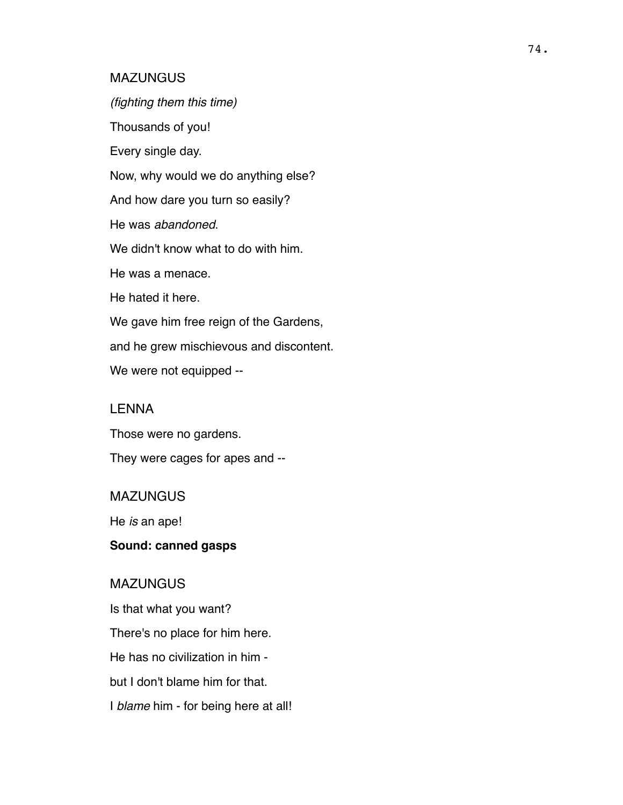#### **MAZUNGUS**

*(fighting them this time)* Thousands of you! Every single day. Now, why would we do anything else? And how dare you turn so easily? He was *abandoned*. We didn't know what to do with him. He was a menace. He hated it here. We gave him free reign of the Gardens, and he grew mischievous and discontent. We were not equipped --

### LENNA

Those were no gardens.

They were cages for apes and --

#### **MAZUNGUS**

He *is* an ape!

## **Sound: canned gasps**

### **MAZUNGUS**

Is that what you want? There's no place for him here. He has no civilization in him but I don't blame him for that. I *blame* him - for being here at all!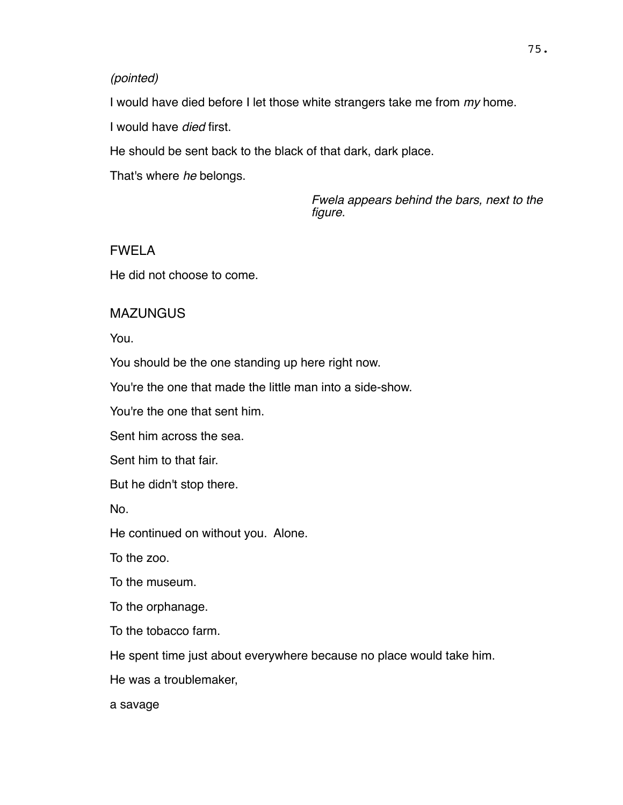#### *(pointed)*

I would have died before I let those white strangers take me from *my* home.

I would have *died* first.

He should be sent back to the black of that dark, dark place.

That's where *he* belongs.

*Fwela appears behind the bars, next to the figure.*

## FWELA

He did not choose to come.

## **MAZUNGUS**

You.

You should be the one standing up here right now.

You're the one that made the little man into a side-show.

You're the one that sent him.

Sent him across the sea.

Sent him to that fair.

But he didn't stop there.

No.

He continued on without you. Alone.

To the zoo.

To the museum.

To the orphanage.

To the tobacco farm.

He spent time just about everywhere because no place would take him.

He was a troublemaker,

a savage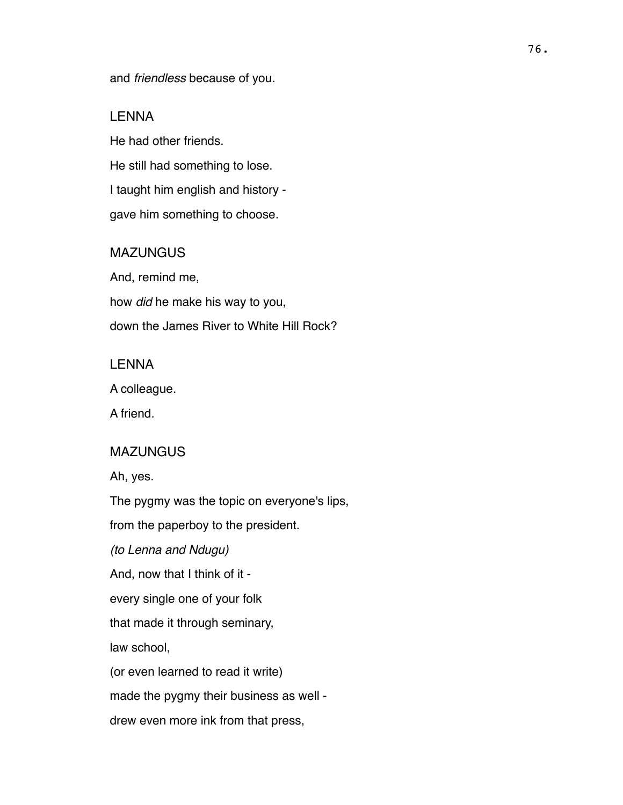and *friendless* because of you.

### LENNA

He had other friends. He still had something to lose. I taught him english and history gave him something to choose.

## **MAZUNGUS**

And, remind me, how *did* he make his way to you, down the James River to White Hill Rock?

### LENNA

A colleague.

A friend.

### MAZUNGUS

Ah, yes.

The pygmy was the topic on everyone's lips,

from the paperboy to the president.

*(to Lenna and Ndugu)*

And, now that I think of it -

every single one of your folk

that made it through seminary,

law school,

(or even learned to read it write)

made the pygmy their business as well -

drew even more ink from that press,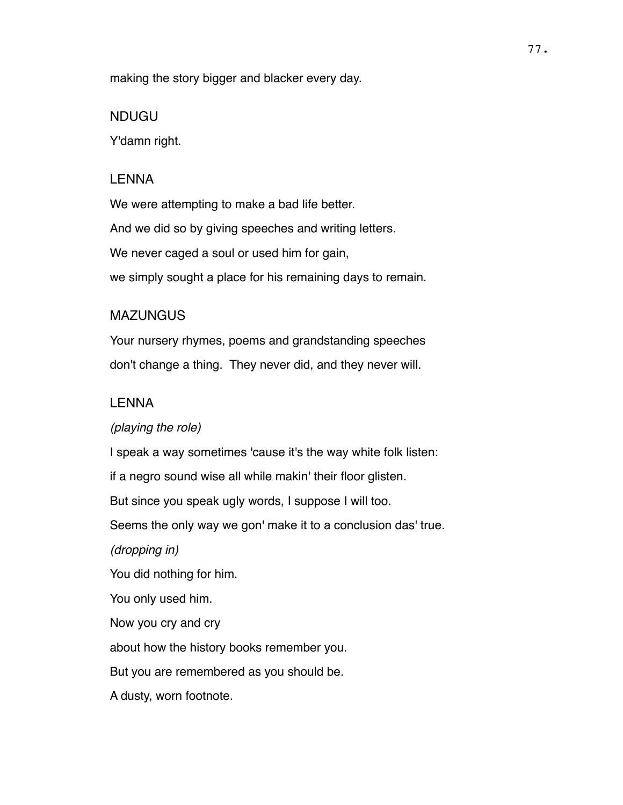making the story bigger and blacker every day.

#### NDUGU

Y'damn right.

#### LENNA

We were attempting to make a bad life better. And we did so by giving speeches and writing letters. We never caged a soul or used him for gain, we simply sought a place for his remaining days to remain.

### **MAZUNGUS**

Your nursery rhymes, poems and grandstanding speeches don't change a thing. They never did, and they never will.

### LENNA

#### *(playing the role)*

I speak a way sometimes 'cause it's the way white folk listen: if a negro sound wise all while makin' their floor glisten. But since you speak ugly words, I suppose I will too. Seems the only way we gon' make it to a conclusion das' true.

*(dropping in)*

You did nothing for him.

You only used him.

Now you cry and cry

about how the history books remember you.

But you are remembered as you should be.

A dusty, worn footnote.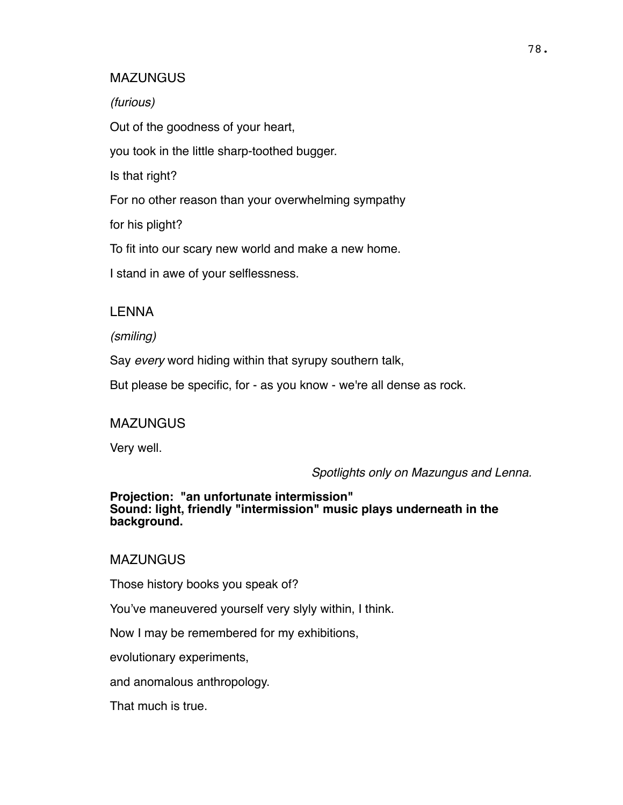#### **MAZUNGUS**

*(furious)*

Out of the goodness of your heart,

you took in the little sharp-toothed bugger.

Is that right?

For no other reason than your overwhelming sympathy

for his plight?

To fit into our scary new world and make a new home.

I stand in awe of your selflessness.

### LENNA

*(smiling)*

Say *every* word hiding within that syrupy southern talk,

But please be specific, for - as you know - we're all dense as rock.

### **MAZUNGUS**

Very well.

*Spotlights only on Mazungus and Lenna.*

#### **Projection: "an unfortunate intermission" Sound: light, friendly "intermission" music plays underneath in the background.**

**MAZUNGUS** 

Those history books you speak of?

You've maneuvered yourself very slyly within, I think.

Now I may be remembered for my exhibitions,

evolutionary experiments,

and anomalous anthropology.

That much is true.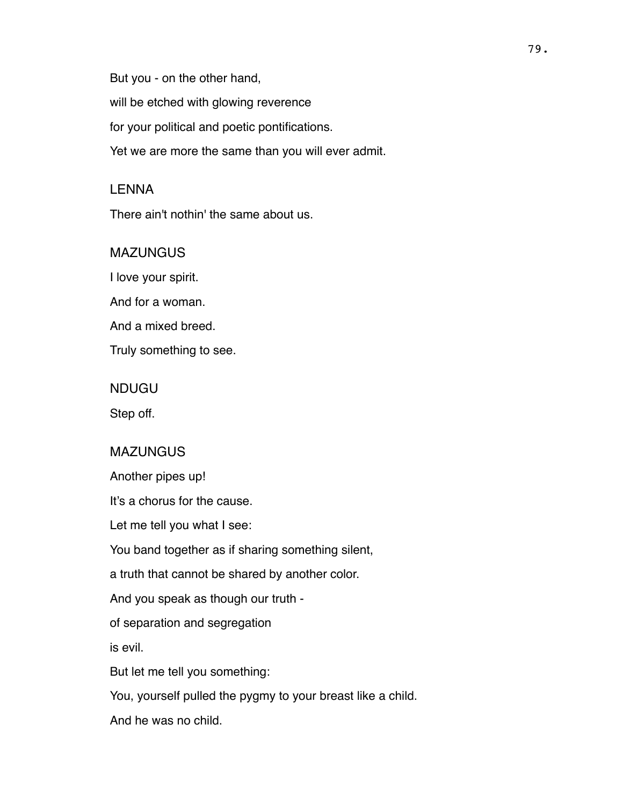But you - on the other hand,

will be etched with glowing reverence

for your political and poetic pontifications.

Yet we are more the same than you will ever admit.

## LENNA

There ain't nothin' the same about us.

## **MAZUNGUS**

I love your spirit.

And for a woman.

And a mixed breed.

Truly something to see.

## NDUGU

Step off.

## MAZUNGUS

Another pipes up!

It's a chorus for the cause.

Let me tell you what I see:

You band together as if sharing something silent,

a truth that cannot be shared by another color.

And you speak as though our truth -

of separation and segregation

is evil.

But let me tell you something:

You, yourself pulled the pygmy to your breast like a child.

And he was no child.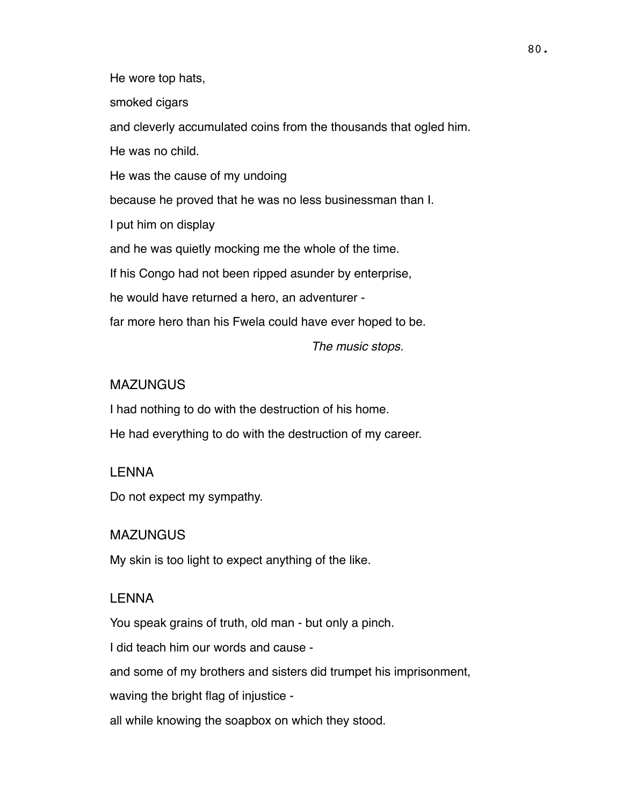He wore top hats,

smoked cigars

and cleverly accumulated coins from the thousands that ogled him.

He was no child.

He was the cause of my undoing

because he proved that he was no less businessman than I.

I put him on display

and he was quietly mocking me the whole of the time.

If his Congo had not been ripped asunder by enterprise,

he would have returned a hero, an adventurer -

far more hero than his Fwela could have ever hoped to be.

*The music stops.*

### MAZUNGUS

I had nothing to do with the destruction of his home. He had everything to do with the destruction of my career.

### LENNA

Do not expect my sympathy.

### **MAZUNGUS**

My skin is too light to expect anything of the like.

#### LENNA

You speak grains of truth, old man - but only a pinch.

I did teach him our words and cause -

and some of my brothers and sisters did trumpet his imprisonment,

waving the bright flag of injustice -

all while knowing the soapbox on which they stood.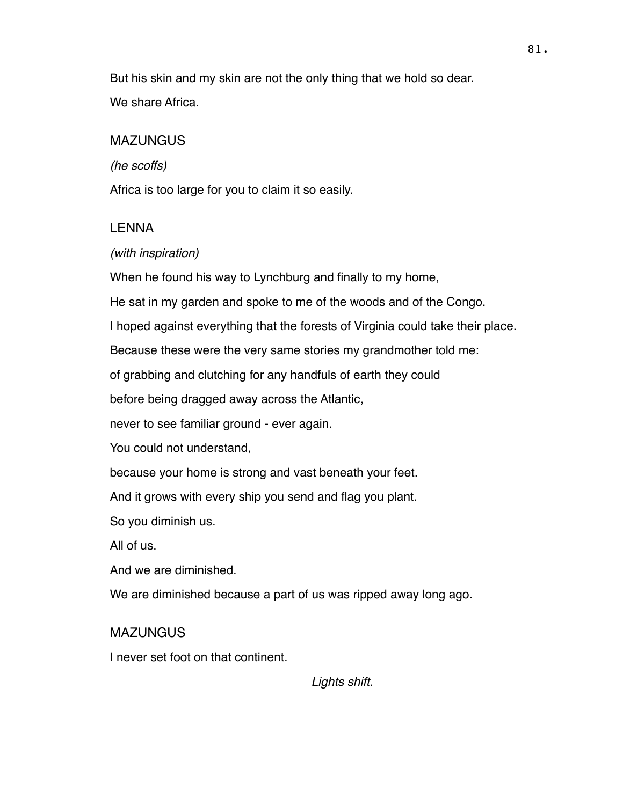But his skin and my skin are not the only thing that we hold so dear. We share Africa.

## MAZUNGUS

*(he scoffs)*

Africa is too large for you to claim it so easily.

### LENNA

### *(with inspiration)*

When he found his way to Lynchburg and finally to my home,

He sat in my garden and spoke to me of the woods and of the Congo.

I hoped against everything that the forests of Virginia could take their place.

Because these were the very same stories my grandmother told me:

of grabbing and clutching for any handfuls of earth they could

before being dragged away across the Atlantic,

never to see familiar ground - ever again.

You could not understand,

because your home is strong and vast beneath your feet.

And it grows with every ship you send and flag you plant.

So you diminish us.

All of us.

And we are diminished.

We are diminished because a part of us was ripped away long ago.

## **MAZUNGUS**

I never set foot on that continent.

*Lights shift.*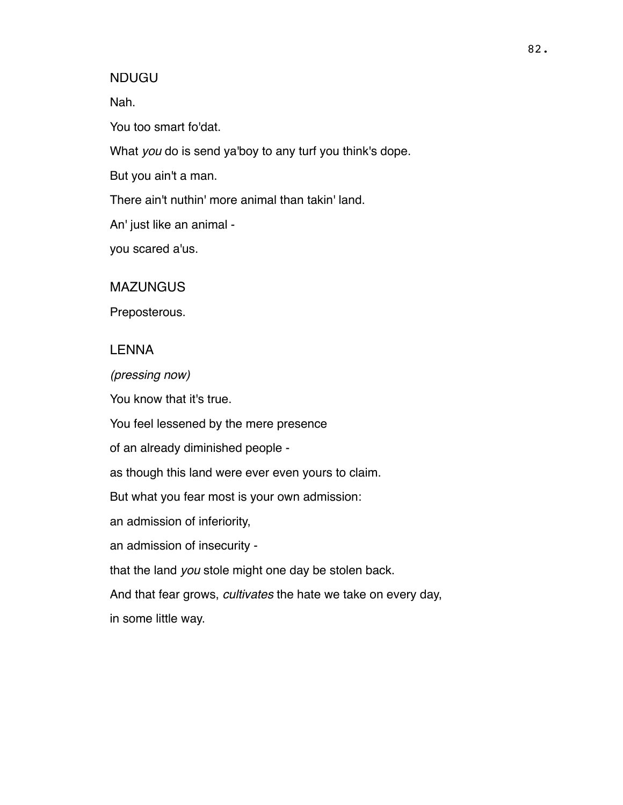#### NDUGU

Nah.

You too smart fo'dat.

What *you* do is send ya'boy to any turf you think's dope.

But you ain't a man.

There ain't nuthin' more animal than takin' land.

An' just like an animal -

you scared a'us.

**MAZUNGUS** 

Preposterous.

#### LENNA

*(pressing now)*

You know that it's true.

You feel lessened by the mere presence

of an already diminished people -

as though this land were ever even yours to claim.

But what you fear most is your own admission:

an admission of inferiority,

an admission of insecurity -

that the land *you* stole might one day be stolen back.

And that fear grows, *cultivates* the hate we take on every day, in some little way.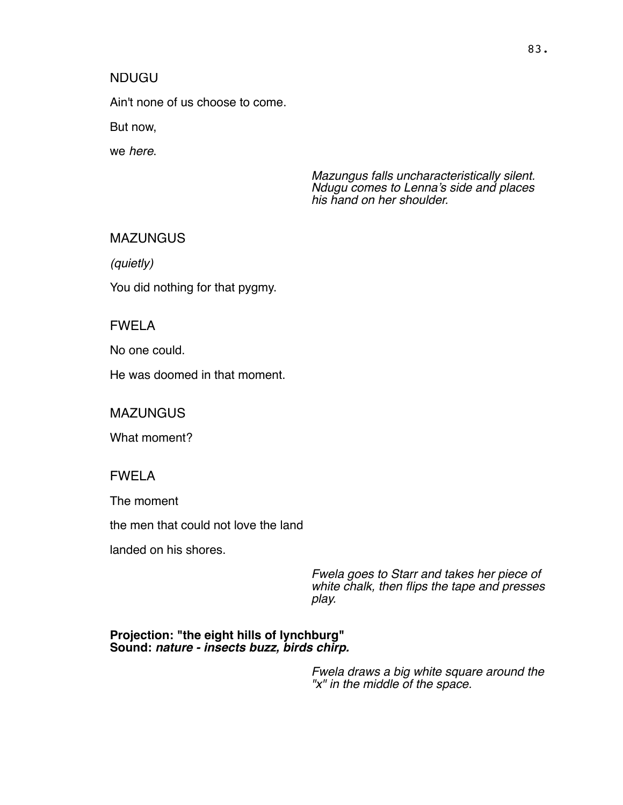### NDUGU

Ain't none of us choose to come.

But now,

we *here*.

*Mazungus falls uncharacteristically silent. Ndugu comes to Lenna's side and places his hand on her shoulder.* 

### MAZUNGUS

*(quietly)*

You did nothing for that pygmy.

## FWELA

No one could.

He was doomed in that moment.

**MAZUNGUS** 

What moment?

### FWELA

The moment

the men that could not love the land

landed on his shores.

*Fwela goes to Starr and takes her piece of white chalk, then flips the tape and presses play.*

#### **Projection: "the eight hills of lynchburg" Sound:** *nature - insects buzz, birds chirp.*

*Fwela draws a big white square around the "x" in the middle of the space.*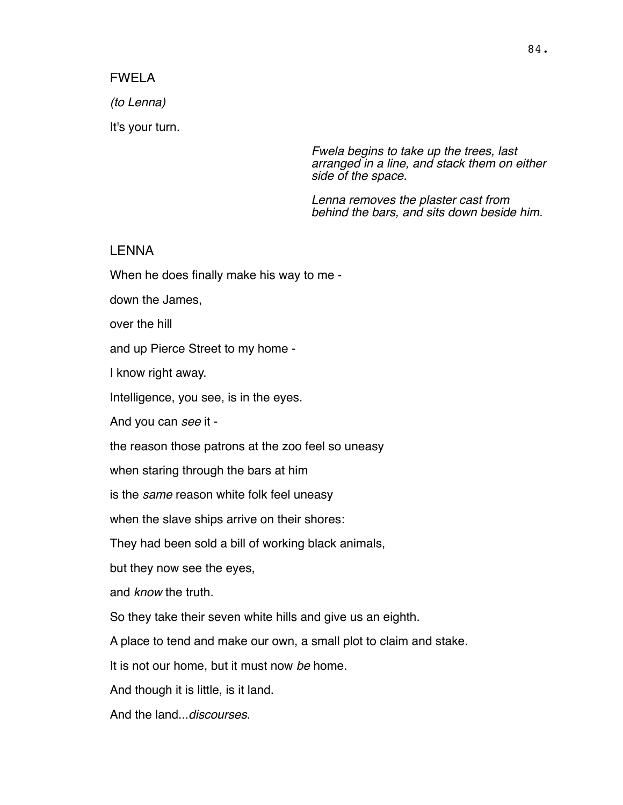#### FWELA

*(to Lenna)*

It's your turn.

*Fwela begins to take up the trees, last arranged in a line, and stack them on either side of the space.* 

*Lenna removes the plaster cast from behind the bars, and sits down beside him.*

#### LENNA

When he does finally make his way to me -

down the James,

over the hill

and up Pierce Street to my home -

I know right away.

Intelligence, you see, is in the eyes.

And you can *see* it -

the reason those patrons at the zoo feel so uneasy

when staring through the bars at him

is the *same* reason white folk feel uneasy

when the slave ships arrive on their shores:

They had been sold a bill of working black animals,

but they now see the eyes,

and *know* the truth.

So they take their seven white hills and give us an eighth.

A place to tend and make our own, a small plot to claim and stake.

It is not our home, but it must now *be* home.

And though it is little, is it land.

And the land...*discourses*.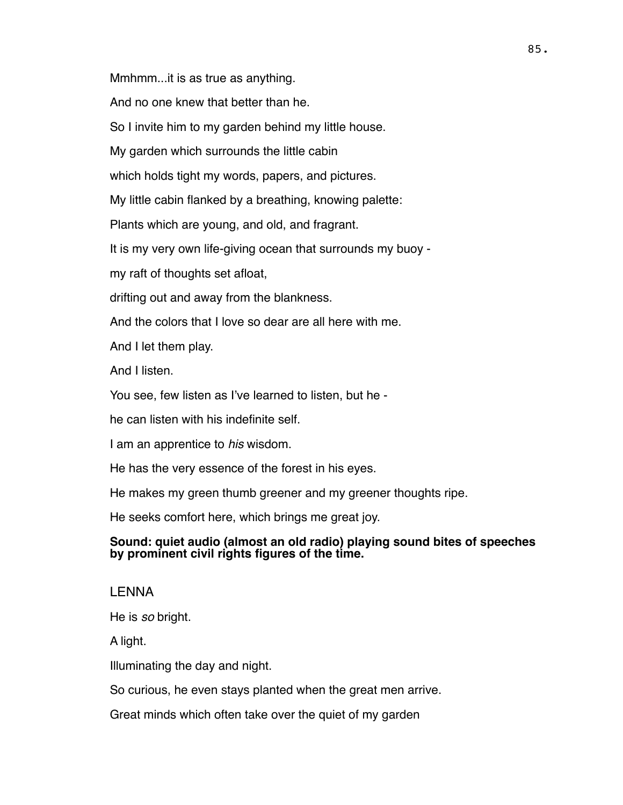Mmhmm...it is as true as anything.

And no one knew that better than he.

So I invite him to my garden behind my little house.

My garden which surrounds the little cabin

which holds tight my words, papers, and pictures.

My little cabin flanked by a breathing, knowing palette:

Plants which are young, and old, and fragrant.

It is my very own life-giving ocean that surrounds my buoy -

my raft of thoughts set afloat,

drifting out and away from the blankness.

And the colors that I love so dear are all here with me.

And I let them play.

And I listen.

You see, few listen as I've learned to listen, but he -

he can listen with his indefinite self.

I am an apprentice to *his* wisdom.

He has the very essence of the forest in his eyes.

He makes my green thumb greener and my greener thoughts ripe.

He seeks comfort here, which brings me great joy.

### **Sound: quiet audio (almost an old radio) playing sound bites of speeches by prominent civil rights figures of the time.**

## LENNA

He is *so* bright.

A light.

Illuminating the day and night.

So curious, he even stays planted when the great men arrive.

Great minds which often take over the quiet of my garden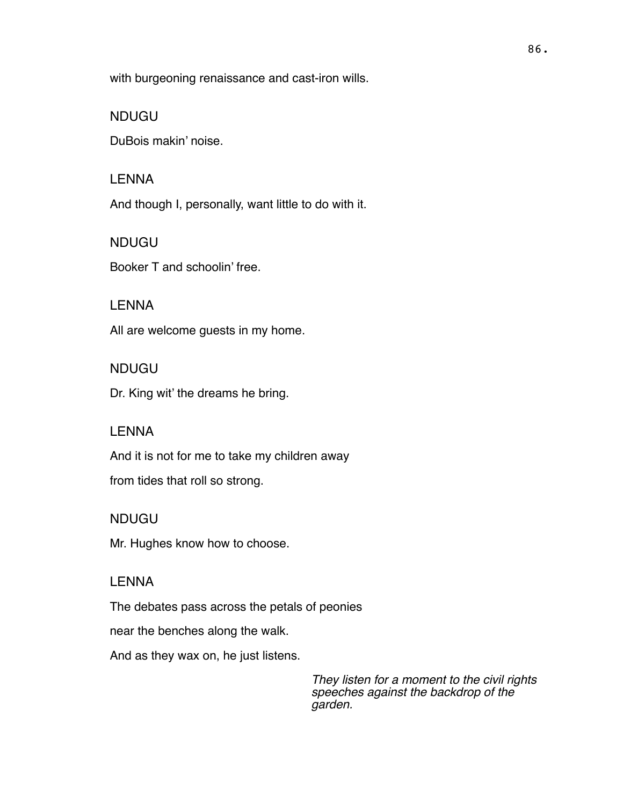with burgeoning renaissance and cast-iron wills.

#### NDUGU

DuBois makin' noise.

#### LENNA

And though I, personally, want little to do with it.

NDUGU

Booker T and schoolin' free.

### LENNA

All are welcome guests in my home.

#### NDUGU

Dr. King wit' the dreams he bring.

## LENNA

And it is not for me to take my children away

from tides that roll so strong.

#### NDUGU

Mr. Hughes know how to choose.

#### LENNA

The debates pass across the petals of peonies

near the benches along the walk.

And as they wax on, he just listens.

*They listen for a moment to the civil rights speeches against the backdrop of the garden.*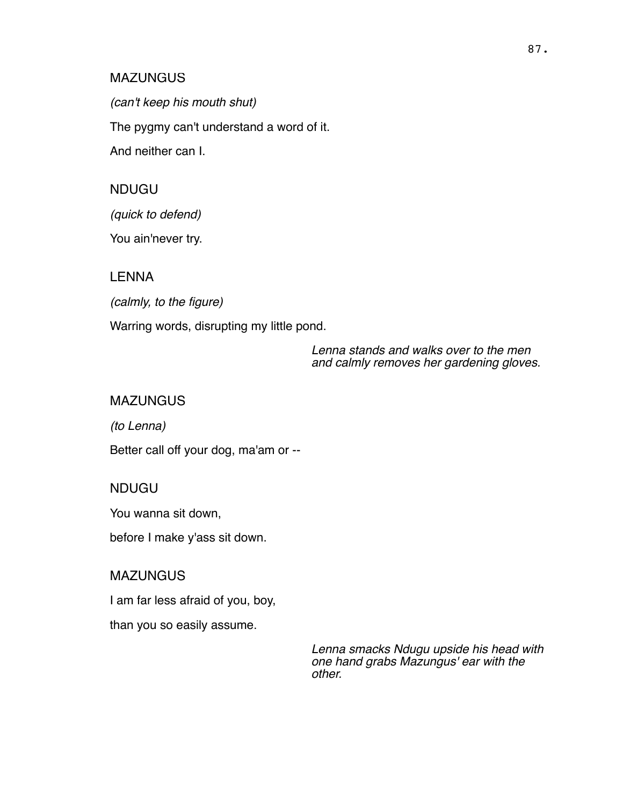#### **MAZUNGUS**

*(can't keep his mouth shut)* The pygmy can't understand a word of it. And neither can I.

### NDUGU

*(quick to defend)*

You ain'never try.

#### LENNA

*(calmly, to the figure)*

Warring words, disrupting my little pond.

*Lenna stands and walks over to the men and calmly removes her gardening gloves.*

#### MAZUNGUS

*(to Lenna)*

Better call off your dog, ma'am or --

#### NDUGU

You wanna sit down,

before I make y'ass sit down.

### **MAZUNGUS**

I am far less afraid of you, boy,

than you so easily assume.

*Lenna smacks Ndugu upside his head with one hand grabs Mazungus' ear with the other.*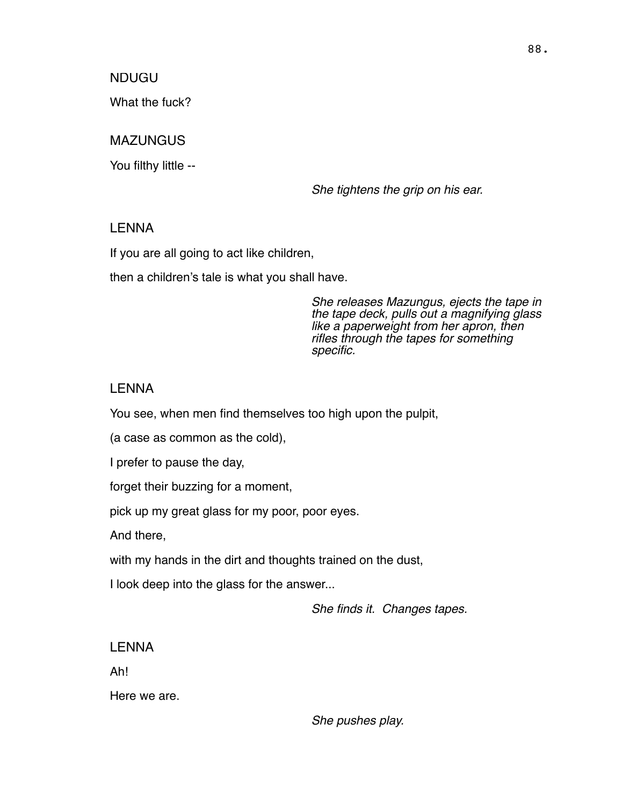NDUGU

What the fuck?

## MAZUNGUS

You filthy little --

*She tightens the grip on his ear.*

### LENNA

If you are all going to act like children,

then a children's tale is what you shall have.

*She releases Mazungus, ejects the tape in the tape deck, pulls out a magnifying glass like a paperweight from her apron, then rifles through the tapes for something specific.*

### LENNA

You see, when men find themselves too high upon the pulpit,

(a case as common as the cold),

I prefer to pause the day,

forget their buzzing for a moment,

pick up my great glass for my poor, poor eyes.

And there,

with my hands in the dirt and thoughts trained on the dust,

I look deep into the glass for the answer...

*She finds it. Changes tapes.*

## LENNA

Ah!

Here we are.

*She pushes play.*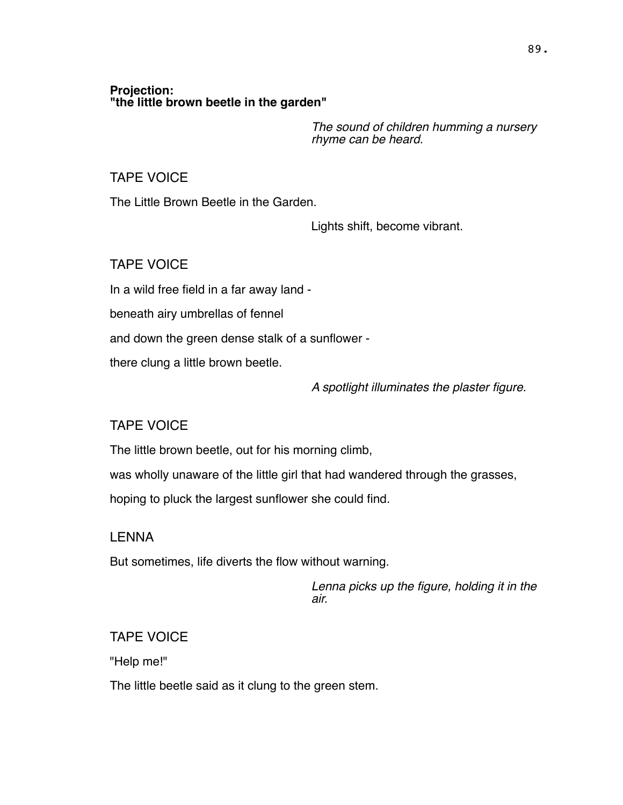#### **Projection: "the little brown beetle in the garden"**

*The sound of children humming a nursery rhyme can be heard.*

### TAPE VOICE

The Little Brown Beetle in the Garden.

Lights shift, become vibrant.

## TAPE VOICE

In a wild free field in a far away land -

beneath airy umbrellas of fennel

and down the green dense stalk of a sunflower -

there clung a little brown beetle.

*A spotlight illuminates the plaster figure.*

# TAPE VOICE

The little brown beetle, out for his morning climb,

was wholly unaware of the little girl that had wandered through the grasses,

hoping to pluck the largest sunflower she could find.

## LENNA

But sometimes, life diverts the flow without warning.

*Lenna picks up the figure, holding it in the air.*

# TAPE VOICE

"Help me!"

The little beetle said as it clung to the green stem.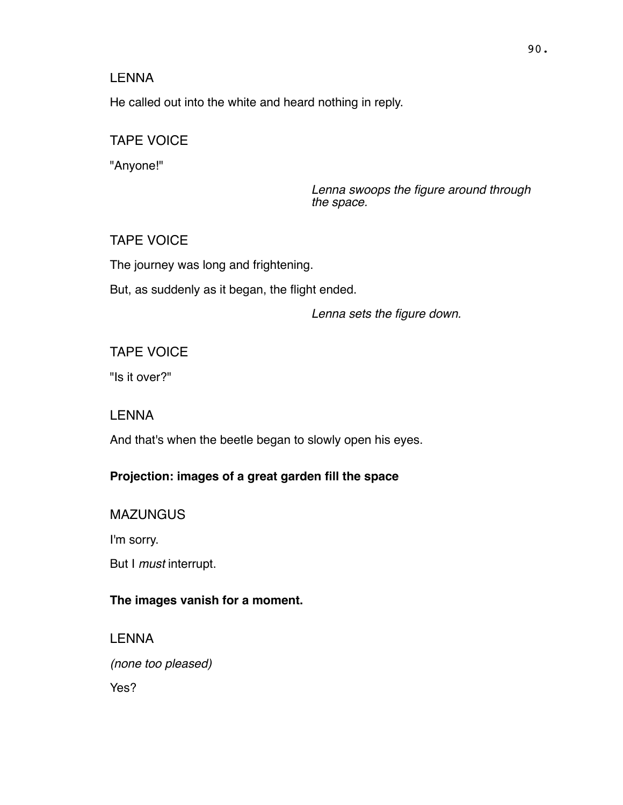He called out into the white and heard nothing in reply.

# TAPE VOICE

"Anyone!"

*Lenna swoops the figure around through the space.*

## TAPE VOICE

The journey was long and frightening.

But, as suddenly as it began, the flight ended.

*Lenna sets the figure down.*

## TAPE VOICE

"Is it over?"

## LENNA

And that's when the beetle began to slowly open his eyes.

## **Projection: images of a great garden fill the space**

**MAZUNGUS** 

I'm sorry.

But I *must* interrupt.

## **The images vanish for a moment.**

LENNA *(none too pleased)* Yes?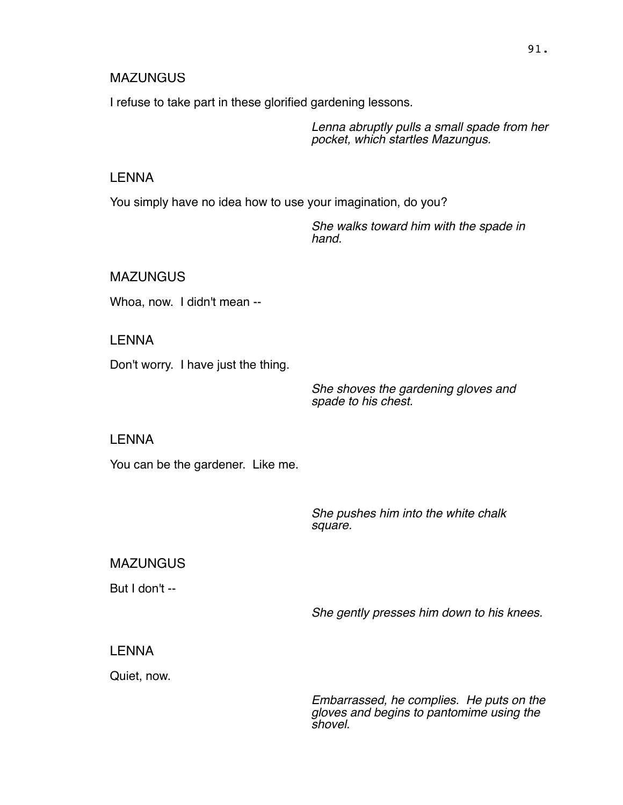#### **MAZUNGUS**

I refuse to take part in these glorified gardening lessons.

*Lenna abruptly pulls a small spade from her pocket, which startles Mazungus.*

### LENNA

You simply have no idea how to use your imagination, do you?

*She walks toward him with the spade in hand.*

**MAZUNGUS** 

Whoa, now. I didn't mean --

LENNA

Don't worry. I have just the thing.

*She shoves the gardening gloves and spade to his chest.*

LENNA

You can be the gardener. Like me.

*She pushes him into the white chalk square.*

**MAZUNGUS** 

But I don't --

*She gently presses him down to his knees.*

### LENNA

Quiet, now.

*Embarrassed, he complies. He puts on the gloves and begins to pantomime using the shovel.*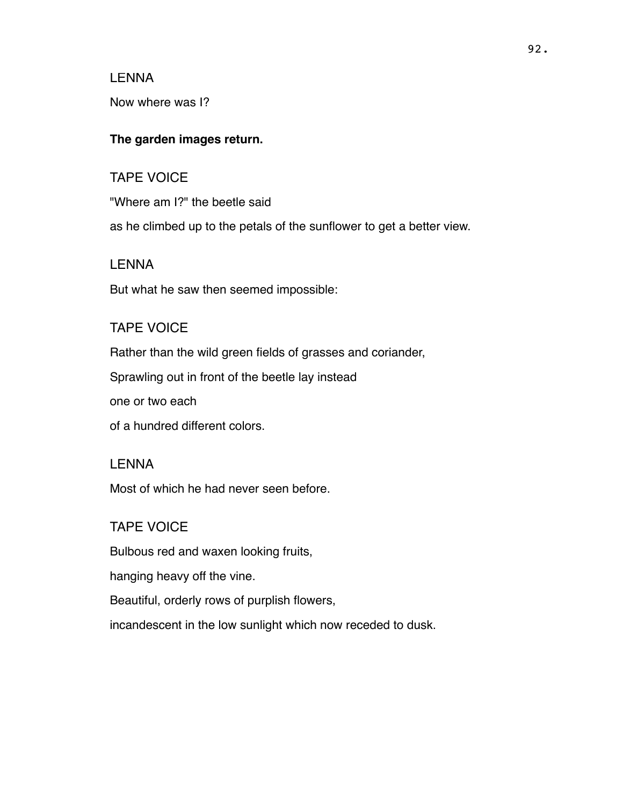Now where was I?

#### **The garden images return.**

# TAPE VOICE

"Where am I?" the beetle said

as he climbed up to the petals of the sunflower to get a better view.

### LENNA

But what he saw then seemed impossible:

### TAPE VOICE

Rather than the wild green fields of grasses and coriander,

Sprawling out in front of the beetle lay instead

one or two each

of a hundred different colors.

#### LENNA

Most of which he had never seen before.

## TAPE VOICE

Bulbous red and waxen looking fruits,

hanging heavy off the vine.

Beautiful, orderly rows of purplish flowers,

incandescent in the low sunlight which now receded to dusk.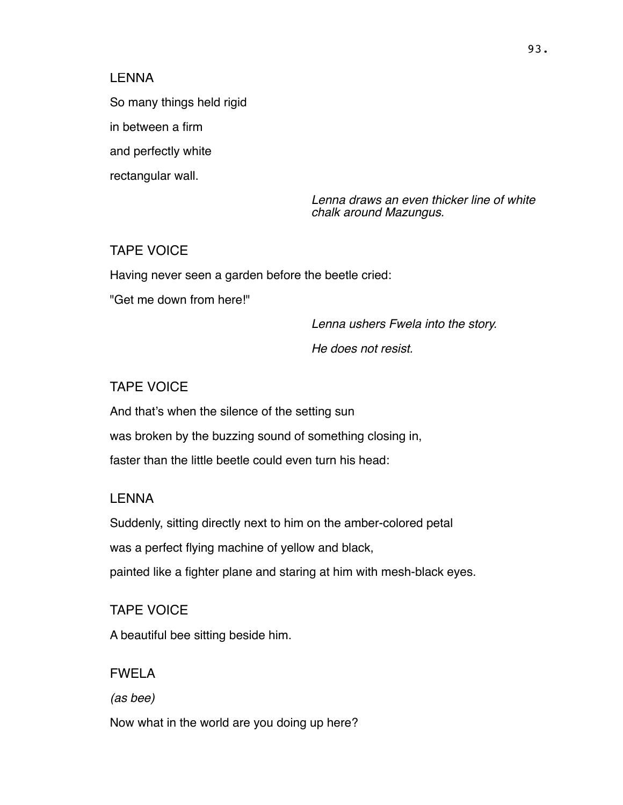So many things held rigid

in between a firm

and perfectly white

rectangular wall.

*Lenna draws an even thicker line of white chalk around Mazungus.*

## TAPE VOICE

Having never seen a garden before the beetle cried:

"Get me down from here!"

*Lenna ushers Fwela into the story.* 

*He does not resist.*

## TAPE VOICE

And that's when the silence of the setting sun was broken by the buzzing sound of something closing in, faster than the little beetle could even turn his head:

### LENNA

Suddenly, sitting directly next to him on the amber-colored petal was a perfect flying machine of yellow and black,

painted like a fighter plane and staring at him with mesh-black eyes.

## TAPE VOICE

A beautiful bee sitting beside him.

## FWELA

*(as bee)*

Now what in the world are you doing up here?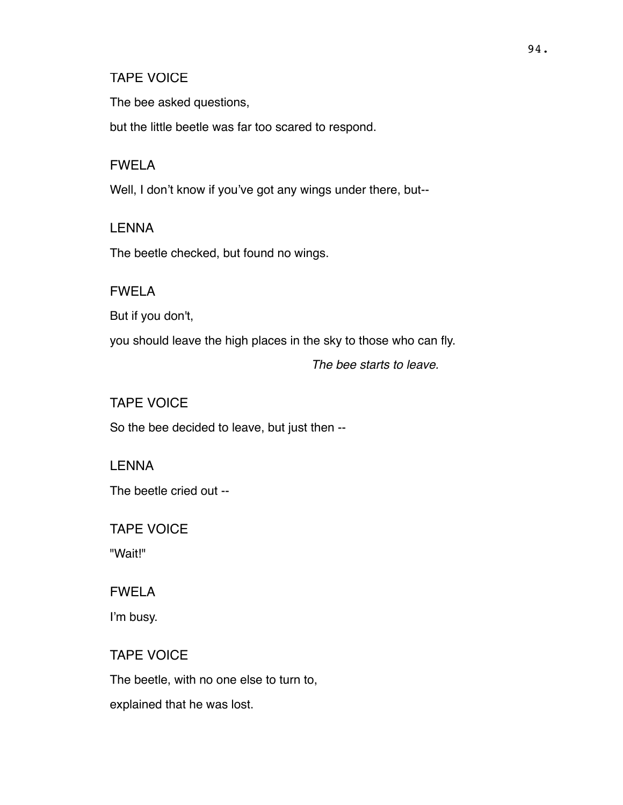#### TAPE VOICE

The bee asked questions,

but the little beetle was far too scared to respond.

### FWELA

Well, I don't know if you've got any wings under there, but--

## **LENNA**

The beetle checked, but found no wings.

## FWELA

But if you don't,

you should leave the high places in the sky to those who can fly.

*The bee starts to leave.*

# TAPE VOICE

So the bee decided to leave, but just then --

## **LENNA**

The beetle cried out --

## TAPE VOICE

"Wait!"

## FWELA

I'm busy.

## TAPE VOICE

The beetle, with no one else to turn to,

explained that he was lost.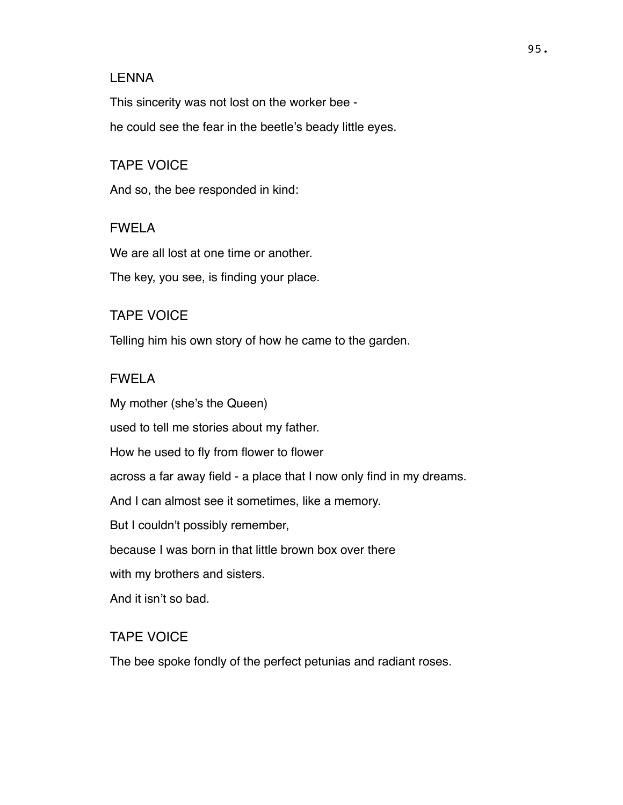This sincerity was not lost on the worker bee he could see the fear in the beetle's beady little eyes.

### TAPE VOICE

And so, the bee responded in kind:

### FWELA

We are all lost at one time or another.

The key, you see, is finding your place.

### TAPE VOICE

Telling him his own story of how he came to the garden.

### FWELA

My mother (she's the Queen) used to tell me stories about my father. How he used to fly from flower to flower across a far away field - a place that I now only find in my dreams. And I can almost see it sometimes, like a memory. But I couldn't possibly remember, because I was born in that little brown box over there with my brothers and sisters. And it isn't so bad.

## TAPE VOICE

The bee spoke fondly of the perfect petunias and radiant roses.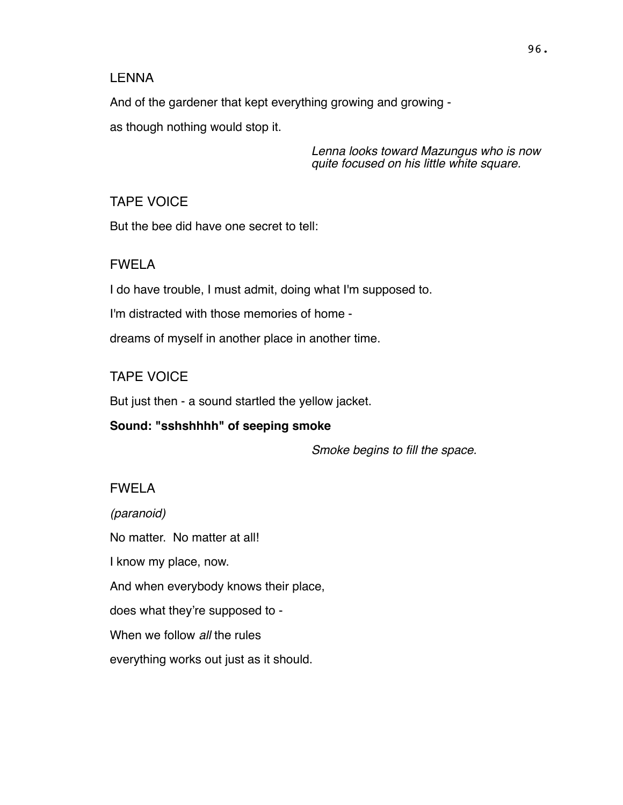And of the gardener that kept everything growing and growing as though nothing would stop it.

> *Lenna looks toward Mazungus who is now quite focused on his little white square.*

TAPE VOICE

But the bee did have one secret to tell:

### FWELA

I do have trouble, I must admit, doing what I'm supposed to.

I'm distracted with those memories of home -

dreams of myself in another place in another time.

## TAPE VOICE

But just then - a sound startled the yellow jacket.

**Sound: "sshshhhh" of seeping smoke**

*Smoke begins to fill the space.*

# FWELA

*(paranoid)* No matter. No matter at all! I know my place, now. And when everybody knows their place, does what they're supposed to - When we follow *all* the rules everything works out just as it should.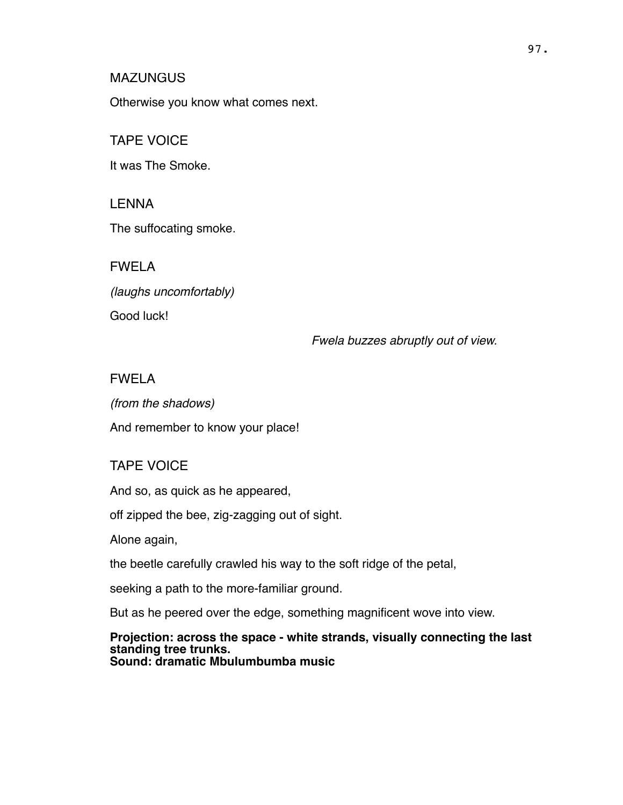#### **MAZUNGUS**

Otherwise you know what comes next.

## TAPE VOICE

It was The Smoke.

LENNA

The suffocating smoke.

FWELA

*(laughs uncomfortably)*

Good luck!

*Fwela buzzes abruptly out of view.*

# FWELA

*(from the shadows)*

And remember to know your place!

# TAPE VOICE

And so, as quick as he appeared,

off zipped the bee, zig-zagging out of sight.

Alone again,

the beetle carefully crawled his way to the soft ridge of the petal,

seeking a path to the more-familiar ground.

But as he peered over the edge, something magnificent wove into view.

#### **Projection: across the space - white strands, visually connecting the last standing tree trunks. Sound: dramatic Mbulumbumba music**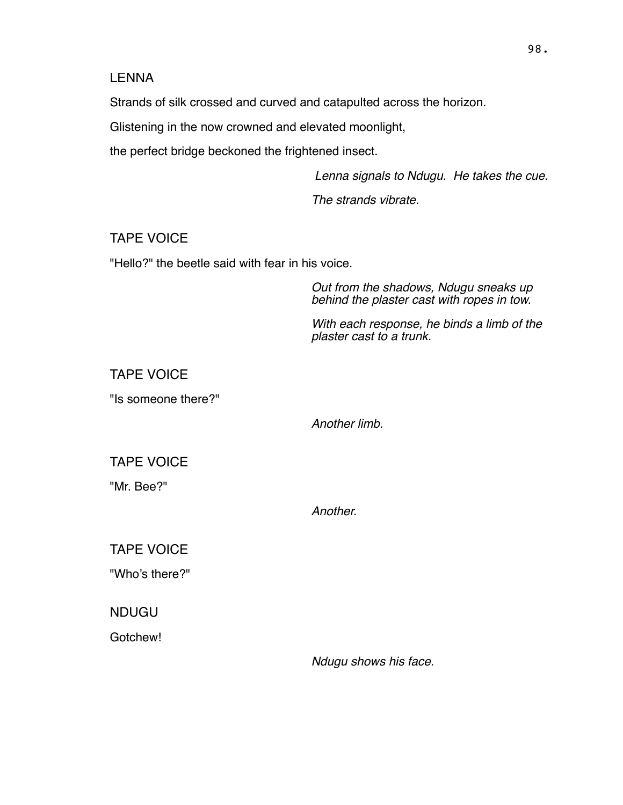Strands of silk crossed and curved and catapulted across the horizon.

Glistening in the now crowned and elevated moonlight,

the perfect bridge beckoned the frightened insect.

 *Lenna signals to Ndugu. He takes the cue.*

*The strands vibrate.* 

## TAPE VOICE

"Hello?" the beetle said with fear in his voice.

*Out from the shadows, Ndugu sneaks up behind the plaster cast with ropes in tow.*

*With each response, he binds a limb of the plaster cast to a trunk.*

TAPE VOICE

"Is someone there?"

*Another limb.*

TAPE VOICE

"Mr. Bee?"

*Another.*

TAPE VOICE

"Who's there?"

NDUGU

Gotchew!

*Ndugu shows his face.*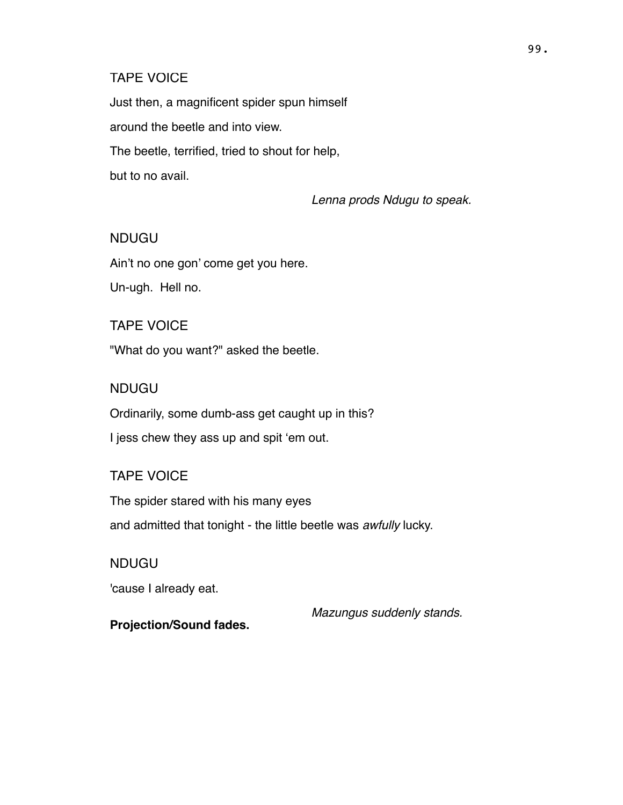#### TAPE VOICE

Just then, a magnificent spider spun himself around the beetle and into view. The beetle, terrified, tried to shout for help, but to no avail.

*Lenna prods Ndugu to speak.*

### NDUGU

Ain't no one gon' come get you here.

Un-ugh. Hell no.

### TAPE VOICE

"What do you want?" asked the beetle.

#### NDUGU

Ordinarily, some dumb-ass get caught up in this? I jess chew they ass up and spit 'em out.

### TAPE VOICE

The spider stared with his many eyes and admitted that tonight - the little beetle was *awfully* lucky.

### NDUGU

'cause I already eat.

*Mazungus suddenly stands.*

### **Projection/Sound fades.**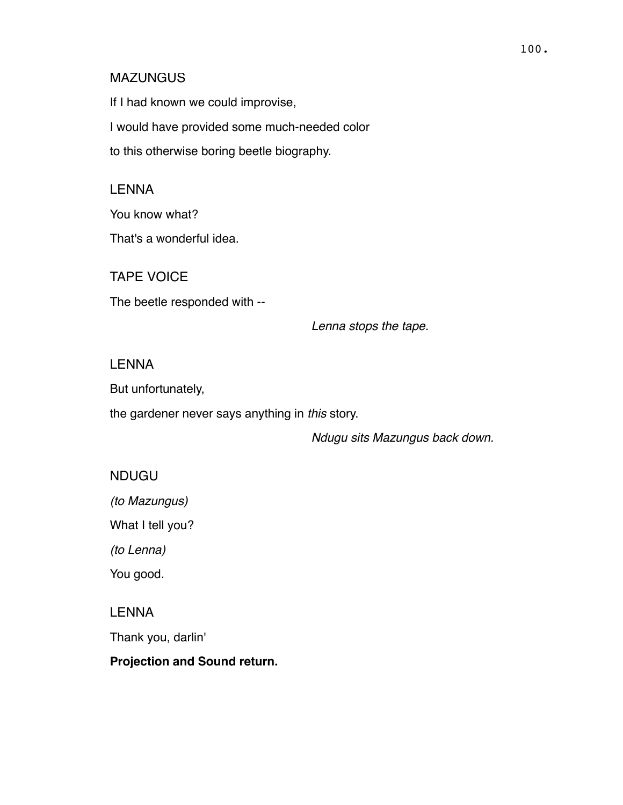#### MAZUNGUS

If I had known we could improvise, I would have provided some much-needed color to this otherwise boring beetle biography.

### LENNA

You know what?

That's a wonderful idea.

TAPE VOICE The beetle responded with --

*Lenna stops the tape.*

#### **LENNA**

But unfortunately,

the gardener never says anything in *this* story.

*Ndugu sits Mazungus back down.*

### NDUGU

*(to Mazungus)*

What I tell you?

*(to Lenna)*

You good.

### LENNA

Thank you, darlin'

### **Projection and Sound return.**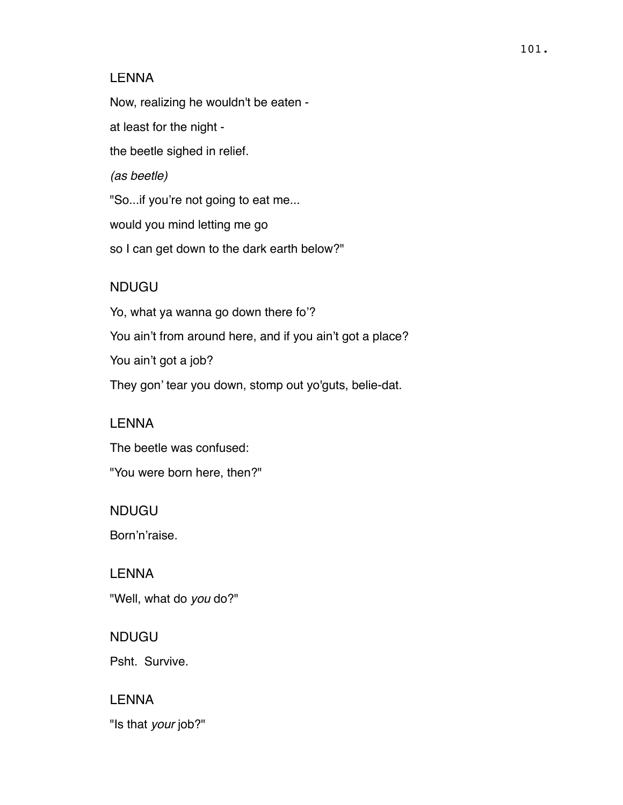Now, realizing he wouldn't be eaten -

at least for the night -

the beetle sighed in relief.

*(as beetle)*

"So...if you're not going to eat me...

would you mind letting me go

so I can get down to the dark earth below?"

## NDUGU

Yo, what ya wanna go down there fo'? You ain't from around here, and if you ain't got a place? You ain't got a job? They gon' tear you down, stomp out yo'guts, belie-dat.

LENNA

The beetle was confused: "You were born here, then?"

NDUGU

Born'n'raise.

LENNA "Well, what do *you* do?"

NDUGU Psht. Survive.

LENNA "Is that *your* job?"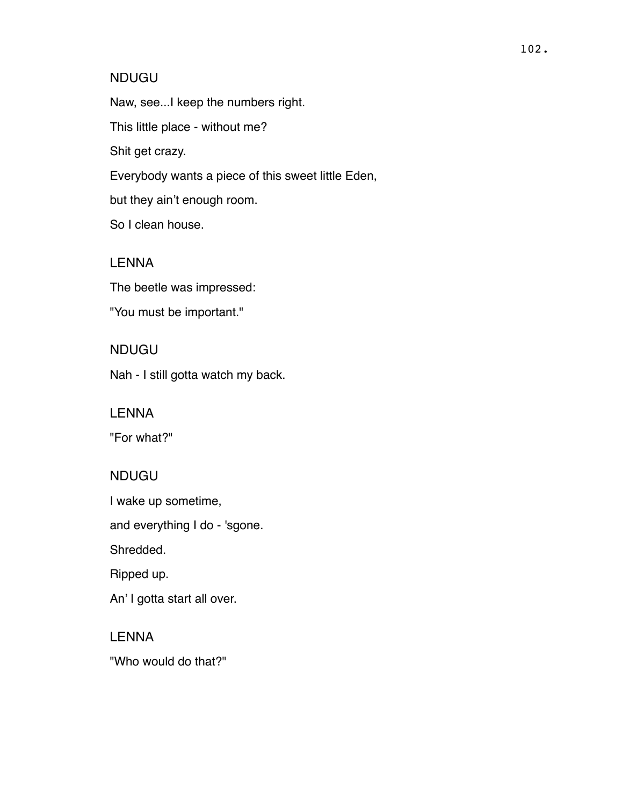### NDUGU

Naw, see...I keep the numbers right.

This little place - without me?

Shit get crazy.

Everybody wants a piece of this sweet little Eden,

but they ain't enough room.

So I clean house.

### LENNA

The beetle was impressed:

"You must be important."

## NDUGU

Nah - I still gotta watch my back.

## LENNA

"For what?"

## NDUGU

I wake up sometime,

and everything I do - 'sgone.

Shredded.

Ripped up.

An' I gotta start all over.

## LENNA

"Who would do that?"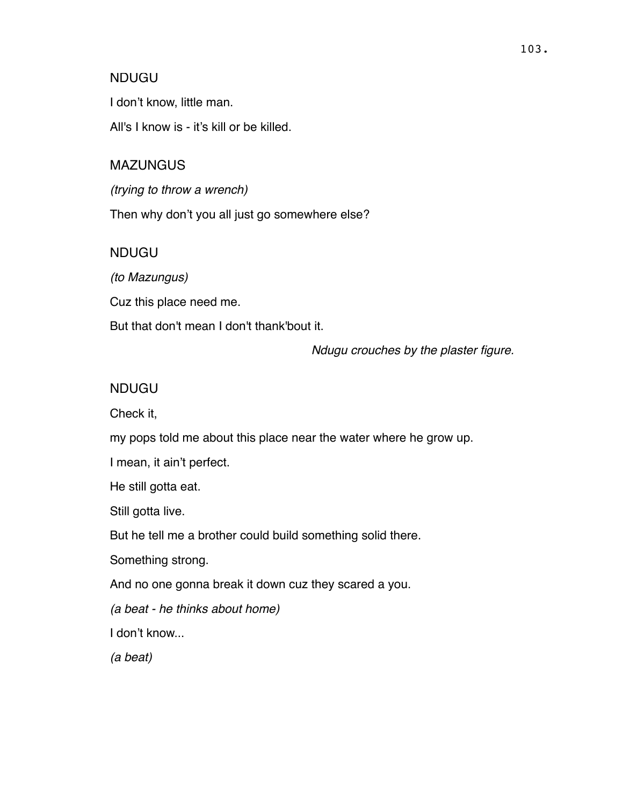### NDUGU

I don't know, little man.

All's I know is - it's kill or be killed.

### MAZUNGUS

*(trying to throw a wrench)*

Then why don't you all just go somewhere else?

## NDUGU

*(to Mazungus)*

Cuz this place need me.

But that don't mean I don't thank'bout it.

*Ndugu crouches by the plaster figure.*

### NDUGU

Check it,

my pops told me about this place near the water where he grow up.

I mean, it ain't perfect.

He still gotta eat.

Still gotta live.

But he tell me a brother could build something solid there.

Something strong.

And no one gonna break it down cuz they scared a you.

*(a beat - he thinks about home)*

I don't know...

*(a beat)*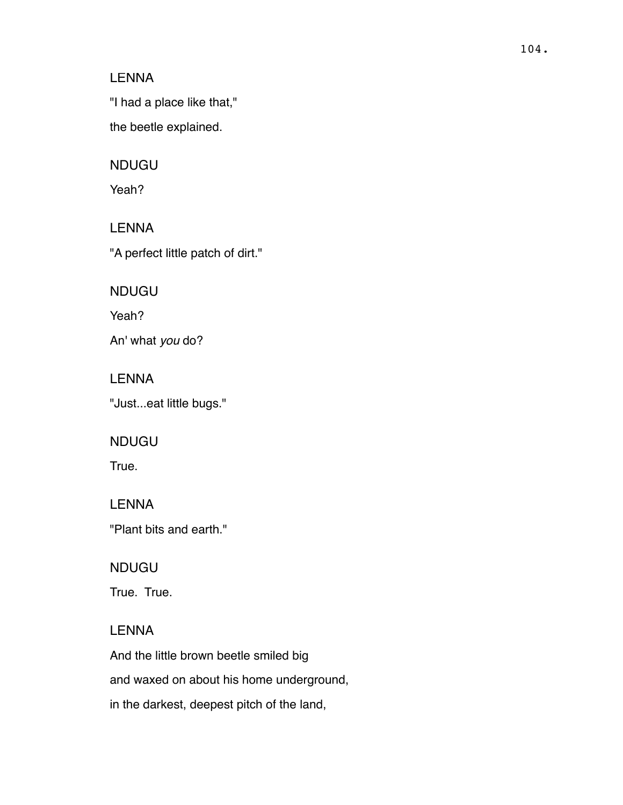"I had a place like that,"

the beetle explained.

#### NDUGU

Yeah?

# LENNA

"A perfect little patch of dirt."

### NDUGU

Yeah?

An' what *you* do?

### LENNA

"Just...eat little bugs."

### NDUGU

True.

# LENNA

"Plant bits and earth."

### NDUGU

True. True.

### LENNA

And the little brown beetle smiled big and waxed on about his home underground, in the darkest, deepest pitch of the land,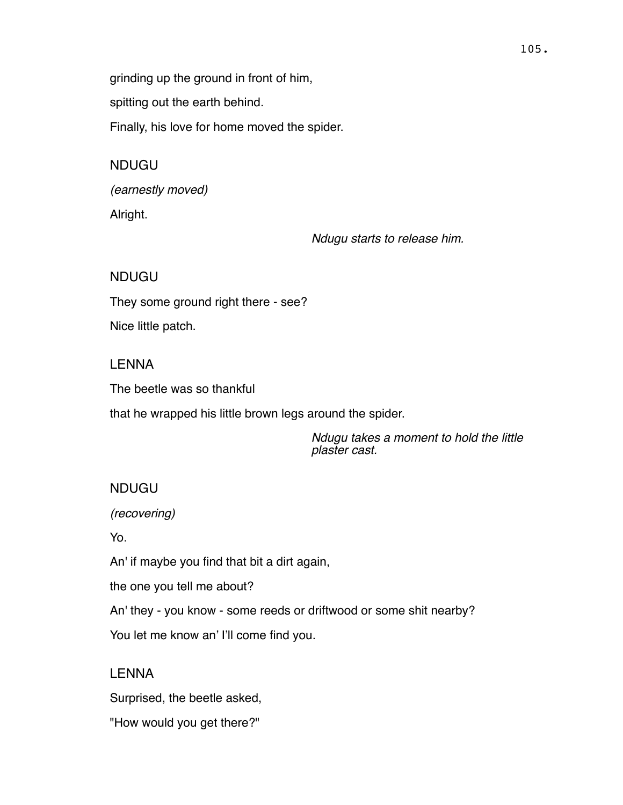grinding up the ground in front of him,

spitting out the earth behind.

Finally, his love for home moved the spider.

NDUGU

*(earnestly moved)* Alright.

*Ndugu starts to release him.*

NDUGU

They some ground right there - see?

Nice little patch.

## LENNA

The beetle was so thankful

that he wrapped his little brown legs around the spider.

*Ndugu takes a moment to hold the little plaster cast.*

# NDUGU

*(recovering)*

Yo.

An' if maybe you find that bit a dirt again,

the one you tell me about?

An' they - you know - some reeds or driftwood or some shit nearby?

You let me know an' I'll come find you.

# **LENNA**

Surprised, the beetle asked,

"How would you get there?"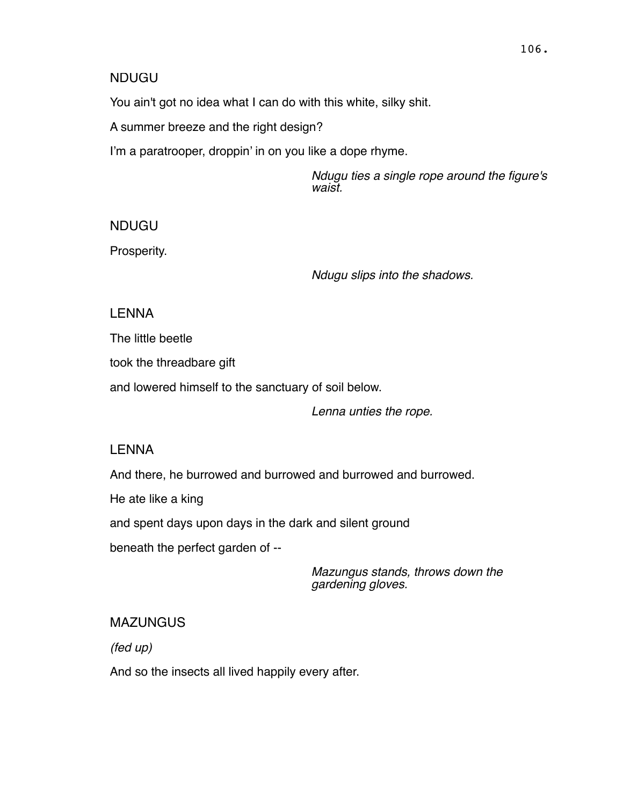#### NDUGU

You ain't got no idea what I can do with this white, silky shit.

A summer breeze and the right design?

I'm a paratrooper, droppin' in on you like a dope rhyme.

*Ndugu ties a single rope around the figure's waist.*

NDUGU

Prosperity.

*Ndugu slips into the shadows.*

# LENNA

The little beetle

took the threadbare gift

and lowered himself to the sanctuary of soil below.

*Lenna unties the rope.*

# LENNA

And there, he burrowed and burrowed and burrowed and burrowed.

He ate like a king

and spent days upon days in the dark and silent ground

beneath the perfect garden of --

*Mazungus stands, throws down the gardening gloves.*

# MAZUNGUS

*(fed up)*

And so the insects all lived happily every after.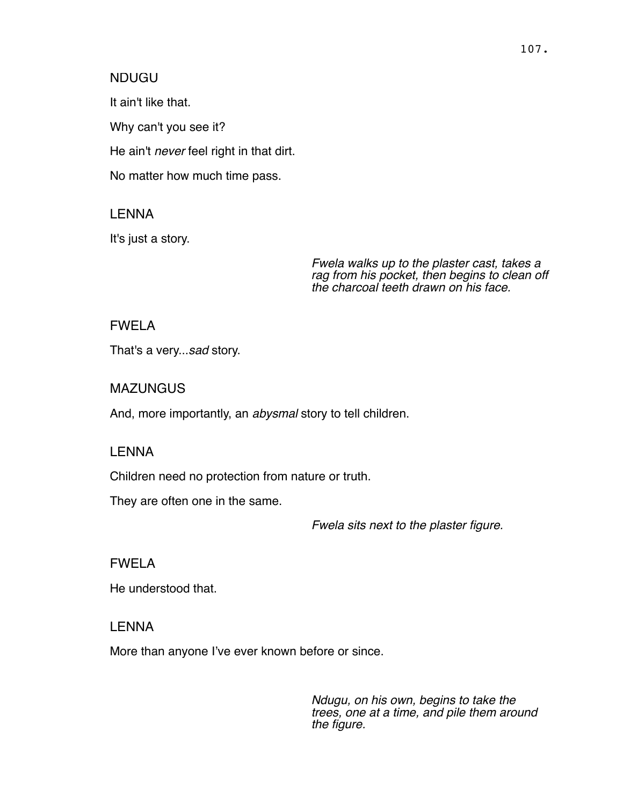#### NDUGU

It ain't like that.

Why can't you see it?

He ain't *never* feel right in that dirt.

No matter how much time pass.

### LENNA

It's just a story.

*Fwela walks up to the plaster cast, takes a rag from his pocket, then begins to clean off the charcoal teeth drawn on his face.*

#### FWELA

That's a very...*sad* story.

#### **MAZUNGUS**

And, more importantly, an *abysmal* story to tell children.

#### LENNA

Children need no protection from nature or truth.

They are often one in the same.

*Fwela sits next to the plaster figure.*

### FWELA

He understood that.

#### LENNA

More than anyone I've ever known before or since.

*Ndugu, on his own, begins to take the trees, one at a time, and pile them around the figure.*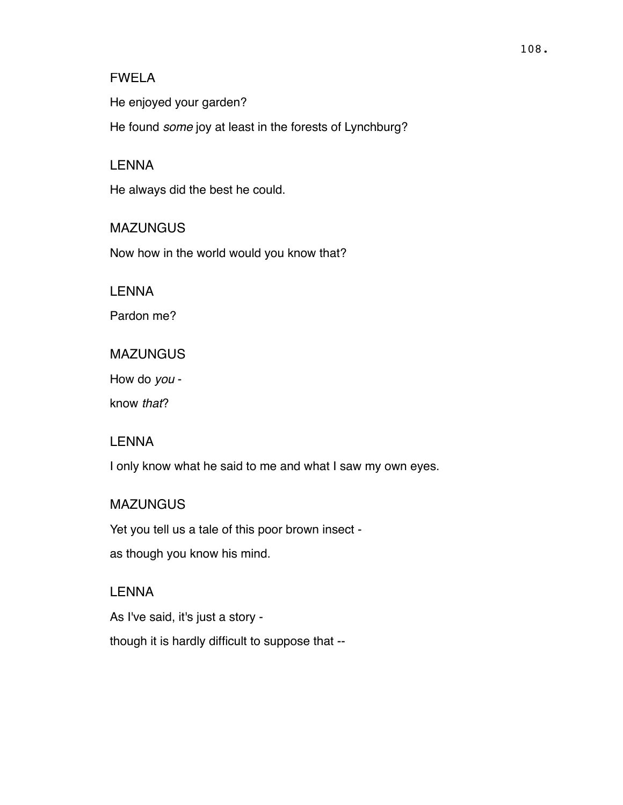#### FWELA

He enjoyed your garden?

He found *some* joy at least in the forests of Lynchburg?

#### LENNA

He always did the best he could.

**MAZUNGUS** Now how in the world would you know that?

LENNA

Pardon me?

MAZUNGUS

How do *you* -

know *that*?

### LENNA

I only know what he said to me and what I saw my own eyes.

### **MAZUNGUS**

Yet you tell us a tale of this poor brown insect -

as though you know his mind.

#### LENNA

As I've said, it's just a story -

though it is hardly difficult to suppose that --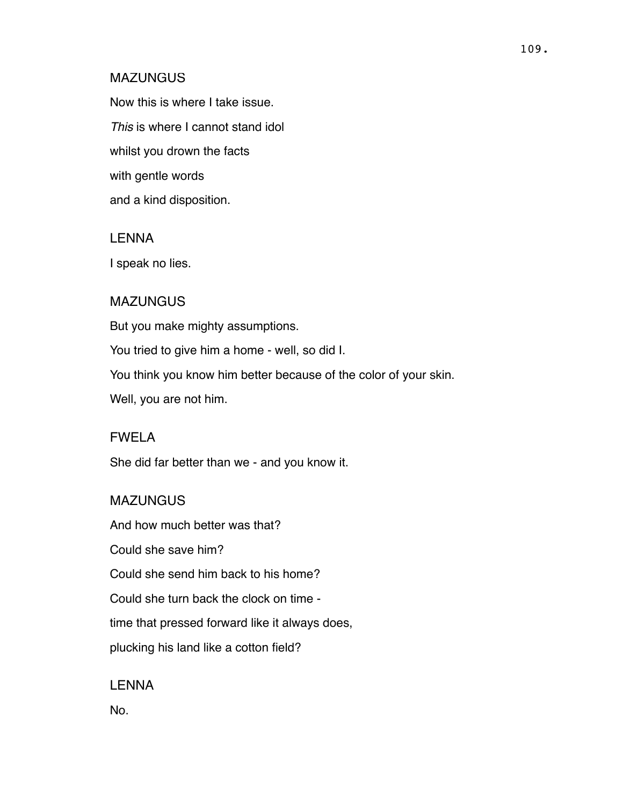#### **MAZUNGUS**

Now this is where I take issue. *This* is where I cannot stand idol whilst you drown the facts with gentle words and a kind disposition.

#### LENNA

I speak no lies.

#### MAZUNGUS

But you make mighty assumptions. You tried to give him a home - well, so did I. You think you know him better because of the color of your skin. Well, you are not him.

### FWELA

She did far better than we - and you know it.

#### MAZUNGUS

And how much better was that? Could she save him? Could she send him back to his home? Could she turn back the clock on time time that pressed forward like it always does, plucking his land like a cotton field?

LENNA

No.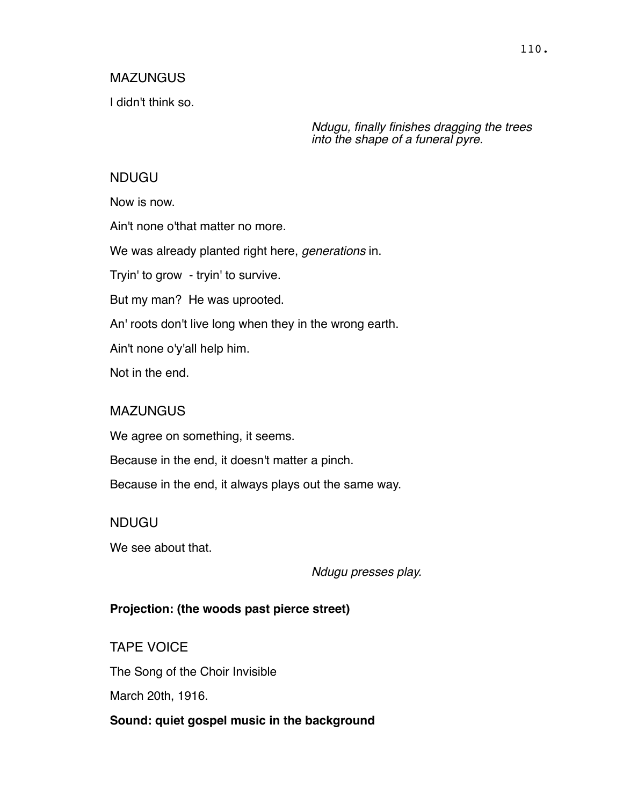#### **MAZUNGUS**

I didn't think so.

*Ndugu, finally finishes dragging the trees into the shape of a funeral pyre.* 

#### NDUGU

Now is now.

Ain't none o'that matter no more.

We was already planted right here, *generations* in.

Tryin' to grow - tryin' to survive.

But my man? He was uprooted.

An' roots don't live long when they in the wrong earth.

Ain't none o'y'all help him.

Not in the end.

#### **MAZUNGUS**

We agree on something, it seems.

Because in the end, it doesn't matter a pinch.

Because in the end, it always plays out the same way.

#### NDUGU

We see about that.

*Ndugu presses play.*

#### **Projection: (the woods past pierce street)**

TAPE VOICE The Song of the Choir Invisible March 20th, 1916.

**Sound: quiet gospel music in the background**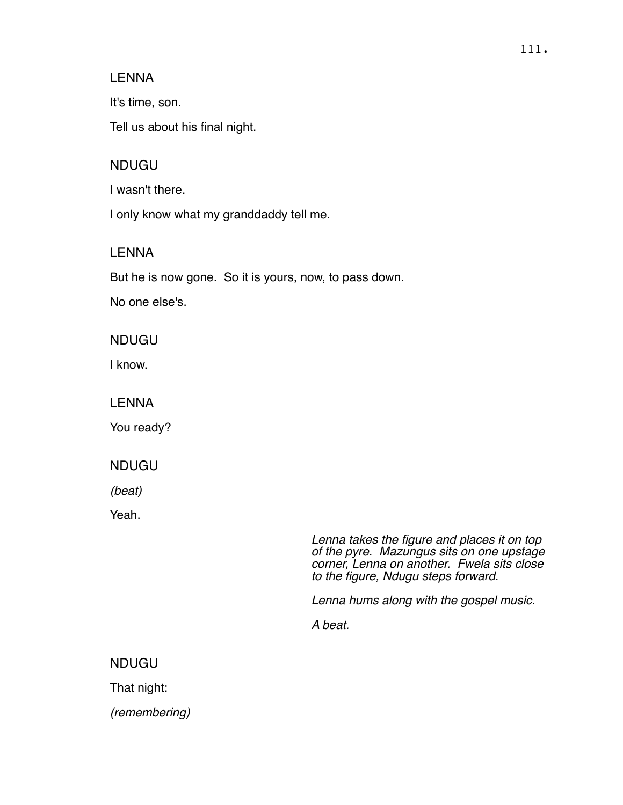#### LENNA

It's time, son.

Tell us about his final night.

### NDUGU

I wasn't there.

I only know what my granddaddy tell me.

### LENNA

But he is now gone. So it is yours, now, to pass down.

No one else's.

NDUGU

I know.

### LENNA

You ready?

### NDUGU

*(beat)*

Yeah.

*Lenna takes the figure and places it on top of the pyre. Mazungus sits on one upstage corner, Lenna on another. Fwela sits close to the figure, Ndugu steps forward.*

*Lenna hums along with the gospel music.*

*A beat.*

# NDUGU

That night:

*(remembering)*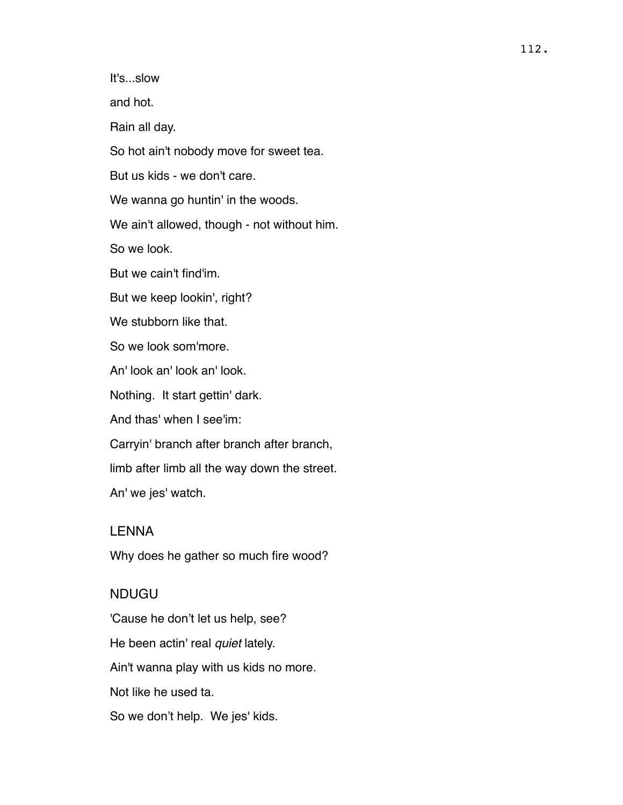It's...slow

and hot.

Rain all day.

So hot ain't nobody move for sweet tea.

But us kids - we don't care.

We wanna go huntin' in the woods.

We ain't allowed, though - not without him.

So we look.

But we cain't find'im.

But we keep lookin', right?

We stubborn like that.

So we look som'more.

An' look an' look an' look.

Nothing. It start gettin' dark.

And thas' when I see'im:

Carryin' branch after branch after branch,

limb after limb all the way down the street.

An' we jes' watch.

#### LENNA

Why does he gather so much fire wood?

#### NDUGU

'Cause he don't let us help, see? He been actin' real *quiet* lately. Ain't wanna play with us kids no more. Not like he used ta. So we don't help. We jes' kids.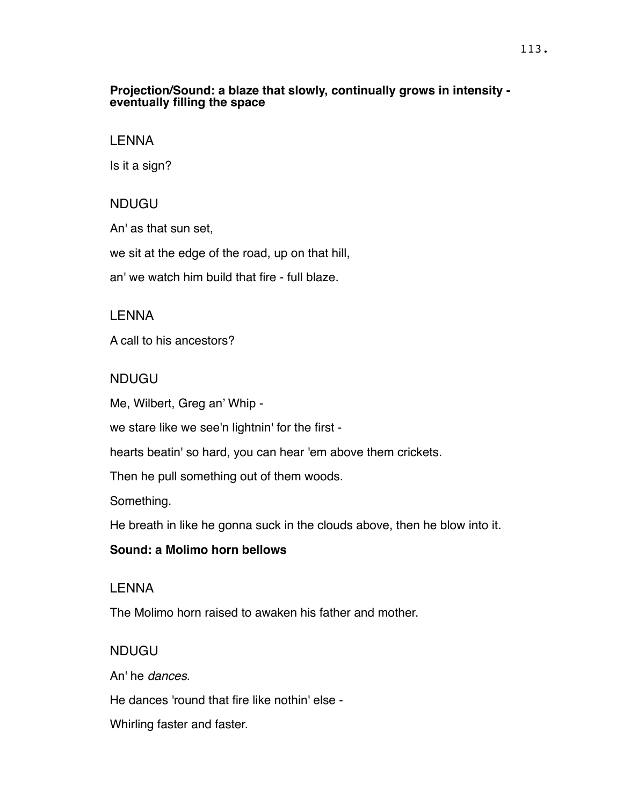#### **Projection/Sound: a blaze that slowly, continually grows in intensity eventually filling the space**

#### LENNA

Is it a sign?

### NDUGU

An' as that sun set,

we sit at the edge of the road, up on that hill,

an' we watch him build that fire - full blaze.

# LENNA

A call to his ancestors?

# NDUGU

Me, Wilbert, Greg an' Whip -

we stare like we see'n lightnin' for the first -

hearts beatin' so hard, you can hear 'em above them crickets.

Then he pull something out of them woods.

Something.

He breath in like he gonna suck in the clouds above, then he blow into it.

### **Sound: a Molimo horn bellows**

### **LENNA**

The Molimo horn raised to awaken his father and mother.

# NDUGU

An' he *dances*.

He dances 'round that fire like nothin' else -

Whirling faster and faster.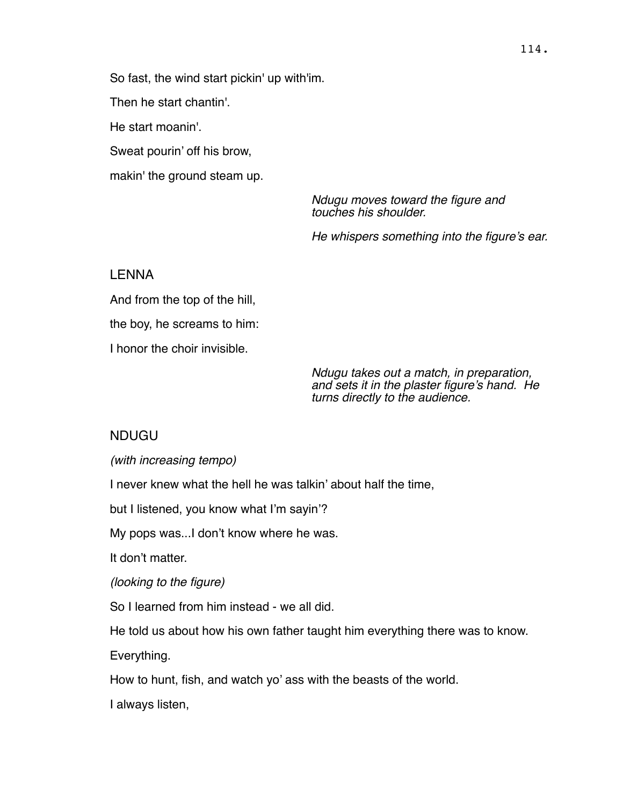So fast, the wind start pickin' up with'im. Then he start chantin'. He start moanin'. Sweat pourin' off his brow, makin' the ground steam up.

> *Ndugu moves toward the figure and touches his shoulder.*

*He whispers something into the figure's ear.*

#### LENNA

And from the top of the hill, the boy, he screams to him: I honor the choir invisible.

> *Ndugu takes out a match, in preparation, and sets it in the plaster figure's hand. He turns directly to the audience.*

### NDUGU

*(with increasing tempo)*

I never knew what the hell he was talkin' about half the time,

but I listened, you know what I'm sayin'?

My pops was...I don't know where he was.

It don't matter.

*(looking to the figure)*

So I learned from him instead - we all did.

He told us about how his own father taught him everything there was to know.

Everything.

How to hunt, fish, and watch yo' ass with the beasts of the world.

I always listen,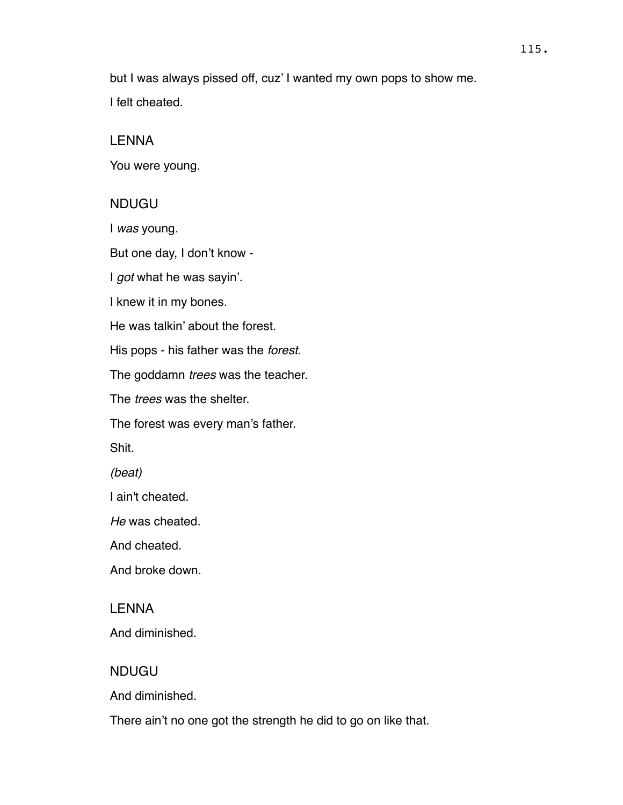but I was always pissed off, cuz' I wanted my own pops to show me. I felt cheated.

#### LENNA

You were young.

#### NDUGU

I *was* young.

But one day, I don't know -

I *got* what he was sayin'.

I knew it in my bones.

He was talkin' about the forest.

His pops - his father was the *forest*.

The goddamn *trees* was the teacher.

The *trees* was the shelter.

The forest was every man's father.

Shit.

*(beat)* 

I ain't cheated.

*He* was cheated.

And cheated.

And broke down.

#### LENNA

And diminished.

#### NDUGU

And diminished.

There ain't no one got the strength he did to go on like that.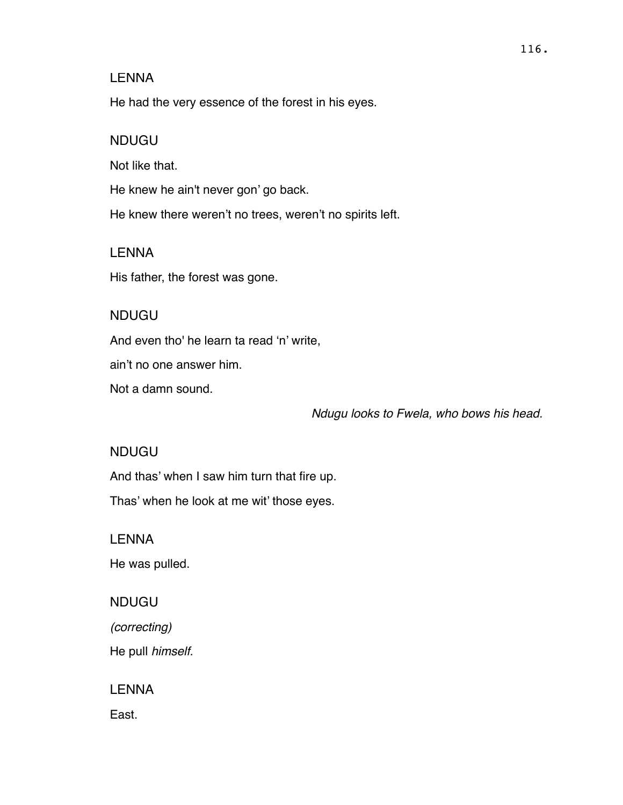#### LENNA

He had the very essence of the forest in his eyes.

#### NDUGU

Not like that.

He knew he ain't never gon' go back.

He knew there weren't no trees, weren't no spirits left.

#### LENNA

His father, the forest was gone.

#### NDUGU

And even tho' he learn ta read 'n' write,

ain't no one answer him.

Not a damn sound.

*Ndugu looks to Fwela, who bows his head.*

#### NDUGU

And thas' when I saw him turn that fire up.

Thas' when he look at me wit' those eyes.

**LENNA** 

He was pulled.

### NDUGU

*(correcting)*

He pull *himself*.

LENNA

East.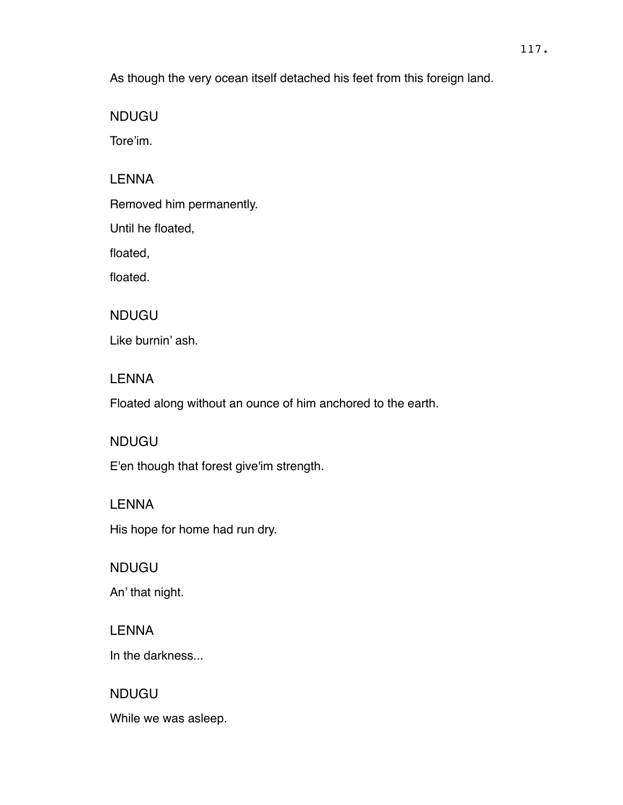As though the very ocean itself detached his feet from this foreign land.

NDUGU

Tore'im.

# LENNA

Removed him permanently.

Until he floated,

floated,

floated.

# NDUGU

Like burnin' ash.

# LENNA

Floated along without an ounce of him anchored to the earth.

# NDUGU

E'en though that forest give'im strength.

# LENNA His hope for home had run dry.

NDUGU An' that night.

**LENNA** 

In the darkness...

# NDUGU While we was asleep.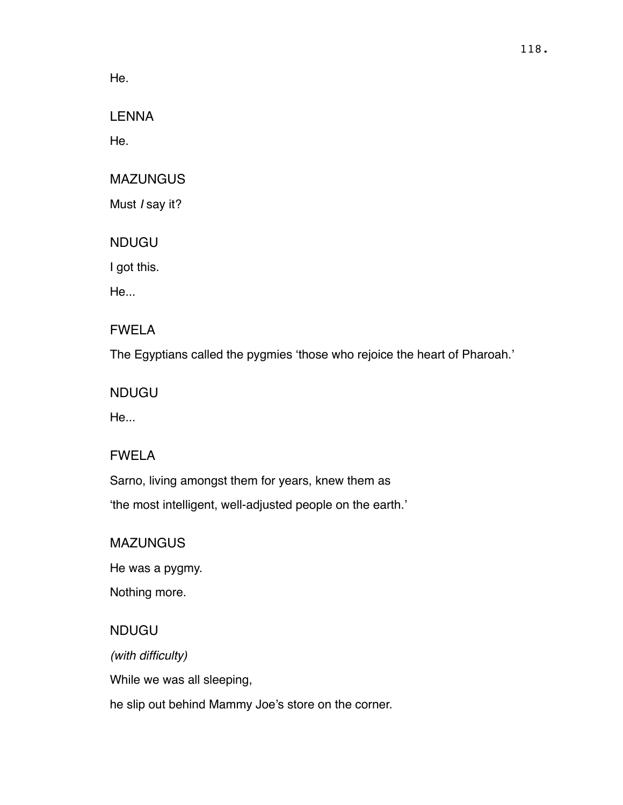He.

LENNA

He.

# MAZUNGUS

Must *I* say it?

NDUGU

I got this.

He...

# FWELA

The Egyptians called the pygmies 'those who rejoice the heart of Pharoah.'

NDUGU

He...

# FWELA

Sarno, living amongst them for years, knew them as 'the most intelligent, well-adjusted people on the earth.'

# MAZUNGUS

He was a pygmy.

Nothing more.

# NDUGU

*(with difficulty)*

While we was all sleeping,

he slip out behind Mammy Joe's store on the corner.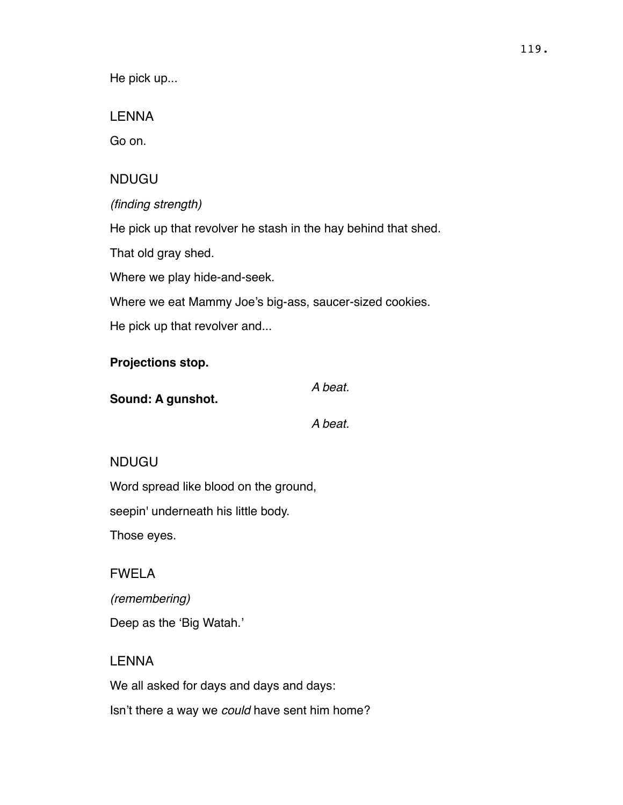He pick up...

LENNA

Go on.

# NDUGU

*(finding strength)*

He pick up that revolver he stash in the hay behind that shed.

That old gray shed.

Where we play hide-and-seek.

Where we eat Mammy Joe's big-ass, saucer-sized cookies.

He pick up that revolver and...

# **Projections stop.**

**Sound: A gunshot.** 

*A beat.* 

*A beat.*

# NDUGU

Word spread like blood on the ground,

seepin' underneath his little body.

Those eyes.

# FWELA

*(remembering)* Deep as the 'Big Watah.'

# LENNA

We all asked for days and days and days: Isn't there a way we *could* have sent him home?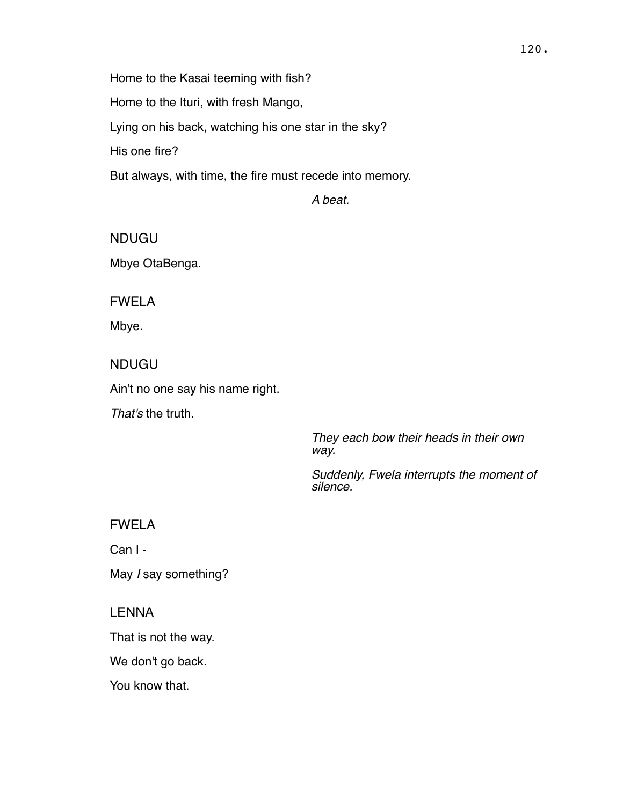Home to the Kasai teeming with fish?

Home to the Ituri, with fresh Mango,

Lying on his back, watching his one star in the sky?

His one fire?

But always, with time, the fire must recede into memory.

*A beat.*

NDUGU Mbye OtaBenga.

FWELA

Mbye.

NDUGU

Ain't no one say his name right.

*That's* the truth.

*They each bow their heads in their own way.*

*Suddenly, Fwela interrupts the moment of silence.*

FWELA

Can I -

May *I* say something?

LENNA

That is not the way.

We don't go back.

You know that.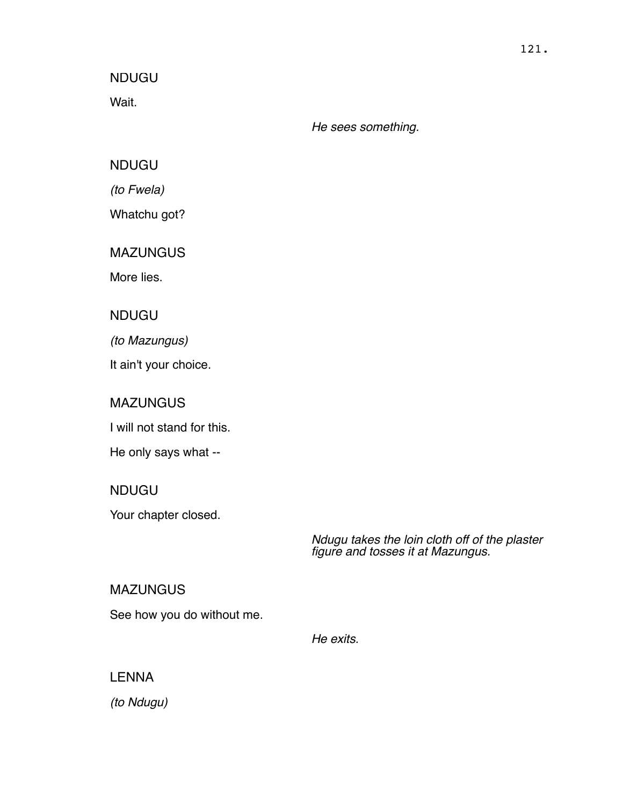Wait.

*He sees something.*

NDUGU

*(to Fwela)*

Whatchu got?

**MAZUNGUS** 

More lies.

NDUGU

*(to Mazungus)*

It ain't your choice.

MAZUNGUS

I will not stand for this.

He only says what --

NDUGU

Your chapter closed.

*Ndugu takes the loin cloth off of the plaster figure and tosses it at Mazungus.*

**MAZUNGUS** 

See how you do without me.

*He exits.*

# LENNA

*(to Ndugu)*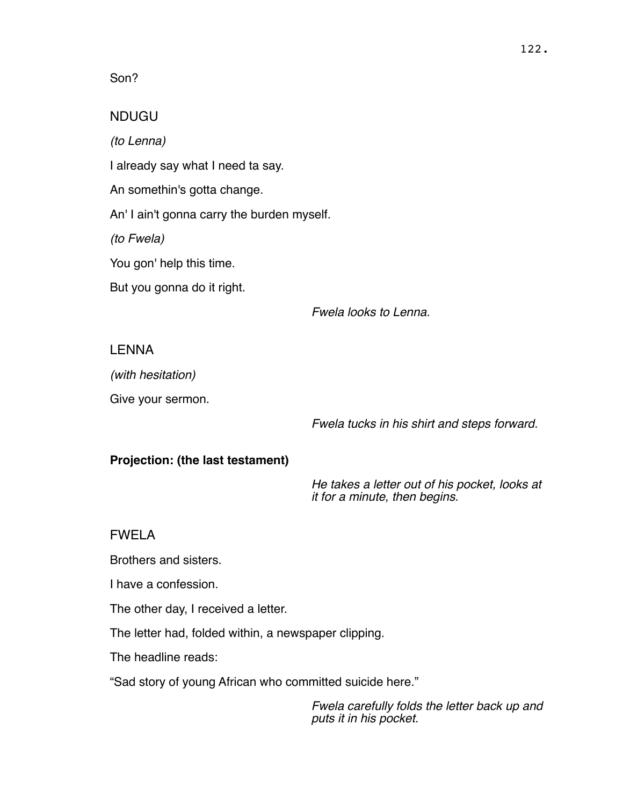#### Son?

### NDUGU

*(to Lenna)*

I already say what I need ta say.

An somethin's gotta change.

An' I ain't gonna carry the burden myself.

*(to Fwela)*

You gon' help this time.

But you gonna do it right.

*Fwela looks to Lenna.*

### LENNA

*(with hesitation)*

Give your sermon.

*Fwela tucks in his shirt and steps forward.*

### **Projection: (the last testament)**

*He takes a letter out of his pocket, looks at it for a minute, then begins.*

### FWELA

Brothers and sisters.

I have a confession.

The other day, I received a letter.

The letter had, folded within, a newspaper clipping.

The headline reads:

"Sad story of young African who committed suicide here."

*Fwela carefully folds the letter back up and puts it in his pocket.*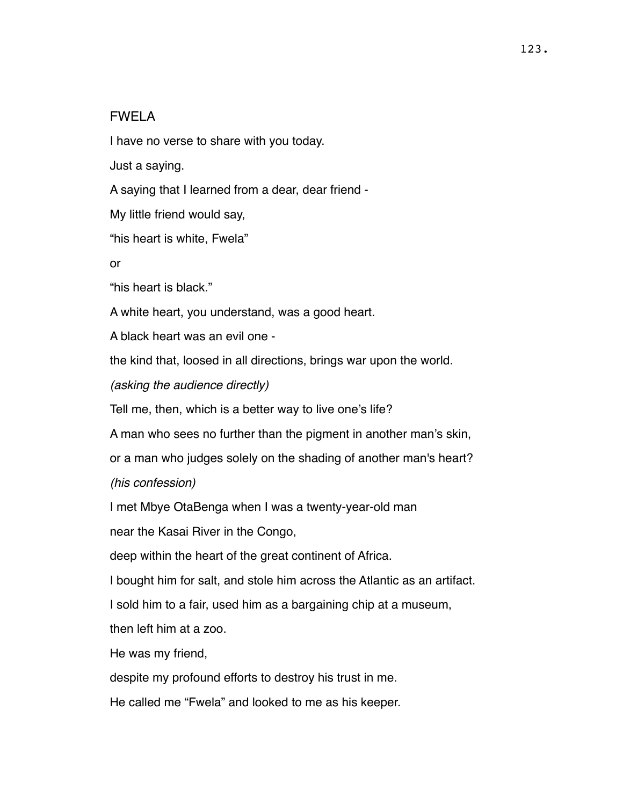#### FWELA

I have no verse to share with you today.

Just a saying.

A saying that I learned from a dear, dear friend -

My little friend would say,

"his heart is white, Fwela"

or

"his heart is black."

A white heart, you understand, was a good heart.

A black heart was an evil one -

the kind that, loosed in all directions, brings war upon the world.

*(asking the audience directly)*

Tell me, then, which is a better way to live one's life?

A man who sees no further than the pigment in another man's skin,

or a man who judges solely on the shading of another man's heart?

*(his confession)*

I met Mbye OtaBenga when I was a twenty-year-old man

near the Kasai River in the Congo,

deep within the heart of the great continent of Africa.

I bought him for salt, and stole him across the Atlantic as an artifact.

I sold him to a fair, used him as a bargaining chip at a museum,

then left him at a zoo.

He was my friend,

despite my profound efforts to destroy his trust in me.

He called me "Fwela" and looked to me as his keeper.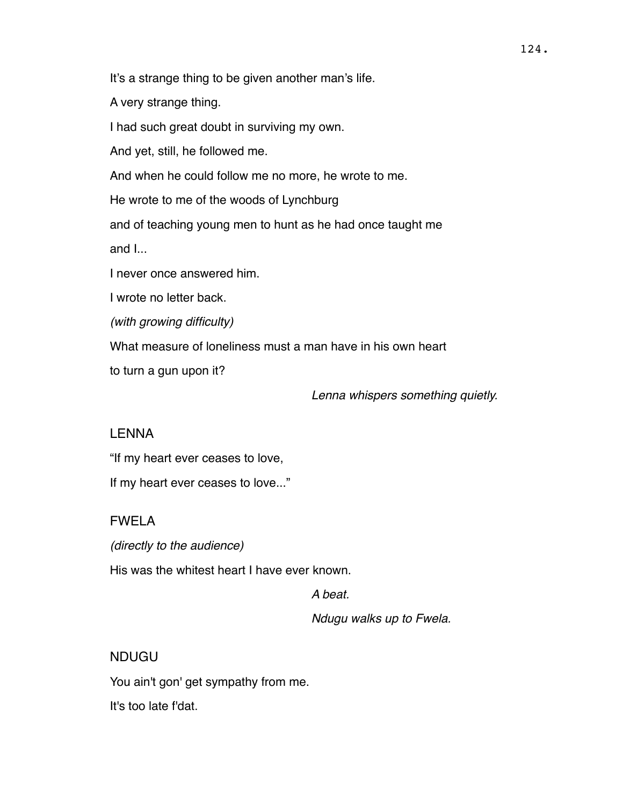It's a strange thing to be given another man's life.

A very strange thing.

I had such great doubt in surviving my own.

And yet, still, he followed me.

And when he could follow me no more, he wrote to me.

He wrote to me of the woods of Lynchburg

and of teaching young men to hunt as he had once taught me

and I...

I never once answered him.

I wrote no letter back.

*(with growing difficulty)*

What measure of loneliness must a man have in his own heart

to turn a gun upon it?

*Lenna whispers something quietly.*

### LENNA

"If my heart ever ceases to love,

If my heart ever ceases to love..."

# FWELA

*(directly to the audience)*

His was the whitest heart I have ever known.

*A beat.*

*Ndugu walks up to Fwela.*

# NDUGU

You ain't gon' get sympathy from me. It's too late f'dat.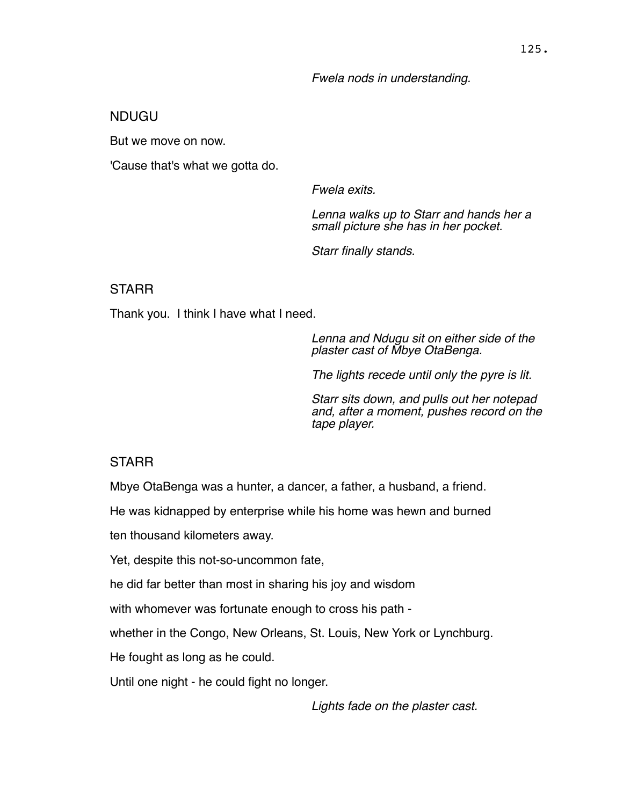#### *Fwela nods in understanding.*

#### NDUGU

But we move on now.

'Cause that's what we gotta do.

*Fwela exits.*

*Lenna walks up to Starr and hands her a small picture she has in her pocket.* 

*Starr finally stands.*

#### **STARR**

Thank you. I think I have what I need.

*Lenna and Ndugu sit on either side of the plaster cast of Mbye OtaBenga.*

*The lights recede until only the pyre is lit.* 

*Starr sits down, and pulls out her notepad and, after a moment, pushes record on the tape player.*

#### **STARR**

Mbye OtaBenga was a hunter, a dancer, a father, a husband, a friend.

He was kidnapped by enterprise while his home was hewn and burned

ten thousand kilometers away.

Yet, despite this not-so-uncommon fate,

he did far better than most in sharing his joy and wisdom

with whomever was fortunate enough to cross his path -

whether in the Congo, New Orleans, St. Louis, New York or Lynchburg.

He fought as long as he could.

Until one night - he could fight no longer.

*Lights fade on the plaster cast.*